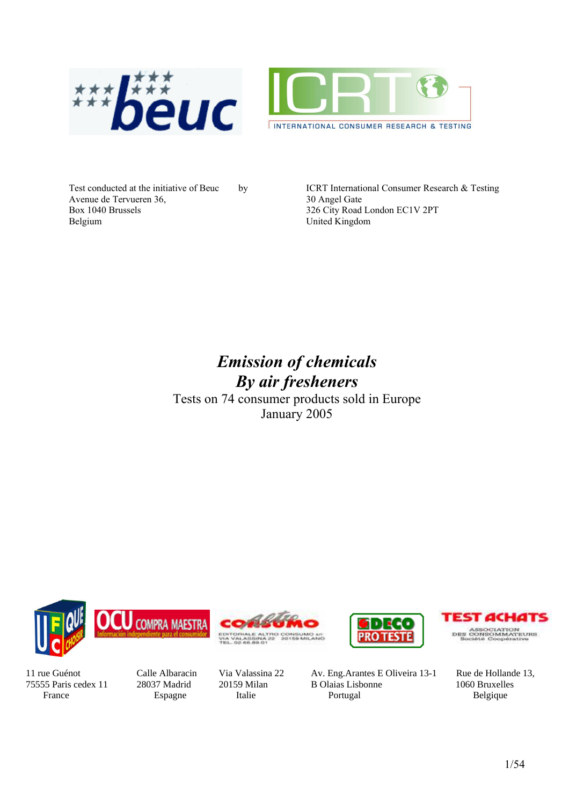



Avenue de Tervueren 36, Box 1040 Brussels Box 1040 Brussels 326 City Road London EC1V 2PT<br>Belgium United Kingdom

Test conducted at the initiative of Beuc by ICRT International Consumer Research & Testing<br>Avenue de Tervueren 36, 30 Angel Gate United Kingdom

# Emission of chemicals By air fresheners

Tests on 74 consumer products sold in Europe January 2005







11 rue Guénot Calle Albaracin Via Valassina 22 Av. Eng.Arantes E Oliveira 13-1 Rue de Hollande 13, 75555 Paris cedex 11 28037 Madrid 20159 Milan B Olaias Lisbonne 1060 Bruxelles France and Espagne Italie Portugal Belgique

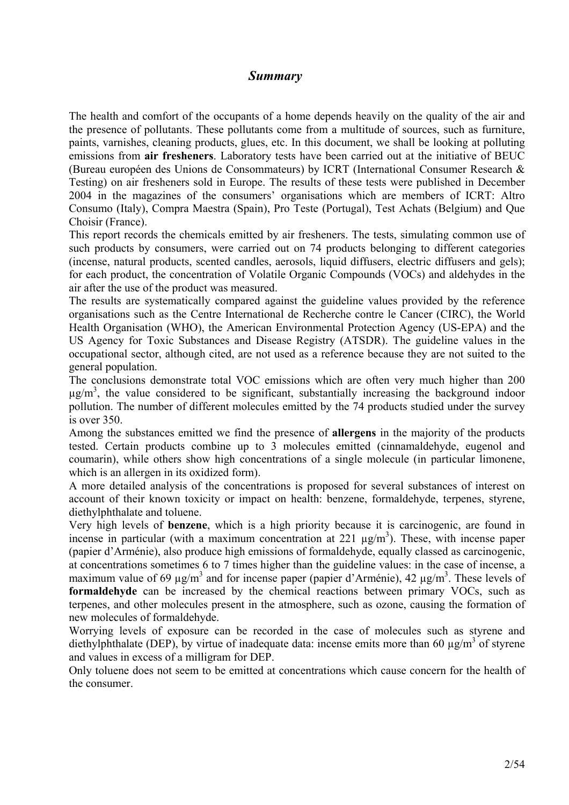## Summary

The health and comfort of the occupants of a home depends heavily on the quality of the air and the presence of pollutants. These pollutants come from a multitude of sources, such as furniture, paints, varnishes, cleaning products, glues, etc. In this document, we shall be looking at polluting emissions from air fresheners. Laboratory tests have been carried out at the initiative of BEUC (Bureau européen des Unions de Consommateurs) by ICRT (International Consumer Research & Testing) on air fresheners sold in Europe. The results of these tests were published in December 2004 in the magazines of the consumers' organisations which are members of ICRT: Altro Consumo (Italy), Compra Maestra (Spain), Pro Teste (Portugal), Test Achats (Belgium) and Que Choisir (France).

This report records the chemicals emitted by air fresheners. The tests, simulating common use of such products by consumers, were carried out on 74 products belonging to different categories (incense, natural products, scented candles, aerosols, liquid diffusers, electric diffusers and gels); for each product, the concentration of Volatile Organic Compounds (VOCs) and aldehydes in the air after the use of the product was measured.

The results are systematically compared against the guideline values provided by the reference organisations such as the Centre International de Recherche contre le Cancer (CIRC), the World Health Organisation (WHO), the American Environmental Protection Agency (US-EPA) and the US Agency for Toxic Substances and Disease Registry (ATSDR). The guideline values in the occupational sector, although cited, are not used as a reference because they are not suited to the general population.

The conclusions demonstrate total VOC emissions which are often very much higher than 200  $\mu$ g/m<sup>3</sup>, the value considered to be significant, substantially increasing the background indoor pollution. The number of different molecules emitted by the 74 products studied under the survey is over 350.

Among the substances emitted we find the presence of allergens in the majority of the products tested. Certain products combine up to 3 molecules emitted (cinnamaldehyde, eugenol and coumarin), while others show high concentrations of a single molecule (in particular limonene, which is an allergen in its oxidized form).

A more detailed analysis of the concentrations is proposed for several substances of interest on account of their known toxicity or impact on health: benzene, formaldehyde, terpenes, styrene, diethylphthalate and toluene.

Very high levels of benzene, which is a high priority because it is carcinogenic, are found in incense in particular (with a maximum concentration at  $221 \mu g/m^3$ ). These, with incense paper (papier d'Arménie), also produce high emissions of formaldehyde, equally classed as carcinogenic, at concentrations sometimes 6 to 7 times higher than the guideline values: in the case of incense, a maximum value of 69  $\mu$ g/m<sup>3</sup> and for incense paper (papier d'Arménie), 42  $\mu$ g/m<sup>3</sup>. These levels of formaldehyde can be increased by the chemical reactions between primary VOCs, such as terpenes, and other molecules present in the atmosphere, such as ozone, causing the formation of new molecules of formaldehyde.

Worrying levels of exposure can be recorded in the case of molecules such as styrene and diethylphthalate (DEP), by virtue of inadequate data: incense emits more than 60  $\mu$ g/m<sup>3</sup> of styrene and values in excess of a milligram for DEP.

Only toluene does not seem to be emitted at concentrations which cause concern for the health of the consumer.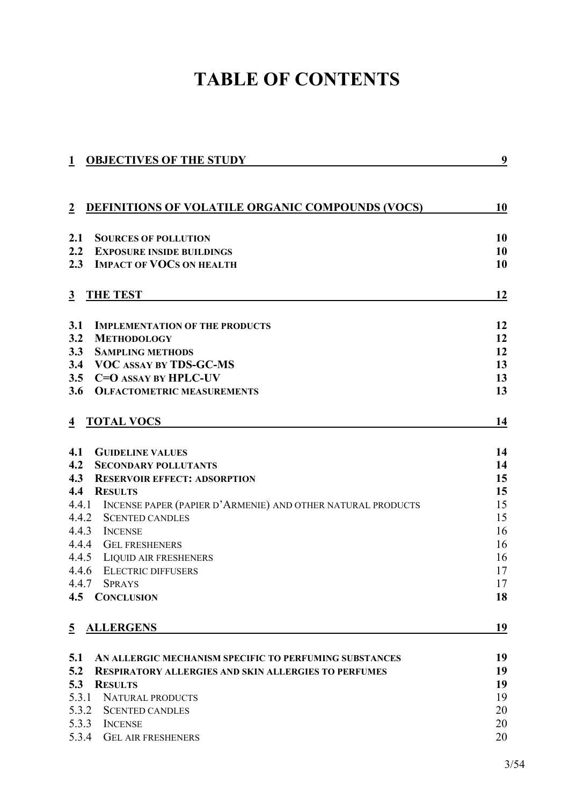# TABLE OF CONTENTS

| <u>1</u>       | <b>OBJECTIVES OF THE STUDY</b>                              | 9          |
|----------------|-------------------------------------------------------------|------------|
|                |                                                             |            |
|                |                                                             |            |
| 2              | <b>DEFINITIONS OF VOLATILE ORGANIC COMPOUNDS (VOCS)</b>     | 10         |
| 2.1            | <b>SOURCES OF POLLUTION</b>                                 | 10         |
| 2.2            | <b>EXPOSURE INSIDE BUILDINGS</b>                            | 10         |
| 2.3            | <b>IMPACT OF VOCS ON HEALTH</b>                             | 10         |
| $\overline{3}$ | <b>THE TEST</b>                                             | <u> 12</u> |
| 3.1            | <b>IMPLEMENTATION OF THE PRODUCTS</b>                       | 12         |
| 3.2            | <b>METHODOLOGY</b>                                          | 12         |
| 3.3            | <b>SAMPLING METHODS</b>                                     | 12         |
| 3.4            | <b>VOC ASSAY BY TDS-GC-MS</b>                               | 13         |
| 3.5            | $C=O$ ASSAY BY HPLC-UV                                      | 13         |
| 3.6            | <b>OLFACTOMETRIC MEASUREMENTS</b>                           | 13         |
| 4              | <b>TOTAL VOCS</b>                                           | <u>14</u>  |
| 4.1            | <b>GUIDELINE VALUES</b>                                     | 14         |
| 4.2            | <b>SECONDARY POLLUTANTS</b>                                 | 14         |
| 4.3            | <b>RESERVOIR EFFECT: ADSORPTION</b>                         | 15         |
| 4.4            | <b>RESULTS</b>                                              | 15         |
| 4.4.1          | INCENSE PAPER (PAPIER D'ARMENIE) AND OTHER NATURAL PRODUCTS | 15         |
| 4.4.2          | <b>SCENTED CANDLES</b>                                      | 15         |
| 4.4.3          | <b>INCENSE</b>                                              | 16         |
| 4.4.4          | <b>GEL FRESHENERS</b>                                       | 16         |
|                | 4.4.5 LIQUID AIR FRESHENERS                                 | 16         |
| 4.4.6          | <b>ELECTRIC DIFFUSERS</b>                                   | 17         |
|                | 4.4.7<br><b>SPRAYS</b>                                      | 17         |
|                | <b>4.5 CONCLUSION</b>                                       | 18         |
| $\overline{5}$ | <b>ALLERGENS</b>                                            | 19         |
|                |                                                             |            |
| 5.1            | AN ALLERGIC MECHANISM SPECIFIC TO PERFUMING SUBSTANCES      | 19         |
| 5.2            | <b>RESPIRATORY ALLERGIES AND SKIN ALLERGIES TO PERFUMES</b> | 19         |
|                | 5.3 RESULTS                                                 | 19         |
| 5.3.1          | <b>NATURAL PRODUCTS</b>                                     | 19         |
| 5.3.2          | <b>SCENTED CANDLES</b>                                      | 20         |
|                | 5.3.3<br><b>INCENSE</b>                                     | 20         |
|                | 5.3.4<br><b>GEL AIR FRESHENERS</b>                          | 20         |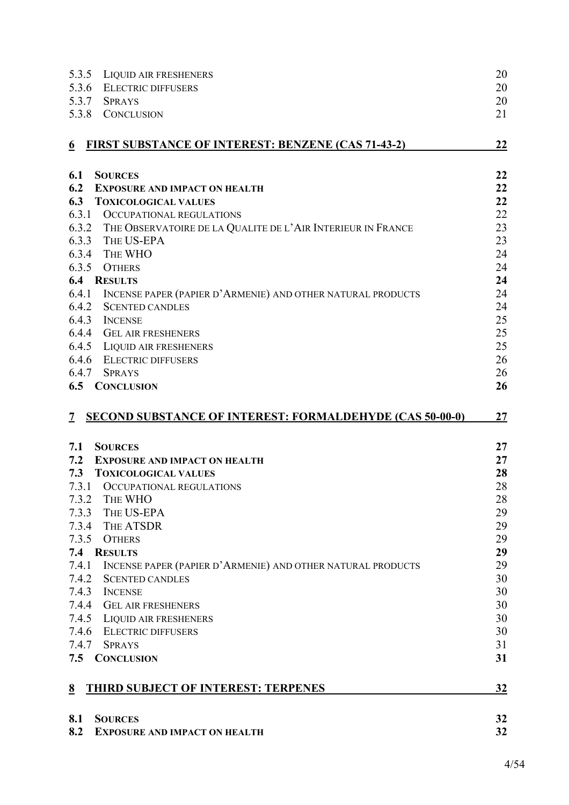| 5.3.5      | LIQUID AIR FRESHENERS                                                           | 20        |
|------------|---------------------------------------------------------------------------------|-----------|
| 5.3.6      | <b>ELECTRIC DIFFUSERS</b>                                                       | 20        |
| 5.3.7      | <b>SPRAYS</b>                                                                   | 20        |
| 5.3.8      | <b>CONCLUSION</b>                                                               | 21        |
| 6          | <b>FIRST SUBSTANCE OF INTEREST: BENZENE (CAS 71-43-2)</b>                       | 22        |
|            |                                                                                 |           |
| 6.1        | <b>SOURCES</b>                                                                  | 22        |
| 6.2        | <b>EXPOSURE AND IMPACT ON HEALTH</b>                                            | 22        |
| 6.3        | <b>TOXICOLOGICAL VALUES</b>                                                     | 22        |
|            | 6.3.1 OCCUPATIONAL REGULATIONS                                                  | 22        |
| 6.3.3      | 6.3.2 THE OBSERVATOIRE DE LA QUALITE DE L'AIR INTERIEUR IN FRANCE<br>THE US-EPA | 23<br>23  |
| 6.3.4      | THE WHO                                                                         | 24        |
| 6.3.5      | <b>OTHERS</b>                                                                   | 24        |
|            | <b>6.4 RESULTS</b>                                                              | 24        |
|            | 6.4.1 INCENSE PAPER (PAPIER D'ARMENIE) AND OTHER NATURAL PRODUCTS               | 24        |
| 6.4.2      | <b>SCENTED CANDLES</b>                                                          | 24        |
| 6.4.3      | <b>INCENSE</b>                                                                  | 25        |
| 6.4.4      | <b>GEL AIR FRESHENERS</b>                                                       | 25        |
| 6.4.5      | <b>LIQUID AIR FRESHENERS</b>                                                    | 25        |
| 6.4.6      | <b>ELECTRIC DIFFUSERS</b>                                                       | 26        |
| 6.4.7      | <b>SPRAYS</b>                                                                   | 26        |
| 6.5        | <b>CONCLUSION</b>                                                               | 26        |
|            |                                                                                 |           |
|            |                                                                                 |           |
| 7          | <b>SECOND SUBSTANCE OF INTEREST: FORMALDEHYDE (CAS 50-00-0)</b>                 | 27        |
| 7.1        | <b>SOURCES</b>                                                                  | 27        |
| 7.2        | <b>EXPOSURE AND IMPACT ON HEALTH</b>                                            | 27        |
| 7.3        | <b>TOXICOLOGICAL VALUES</b>                                                     | 28        |
| 7.3.1      | OCCUPATIONAL REGULATIONS                                                        | 28        |
|            | 7.3.2 THE WHO                                                                   | 28        |
| 7.3.3      | THE US-EPA                                                                      | 29        |
| 7.3.4      | THE ATSDR                                                                       | 29        |
|            | 7.3.5 OTHERS                                                                    | 29        |
|            | 7.4 RESULTS                                                                     | 29        |
| 7.4.1      | INCENSE PAPER (PAPIER D'ARMENIE) AND OTHER NATURAL PRODUCTS                     | 29        |
| 7.4.2      | <b>SCENTED CANDLES</b>                                                          | 30        |
| 7.4.3      | <b>INCENSE</b>                                                                  | 30        |
|            | 7.4.4 GEL AIR FRESHENERS                                                        | 30        |
|            | 7.4.5 LIQUID AIR FRESHENERS                                                     | 30        |
|            | 7.4.6 ELECTRIC DIFFUSERS                                                        | 30        |
| 7.4.7      | <b>SPRAYS</b>                                                                   | 31        |
| 7.5        | <b>CONCLUSION</b>                                                               | 31        |
| 8          | <b>THIRD SUBJECT OF INTEREST: TERPENES</b>                                      | <u>32</u> |
|            |                                                                                 |           |
| 8.1<br>8.2 | <b>SOURCES</b><br><b>EXPOSURE AND IMPACT ON HEALTH</b>                          | 32<br>32  |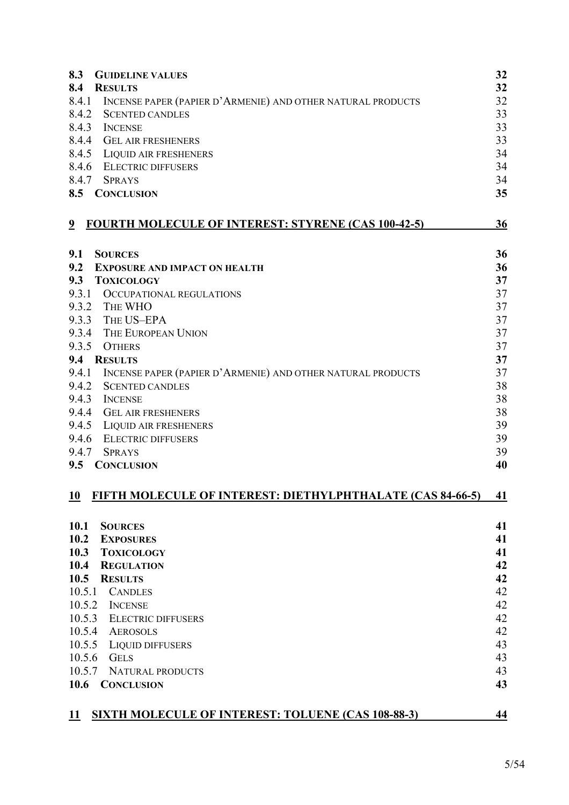| 8.3            | <b>GUIDELINE VALUES</b>                                           | 32        |
|----------------|-------------------------------------------------------------------|-----------|
| 8.4            | <b>RESULTS</b>                                                    | 32        |
|                | 8.4.1 INCENSE PAPER (PAPIER D'ARMENIE) AND OTHER NATURAL PRODUCTS | 32        |
| 8.4.2          | <b>SCENTED CANDLES</b>                                            | 33        |
| 8.4.3          | <b>INCENSE</b>                                                    | 33        |
| 8.4.4          | <b>GEL AIR FRESHENERS</b>                                         | 33        |
|                | 8.4.5 LIQUID AIR FRESHENERS                                       | 34        |
| 8.4.6          | <b>ELECTRIC DIFFUSERS</b>                                         | 34        |
|                | 8.4.7 SPRAYS                                                      | 34        |
| 8.5            | <b>CONCLUSION</b>                                                 | 35        |
| $\overline{9}$ | <b>FOURTH MOLECULE OF INTEREST: STYRENE (CAS 100-42-5)</b>        | 36        |
| 9.1            | <b>SOURCES</b>                                                    | 36        |
| 9.2            | <b>EXPOSURE AND IMPACT ON HEALTH</b>                              | 36        |
| 9.3            | <b>TOXICOLOGY</b>                                                 | 37        |
|                | 9.3.1 OCCUPATIONAL REGULATIONS                                    | 37        |
|                | 9.3.2 THE WHO                                                     | 37        |
|                | 9.3.3 THE US-EPA                                                  | 37        |
|                | 9.3.4 THE EUROPEAN UNION                                          | 37        |
|                | 9.3.5 OTHERS                                                      | 37        |
|                | 9.4 RESULTS                                                       | 37        |
| 9.4.1          | INCENSE PAPER (PAPIER D'ARMENIE) AND OTHER NATURAL PRODUCTS       | 37        |
|                | 9.4.2 SCENTED CANDLES                                             | 38        |
| 9.4.3          | <b>INCENSE</b>                                                    | 38        |
| 9.4.4          | <b>GEL AIR FRESHENERS</b>                                         | 38        |
| 9.4.5          | LIQUID AIR FRESHENERS                                             | 39        |
| 9.4.6          | <b>ELECTRIC DIFFUSERS</b>                                         | 39        |
| 9.4.7          | <b>SPRAYS</b>                                                     | 39        |
| 9.5            | <b>CONCLUSION</b>                                                 | 40        |
|                | 10 FIFTH MOLECULE OF INTEREST: DIETHYLPHTHALATE (CAS 84-66-5)     | <u>41</u> |
| <b>10.1</b>    | <b>SOURCES</b>                                                    | 41        |
| 10.2           | <b>EXPOSURES</b>                                                  | 41        |
| 10.3           | <b>TOXICOLOGY</b>                                                 | 41        |
| 10.4           | <b>REGULATION</b>                                                 | 42        |
| 10.5           | <b>RESULTS</b>                                                    | 42        |
| 10.5.1         | <b>CANDLES</b>                                                    | 42        |
| 10.5.2         | <b>INCENSE</b>                                                    | 42        |
| 10.5.3         | <b>ELECTRIC DIFFUSERS</b>                                         | 42        |
|                | 10.5.4 AEROSOLS                                                   | 42        |
|                | 10.5.5 LIQUID DIFFUSERS                                           | 43        |
| 10.5.6         | <b>GELS</b>                                                       | 43        |
| 10.5.7         | <b>NATURAL PRODUCTS</b>                                           | 43        |
| 10.6           | <b>CONCLUSION</b>                                                 | 43        |
| 11             | <b>SIXTH MOLECULE OF INTEREST: TOLUENE (CAS 108-88-3)</b>         | 44        |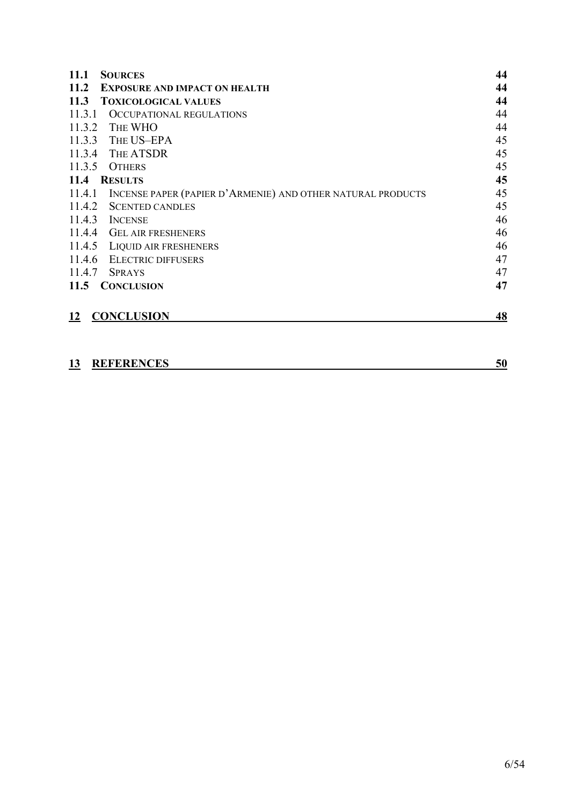| 11.1<br><b>SOURCES</b>                                                | 44 |
|-----------------------------------------------------------------------|----|
| 11.2<br><b>EXPOSURE AND IMPACT ON HEALTH</b>                          | 44 |
| 11.3<br><b>TOXICOLOGICAL VALUES</b>                                   | 44 |
| 11.3.1<br>OCCUPATIONAL REGULATIONS                                    | 44 |
| 11.3.2<br>THE WHO                                                     | 44 |
| 11.3.3 THE US-EPA                                                     | 45 |
| 11.3.4 THE ATSDR                                                      | 45 |
| 11.3.5<br><b>OTHERS</b>                                               | 45 |
| 11.4<br><b>RESULTS</b>                                                | 45 |
| 11.4.1<br>INCENSE PAPER (PAPIER D'ARMENIE) AND OTHER NATURAL PRODUCTS | 45 |
| 11.4.2<br><b>SCENTED CANDLES</b>                                      | 45 |
| 11.4.3<br><b>INCENSE</b>                                              | 46 |
| 11.4.4<br><b>GEL AIR FRESHENERS</b>                                   | 46 |
| 11.4.5<br>LIQUID AIR FRESHENERS                                       | 46 |
| 11.4.6<br><b>ELECTRIC DIFFUSERS</b>                                   | 47 |
| 11.4.7<br><b>SPRAYS</b>                                               | 47 |
| 11.5<br><b>CONCLUSION</b>                                             | 47 |
|                                                                       |    |
| <b>CONCLUSION</b><br>12                                               | 48 |
|                                                                       |    |

| 13 | <b>REFERENCES</b> |  |
|----|-------------------|--|
|    |                   |  |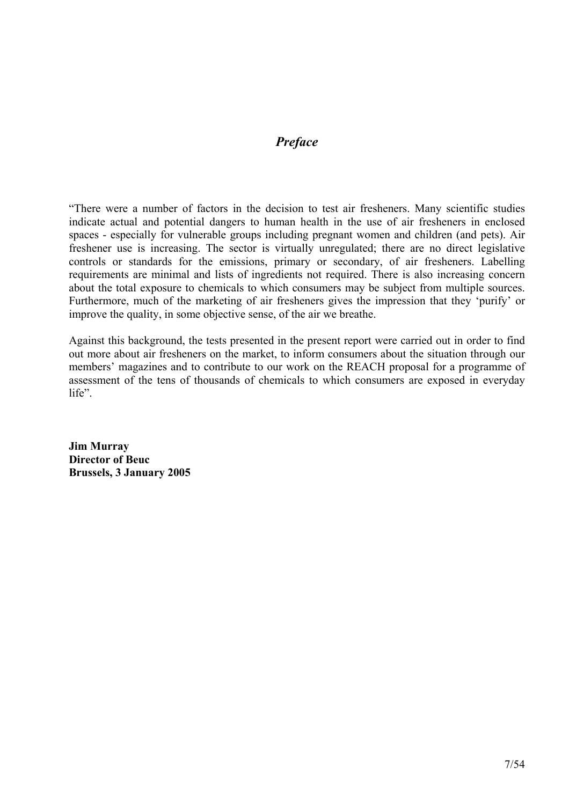## **Preface**

"There were a number of factors in the decision to test air fresheners. Many scientific studies indicate actual and potential dangers to human health in the use of air fresheners in enclosed spaces - especially for vulnerable groups including pregnant women and children (and pets). Air freshener use is increasing. The sector is virtually unregulated; there are no direct legislative controls or standards for the emissions, primary or secondary, of air fresheners. Labelling requirements are minimal and lists of ingredients not required. There is also increasing concern about the total exposure to chemicals to which consumers may be subject from multiple sources. Furthermore, much of the marketing of air fresheners gives the impression that they 'purify' or improve the quality, in some objective sense, of the air we breathe.

Against this background, the tests presented in the present report were carried out in order to find out more about air fresheners on the market, to inform consumers about the situation through our members' magazines and to contribute to our work on the REACH proposal for a programme of assessment of the tens of thousands of chemicals to which consumers are exposed in everyday life".

Jim Murray Director of Beuc Brussels, 3 January 2005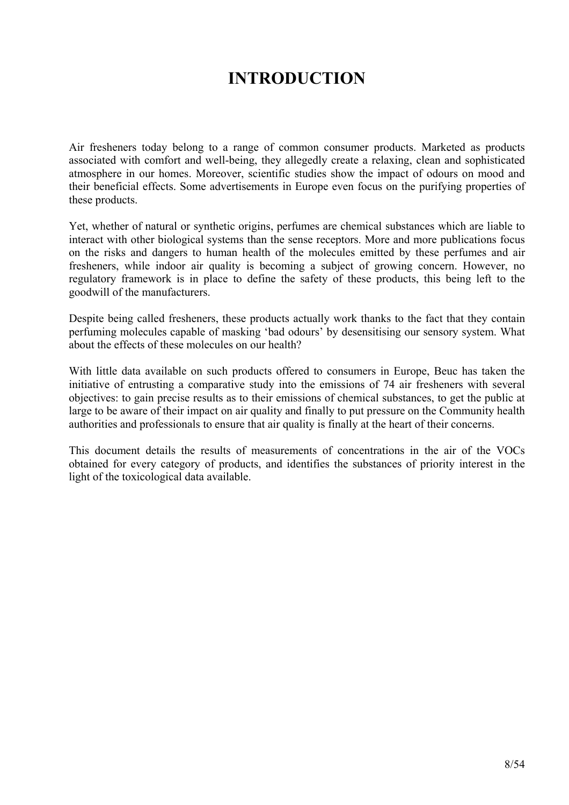# INTRODUCTION

Air fresheners today belong to a range of common consumer products. Marketed as products associated with comfort and well-being, they allegedly create a relaxing, clean and sophisticated atmosphere in our homes. Moreover, scientific studies show the impact of odours on mood and their beneficial effects. Some advertisements in Europe even focus on the purifying properties of these products.

Yet, whether of natural or synthetic origins, perfumes are chemical substances which are liable to interact with other biological systems than the sense receptors. More and more publications focus on the risks and dangers to human health of the molecules emitted by these perfumes and air fresheners, while indoor air quality is becoming a subject of growing concern. However, no regulatory framework is in place to define the safety of these products, this being left to the goodwill of the manufacturers.

Despite being called fresheners, these products actually work thanks to the fact that they contain perfuming molecules capable of masking 'bad odours' by desensitising our sensory system. What about the effects of these molecules on our health?

With little data available on such products offered to consumers in Europe, Beuc has taken the initiative of entrusting a comparative study into the emissions of 74 air fresheners with several objectives: to gain precise results as to their emissions of chemical substances, to get the public at large to be aware of their impact on air quality and finally to put pressure on the Community health authorities and professionals to ensure that air quality is finally at the heart of their concerns.

This document details the results of measurements of concentrations in the air of the VOCs obtained for every category of products, and identifies the substances of priority interest in the light of the toxicological data available.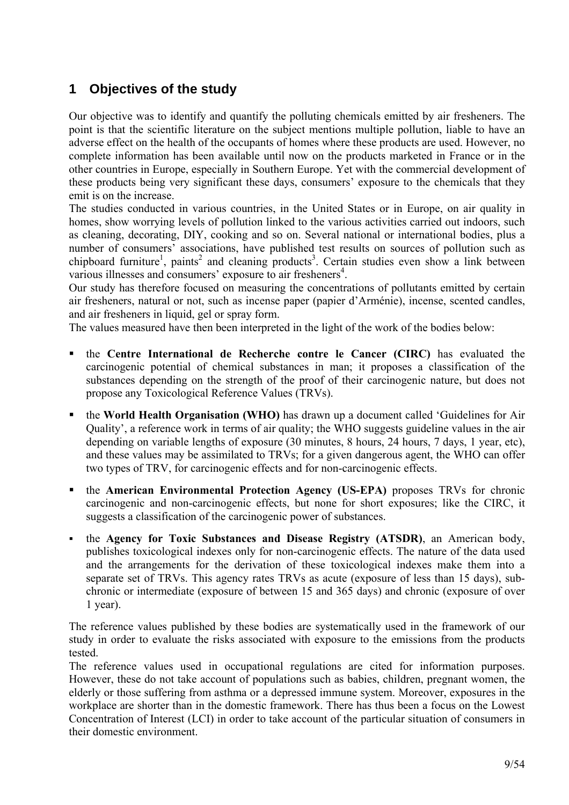## **1 Objectives of the study**

Our objective was to identify and quantify the polluting chemicals emitted by air fresheners. The point is that the scientific literature on the subject mentions multiple pollution, liable to have an adverse effect on the health of the occupants of homes where these products are used. However, no complete information has been available until now on the products marketed in France or in the other countries in Europe, especially in Southern Europe. Yet with the commercial development of these products being very significant these days, consumers' exposure to the chemicals that they emit is on the increase.

The studies conducted in various countries, in the United States or in Europe, on air quality in homes, show worrying levels of pollution linked to the various activities carried out indoors, such as cleaning, decorating, DIY, cooking and so on. Several national or international bodies, plus a number of consumers' associations, have published test results on sources of pollution such as chipboard furniture<sup>1</sup>, paints<sup>2</sup> and cleaning products<sup>3</sup>. Certain studies even show a link between various illnesses and consumers' exposure to air fresheners<sup>4</sup>.

Our study has therefore focused on measuring the concentrations of pollutants emitted by certain air fresheners, natural or not, such as incense paper (papier d'Arménie), incense, scented candles, and air fresheners in liquid, gel or spray form.

The values measured have then been interpreted in the light of the work of the bodies below:

- the Centre International de Recherche contre le Cancer (CIRC) has evaluated the carcinogenic potential of chemical substances in man; it proposes a classification of the substances depending on the strength of the proof of their carcinogenic nature, but does not propose any Toxicological Reference Values (TRVs).
- the World Health Organisation (WHO) has drawn up a document called 'Guidelines for Air Quality', a reference work in terms of air quality; the WHO suggests guideline values in the air depending on variable lengths of exposure (30 minutes, 8 hours, 24 hours, 7 days, 1 year, etc), and these values may be assimilated to TRVs; for a given dangerous agent, the WHO can offer two types of TRV, for carcinogenic effects and for non-carcinogenic effects.
- the American Environmental Protection Agency (US-EPA) proposes TRVs for chronic carcinogenic and non-carcinogenic effects, but none for short exposures; like the CIRC, it suggests a classification of the carcinogenic power of substances.
- the Agency for Toxic Substances and Disease Registry (ATSDR), an American body, publishes toxicological indexes only for non-carcinogenic effects. The nature of the data used and the arrangements for the derivation of these toxicological indexes make them into a separate set of TRVs. This agency rates TRVs as acute (exposure of less than 15 days), subchronic or intermediate (exposure of between 15 and 365 days) and chronic (exposure of over 1 year).

The reference values published by these bodies are systematically used in the framework of our study in order to evaluate the risks associated with exposure to the emissions from the products tested.

The reference values used in occupational regulations are cited for information purposes. However, these do not take account of populations such as babies, children, pregnant women, the elderly or those suffering from asthma or a depressed immune system. Moreover, exposures in the workplace are shorter than in the domestic framework. There has thus been a focus on the Lowest Concentration of Interest (LCI) in order to take account of the particular situation of consumers in their domestic environment.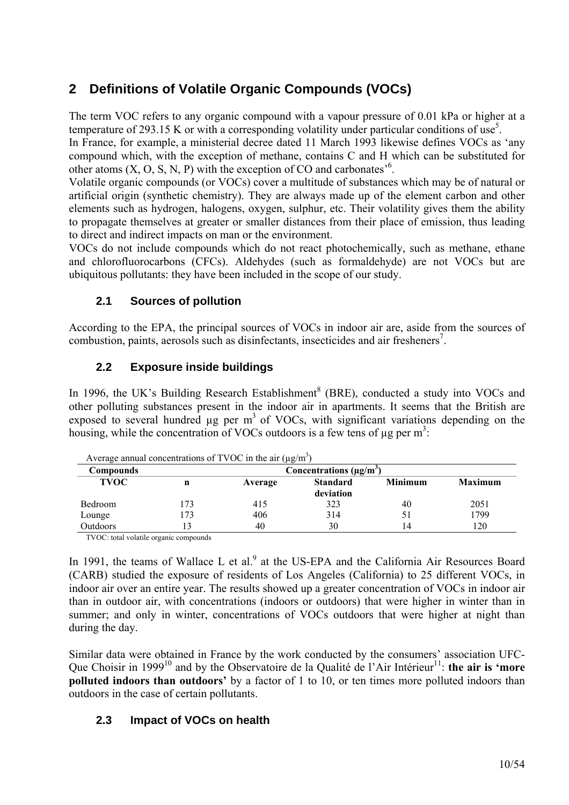## **2 Definitions of Volatile Organic Compounds (VOCs)**

The term VOC refers to any organic compound with a vapour pressure of 0.01 kPa or higher at a temperature of 293.15 K or with a corresponding volatility under particular conditions of use<sup>5</sup>.

In France, for example, a ministerial decree dated 11 March 1993 likewise defines VOCs as 'any compound which, with the exception of methane, contains C and H which can be substituted for other atoms  $(X, O, S, N, P)$  with the exception of CO and carbonates<sup>56</sup>.

Volatile organic compounds (or VOCs) cover a multitude of substances which may be of natural or artificial origin (synthetic chemistry). They are always made up of the element carbon and other elements such as hydrogen, halogens, oxygen, sulphur, etc. Their volatility gives them the ability to propagate themselves at greater or smaller distances from their place of emission, thus leading to direct and indirect impacts on man or the environment.

VOCs do not include compounds which do not react photochemically, such as methane, ethane and chlorofluorocarbons (CFCs). Aldehydes (such as formaldehyde) are not VOCs but are ubiquitous pollutants: they have been included in the scope of our study.

## **2.1 Sources of pollution**

According to the EPA, the principal sources of VOCs in indoor air are, aside from the sources of combustion, paints, aerosols such as disinfectants, insecticides and air fresheners<sup>7</sup>.

## **2.2 Exposure inside buildings**

In 1996, the UK's Building Research Establishment<sup>8</sup> (BRE), conducted a study into VOCs and other polluting substances present in the indoor air in apartments. It seems that the British are exposed to several hundred  $\mu$ g per m<sup>3</sup> of VOCs, with significant variations depending on the housing, while the concentration of VOCs outdoors is a few tens of  $\mu$ g per m<sup>3</sup>:

| Average annual concentrations of $1$ VOC in the air $(\mu g/m)$ |     |         |                              |                |                |
|-----------------------------------------------------------------|-----|---------|------------------------------|----------------|----------------|
| Compounds                                                       |     |         | Concentrations $(\mu g/m^3)$ |                |                |
| <b>TVOC</b>                                                     | n   | Average | <b>Standard</b><br>deviation | <b>Minimum</b> | <b>Maximum</b> |
| Bedroom                                                         | 173 | 415     | 323                          | 40             | 2051           |
| Lounge                                                          | 173 | 406     | 314                          | 51             | 1799           |
| Outdoors                                                        |     | 40      | 30                           | 14             | 120            |

Average annual concentrations of TVOC in the air  $(\mu g/m^3)$ 

TVOC: total volatile organic compounds

In 1991, the teams of Wallace L et al. $<sup>9</sup>$  at the US-EPA and the California Air Resources Board</sup> (CARB) studied the exposure of residents of Los Angeles (California) to 25 different VOCs, in indoor air over an entire year. The results showed up a greater concentration of VOCs in indoor air than in outdoor air, with concentrations (indoors or outdoors) that were higher in winter than in summer; and only in winter, concentrations of VOCs outdoors that were higher at night than during the day.

Similar data were obtained in France by the work conducted by the consumers' association UFC-Que Choisir in 1999<sup>10</sup> and by the Observatoire de la Qualité de l'Air Intérieur<sup>11</sup>: the air is 'more polluted indoors than outdoors' by a factor of 1 to 10, or ten times more polluted indoors than outdoors in the case of certain pollutants.

## **2.3 Impact of VOCs on health**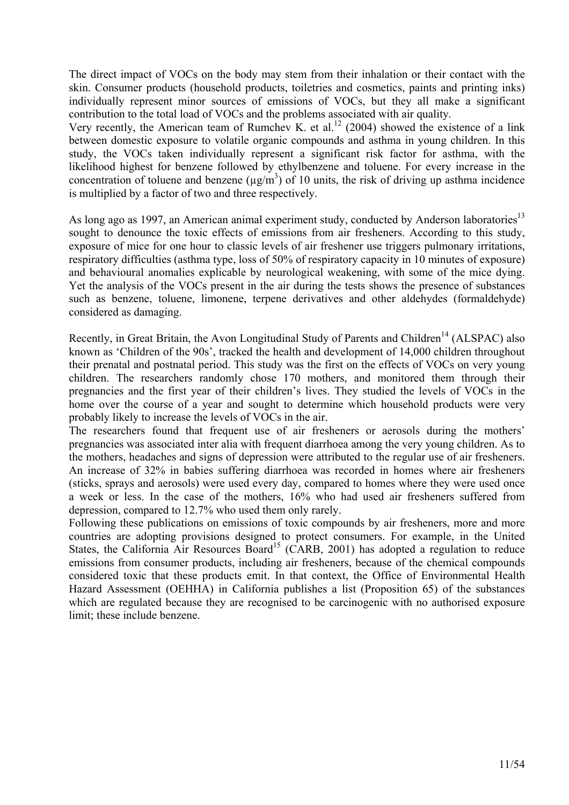The direct impact of VOCs on the body may stem from their inhalation or their contact with the skin. Consumer products (household products, toiletries and cosmetics, paints and printing inks) individually represent minor sources of emissions of VOCs, but they all make a significant contribution to the total load of VOCs and the problems associated with air quality.

Very recently, the American team of Rumchev K. et al.<sup>12</sup> (2004) showed the existence of a link between domestic exposure to volatile organic compounds and asthma in young children. In this study, the VOCs taken individually represent a significant risk factor for asthma, with the likelihood highest for benzene followed by ethylbenzene and toluene. For every increase in the concentration of toluene and benzene  $(\mu g/m^3)$  of 10 units, the risk of driving up asthma incidence is multiplied by a factor of two and three respectively.

As long ago as 1997, an American animal experiment study, conducted by Anderson laboratories<sup>13</sup> sought to denounce the toxic effects of emissions from air fresheners. According to this study, exposure of mice for one hour to classic levels of air freshener use triggers pulmonary irritations, respiratory difficulties (asthma type, loss of 50% of respiratory capacity in 10 minutes of exposure) and behavioural anomalies explicable by neurological weakening, with some of the mice dying. Yet the analysis of the VOCs present in the air during the tests shows the presence of substances such as benzene, toluene, limonene, terpene derivatives and other aldehydes (formaldehyde) considered as damaging.

Recently, in Great Britain, the Avon Longitudinal Study of Parents and Children<sup>14</sup> (ALSPAC) also known as 'Children of the 90s', tracked the health and development of 14,000 children throughout their prenatal and postnatal period. This study was the first on the effects of VOCs on very young children. The researchers randomly chose 170 mothers, and monitored them through their pregnancies and the first year of their children's lives. They studied the levels of VOCs in the home over the course of a year and sought to determine which household products were very probably likely to increase the levels of VOCs in the air.

The researchers found that frequent use of air fresheners or aerosols during the mothers' pregnancies was associated inter alia with frequent diarrhoea among the very young children. As to the mothers, headaches and signs of depression were attributed to the regular use of air fresheners. An increase of 32% in babies suffering diarrhoea was recorded in homes where air fresheners (sticks, sprays and aerosols) were used every day, compared to homes where they were used once a week or less. In the case of the mothers, 16% who had used air fresheners suffered from depression, compared to 12.7% who used them only rarely.

Following these publications on emissions of toxic compounds by air fresheners, more and more countries are adopting provisions designed to protect consumers. For example, in the United States, the California Air Resources Board<sup>15</sup> (CARB, 2001) has adopted a regulation to reduce emissions from consumer products, including air fresheners, because of the chemical compounds considered toxic that these products emit. In that context, the Office of Environmental Health Hazard Assessment (OEHHA) in California publishes a list (Proposition 65) of the substances which are regulated because they are recognised to be carcinogenic with no authorised exposure limit; these include benzene.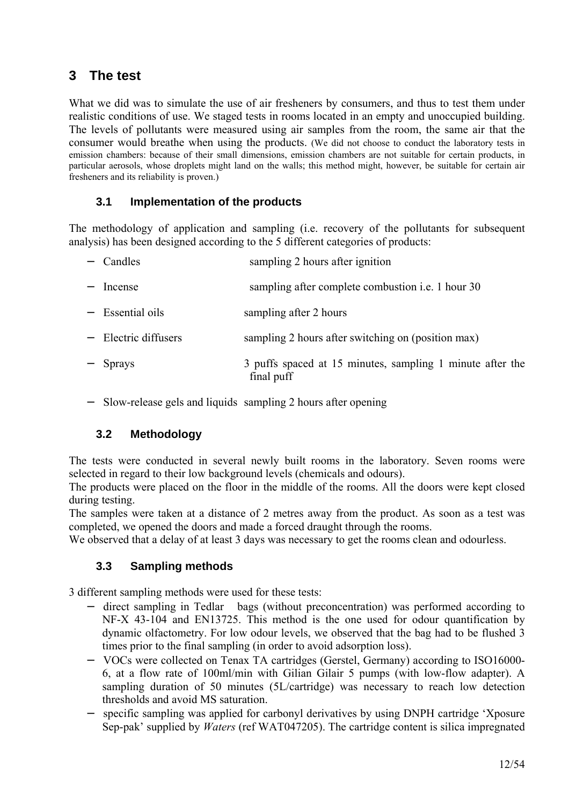## **3 The test**

What we did was to simulate the use of air fresheners by consumers, and thus to test them under realistic conditions of use. We staged tests in rooms located in an empty and unoccupied building. The levels of pollutants were measured using air samples from the room, the same air that the consumer would breathe when using the products. (We did not choose to conduct the laboratory tests in emission chambers: because of their small dimensions, emission chambers are not suitable for certain products, in particular aerosols, whose droplets might land on the walls; this method might, however, be suitable for certain air fresheners and its reliability is proven.)

## **3.1 Implementation of the products**

The methodology of application and sampling (i.e. recovery of the pollutants for subsequent analysis) has been designed according to the 5 different categories of products:

|     | - Candles            | sampling 2 hours after ignition                                         |
|-----|----------------------|-------------------------------------------------------------------------|
| $-$ | Incense              | sampling after complete combustion <i>i.e.</i> 1 hour 30                |
|     | $-$ Essential oils   | sampling after 2 hours                                                  |
|     | - Electric diffusers | sampling 2 hours after switching on (position max)                      |
|     | - Sprays             | 3 puffs spaced at 15 minutes, sampling 1 minute after the<br>final puff |

− Slow-release gels and liquids sampling 2 hours after opening

## **3.2 Methodology**

The tests were conducted in several newly built rooms in the laboratory. Seven rooms were selected in regard to their low background levels (chemicals and odours).

The products were placed on the floor in the middle of the rooms. All the doors were kept closed during testing.

The samples were taken at a distance of 2 metres away from the product. As soon as a test was completed, we opened the doors and made a forced draught through the rooms.

We observed that a delay of at least 3 days was necessary to get the rooms clean and odourless.

## **3.3 Sampling methods**

3 different sampling methods were used for these tests:

- − direct sampling in Tedlar<sup>®</sup> bags (without preconcentration) was performed according to NF-X 43-104 and EN13725. This method is the one used for odour quantification by dynamic olfactometry. For low odour levels, we observed that the bag had to be flushed 3 times prior to the final sampling (in order to avoid adsorption loss).
- − VOCs were collected on Tenax TA cartridges (Gerstel, Germany) according to ISO16000- 6, at a flow rate of 100ml/min with Gilian Gilair 5 pumps (with low-flow adapter). A sampling duration of 50 minutes (5L/cartridge) was necessary to reach low detection thresholds and avoid MS saturation.
- − specific sampling was applied for carbonyl derivatives by using DNPH cartridge 'Xposure Sep-pak' supplied by *Waters* (ref WAT047205). The cartridge content is silica impregnated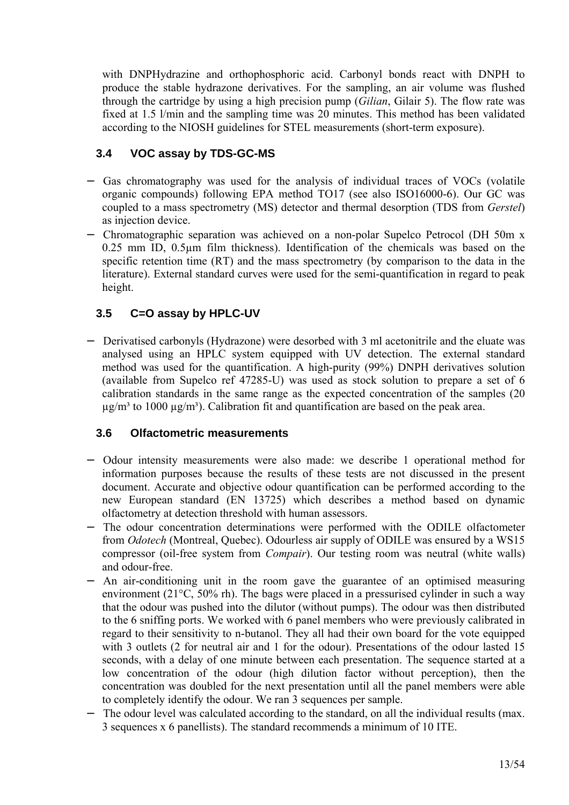with DNPHydrazine and orthophosphoric acid. Carbonyl bonds react with DNPH to produce the stable hydrazone derivatives. For the sampling, an air volume was flushed through the cartridge by using a high precision pump (*Gilian*, Gilair 5). The flow rate was fixed at 1.5 l/min and the sampling time was 20 minutes. This method has been validated according to the NIOSH guidelines for STEL measurements (short-term exposure).

## **3.4 VOC assay by TDS-GC-MS**

- − Gas chromatography was used for the analysis of individual traces of VOCs (volatile organic compounds) following EPA method TO17 (see also ISO16000-6). Our GC was coupled to a mass spectrometry (MS) detector and thermal desorption (TDS from Gerstel) as injection device.
- − Chromatographic separation was achieved on a non-polar Supelco Petrocol (DH 50m x 0.25 mm ID, 0.5µm film thickness). Identification of the chemicals was based on the specific retention time (RT) and the mass spectrometry (by comparison to the data in the literature). External standard curves were used for the semi-quantification in regard to peak height.

## **3.5 C=O assay by HPLC-UV**

− Derivatised carbonyls (Hydrazone) were desorbed with 3 ml acetonitrile and the eluate was analysed using an HPLC system equipped with UV detection. The external standard method was used for the quantification. A high-purity (99%) DNPH derivatives solution (available from Supelco ref 47285-U) was used as stock solution to prepare a set of 6 calibration standards in the same range as the expected concentration of the samples (20  $\mu$ g/m<sup>3</sup> to 1000  $\mu$ g/m<sup>3</sup>). Calibration fit and quantification are based on the peak area.

## **3.6 Olfactometric measurements**

- − Odour intensity measurements were also made: we describe 1 operational method for information purposes because the results of these tests are not discussed in the present document. Accurate and objective odour quantification can be performed according to the new European standard (EN 13725) which describes a method based on dynamic olfactometry at detection threshold with human assessors.
- − The odour concentration determinations were performed with the ODILE olfactometer from Odotech (Montreal, Quebec). Odourless air supply of ODILE was ensured by a WS15 compressor (oil-free system from Compair). Our testing room was neutral (white walls) and odour-free.
- − An air-conditioning unit in the room gave the guarantee of an optimised measuring environment (21°C, 50% rh). The bags were placed in a pressurised cylinder in such a way that the odour was pushed into the dilutor (without pumps). The odour was then distributed to the 6 sniffing ports. We worked with 6 panel members who were previously calibrated in regard to their sensitivity to n-butanol. They all had their own board for the vote equipped with 3 outlets (2 for neutral air and 1 for the odour). Presentations of the odour lasted 15 seconds, with a delay of one minute between each presentation. The sequence started at a low concentration of the odour (high dilution factor without perception), then the concentration was doubled for the next presentation until all the panel members were able to completely identify the odour. We ran 3 sequences per sample.
- − The odour level was calculated according to the standard, on all the individual results (max. 3 sequences x 6 panellists). The standard recommends a minimum of 10 ITE.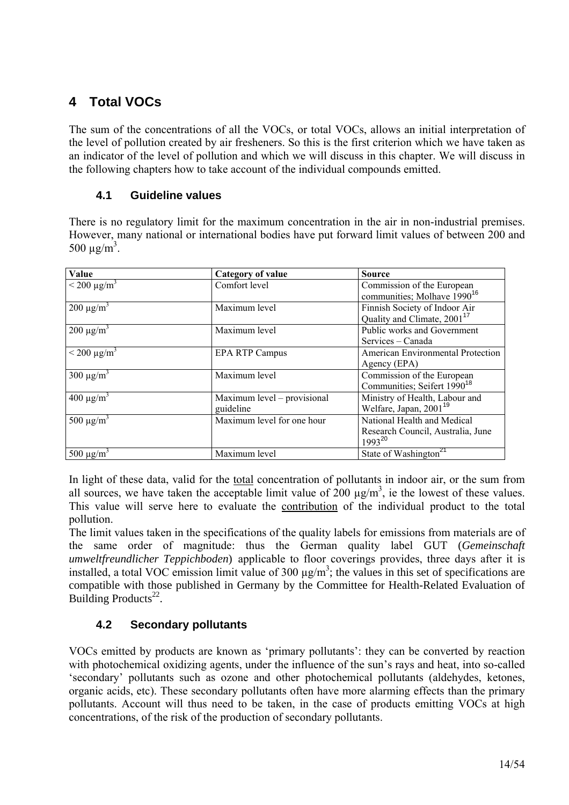## **4 Total VOCs**

The sum of the concentrations of all the VOCs, or total VOCs, allows an initial interpretation of the level of pollution created by air fresheners. So this is the first criterion which we have taken as an indicator of the level of pollution and which we will discuss in this chapter. We will discuss in the following chapters how to take account of the individual compounds emitted.

## **4.1 Guideline values**

There is no regulatory limit for the maximum concentration in the air in non-industrial premises. However, many national or international bodies have put forward limit values of between 200 and 500 μg/m<sup>3</sup>.

| Value                      | <b>Category of value</b>    | <b>Source</b>                           |
|----------------------------|-----------------------------|-----------------------------------------|
| $< 200 \mu g/m^3$          | Comfort level               | Commission of the European              |
|                            |                             | communities; Molhave 1990 <sup>16</sup> |
| $200 \mu g/m^3$            | Maximum level               | Finnish Society of Indoor Air           |
|                            |                             | Quality and Climate, 2001 <sup>17</sup> |
| $200 \mu g/m^3$            | Maximum level               | Public works and Government             |
|                            |                             | Services – Canada                       |
| $< 200 \mu g/m^3$          | <b>EPA RTP Campus</b>       | American Environmental Protection       |
|                            |                             | Agency (EPA)                            |
| 300 $\mu$ g/m <sup>3</sup> | Maximum level               | Commission of the European              |
|                            |                             | Communities; Seifert 1990 <sup>18</sup> |
| $400 \mu g/m^3$            | Maximum level – provisional | Ministry of Health, Labour and          |
|                            | guideline                   | Welfare, Japan, 2001 <sup>19</sup>      |
| 500 $\mu$ g/m <sup>3</sup> | Maximum level for one hour  | National Health and Medical             |
|                            |                             | Research Council, Australia, June       |
|                            |                             | 199320                                  |
| 500 $\mu$ g/m <sup>3</sup> | Maximum level               | State of Washington <sup>21</sup>       |

In light of these data, valid for the total concentration of pollutants in indoor air, or the sum from all sources, we have taken the acceptable limit value of  $200 \mu g/m^3$ , ie the lowest of these values. This value will serve here to evaluate the contribution of the individual product to the total pollution.

The limit values taken in the specifications of the quality labels for emissions from materials are of the same order of magnitude: thus the German quality label GUT (*Gemeinschaft umweltfreundlicher Teppichboden*) applicable to floor coverings provides, three days after it is installed, a total VOC emission limit value of 300  $\mu$ g/m<sup>3</sup>; the values in this set of specifications are compatible with those published in Germany by the Committee for Health-Related Evaluation of Building Products<sup>22</sup>.

## **4.2 Secondary pollutants**

VOCs emitted by products are known as 'primary pollutants': they can be converted by reaction with photochemical oxidizing agents, under the influence of the sun's rays and heat, into so-called 'secondary' pollutants such as ozone and other photochemical pollutants (aldehydes, ketones, organic acids, etc). These secondary pollutants often have more alarming effects than the primary pollutants. Account will thus need to be taken, in the case of products emitting VOCs at high concentrations, of the risk of the production of secondary pollutants.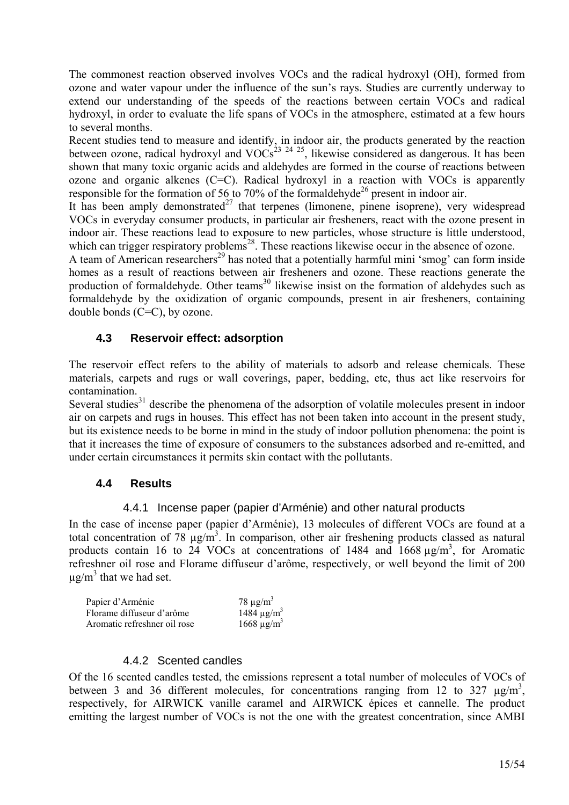The commonest reaction observed involves VOCs and the radical hydroxyl (OH), formed from ozone and water vapour under the influence of the sun's rays. Studies are currently underway to extend our understanding of the speeds of the reactions between certain VOCs and radical hydroxyl, in order to evaluate the life spans of VOCs in the atmosphere, estimated at a few hours to several months.

Recent studies tend to measure and identify, in indoor air, the products generated by the reaction between ozone, radical hydroxyl and  $VOCs<sup>23</sup> <sup>24</sup> <sup>25</sup>$ , likewise considered as dangerous. It has been shown that many toxic organic acids and aldehydes are formed in the course of reactions between ozone and organic alkenes (C=C). Radical hydroxyl in a reaction with VOCs is apparently responsible for the formation of 56 to 70% of the formaldehyde<sup>26</sup> present in indoor air.

It has been amply demonstrated<sup>27</sup> that terpenes (limonene, pinene isoprene), very widespread VOCs in everyday consumer products, in particular air fresheners, react with the ozone present in indoor air. These reactions lead to exposure to new particles, whose structure is little understood, which can trigger respiratory problems<sup>28</sup>. These reactions likewise occur in the absence of ozone.

A team of American researchers<sup>29</sup> has noted that a potentially harmful mini 'smog' can form inside homes as a result of reactions between air fresheners and ozone. These reactions generate the production of formaldehyde. Other teams<sup>30</sup> likewise insist on the formation of aldehydes such as formaldehyde by the oxidization of organic compounds, present in air fresheners, containing double bonds (C=C), by ozone.

## **4.3 Reservoir effect: adsorption**

The reservoir effect refers to the ability of materials to adsorb and release chemicals. These materials, carpets and rugs or wall coverings, paper, bedding, etc, thus act like reservoirs for contamination.

Several studies<sup>31</sup> describe the phenomena of the adsorption of volatile molecules present in indoor air on carpets and rugs in houses. This effect has not been taken into account in the present study, but its existence needs to be borne in mind in the study of indoor pollution phenomena: the point is that it increases the time of exposure of consumers to the substances adsorbed and re-emitted, and under certain circumstances it permits skin contact with the pollutants.

## **4.4 Results**

## 4.4.1 Incense paper (papier d'Arménie) and other natural products

In the case of incense paper (papier d'Arménie), 13 molecules of different VOCs are found at a total concentration of  $\overline{78}$   $\mu$ g/m<sup>3</sup>. In comparison, other air freshening products classed as natural products contain 16 to 24 VOCs at concentrations of 1484 and  $1668 \mu g/m^3$ , for Aromatic refreshner oil rose and Florame diffuseur d'arôme, respectively, or well beyond the limit of 200  $\mu$ g/m<sup>3</sup> that we had set.

| Papier d'Arménie             | $78 \mu g/m^3$              |
|------------------------------|-----------------------------|
| Florame diffuseur d'arôme    | 1484 $\mu$ g/m <sup>3</sup> |
| Aromatic refreshner oil rose | $1668 \mu g/m^3$            |

## 4.4.2 Scented candles

Of the 16 scented candles tested, the emissions represent a total number of molecules of VOCs of between 3 and 36 different molecules, for concentrations ranging from 12 to 327  $\mu$ g/m<sup>3</sup>, respectively, for AIRWICK vanille caramel and AIRWICK épices et cannelle. The product emitting the largest number of VOCs is not the one with the greatest concentration, since AMBI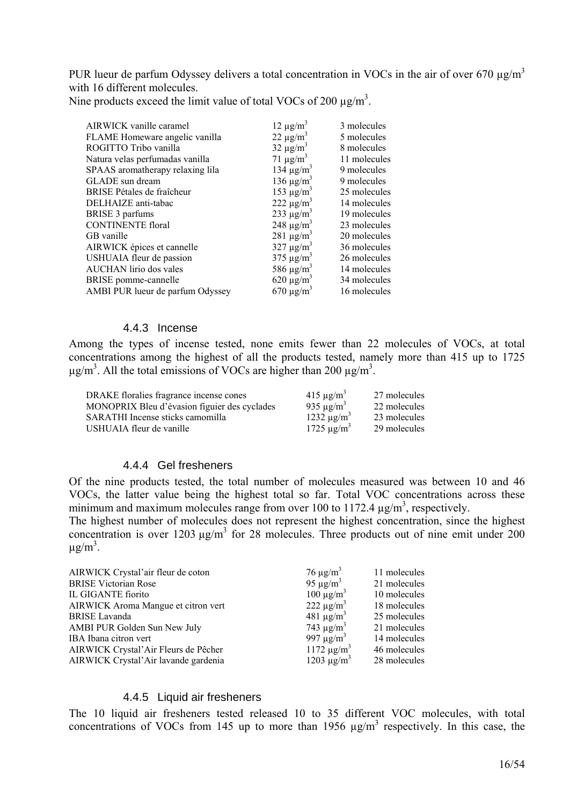PUR lueur de parfum Odyssey delivers a total concentration in VOCs in the air of over 670  $\mu$ g/m<sup>3</sup> with 16 different molecules.

Nine products exceed the limit value of total VOCs of 200  $\mu$ g/m<sup>3</sup>.

| AIRWICK vanille caramel          | $12 \mu g/m^3$             | 3 molecules  |
|----------------------------------|----------------------------|--------------|
| FLAME Homeware angelic vanilla   | $22 \mu g/m^3$             | 5 molecules  |
| ROGITTO Tribo vanilla            | $32 \mu g/m^3$             | 8 molecules  |
| Natura velas perfumadas vanilla  | $71 \mu g/m^3$             | 11 molecules |
| SPAAS aromatherapy relaxing lila | 134 $\mu$ g/m <sup>3</sup> | 9 molecules  |
| GLADE sun dream                  | $136 \mu g/m^3$            | 9 molecules  |
| BRISE Pétales de fraîcheur       | $153 \mu g/m^3$            | 25 molecules |
| DELHAIZE anti-tabac              | 222 $\mu$ g/m <sup>3</sup> | 14 molecules |
| <b>BRISE 3 parfums</b>           | 233 $\mu$ g/m <sup>3</sup> | 19 molecules |
| <b>CONTINENTE</b> floral         | 248 $\mu$ g/m <sup>3</sup> | 23 molecules |
| GB vanille                       | $281 \mu g/m^3$            | 20 molecules |
| AIRWICK épices et cannelle       | $327 \mu g/m^3$            | 36 molecules |
| USHUAIA fleur de passion         | 375 $\mu$ g/m <sup>3</sup> | 26 molecules |
| AUCHAN lirio dos vales           | 586 $\mu$ g/m <sup>3</sup> | 14 molecules |
| BRISE pomme-cannelle             | 620 $\mu$ g/m <sup>3</sup> | 34 molecules |
| AMBI PUR lueur de parfum Odyssey | $670 \mu g/m^3$            | 16 molecules |

#### 4.4.3 Incense

Among the types of incense tested, none emits fewer than 22 molecules of VOCs, at total concentrations among the highest of all the products tested, namely more than 415 up to 1725  $\mu$ g/m<sup>3</sup>. All the total emissions of VOCs are higher than 200  $\mu$ g/m<sup>3</sup>.

| DRAKE floralies fragrance incense cones      | $415 \mu g/m^3$             | 27 molecules |
|----------------------------------------------|-----------------------------|--------------|
| MONOPRIX Bleu d'évasion figuier des cyclades | 935 $\mu$ g/m <sup>3</sup>  | 22 molecules |
| SARATHI Incense sticks camomilla             | 1232 $\mu$ g/m <sup>3</sup> | 23 molecules |
| USHUAIA fleur de vanille                     | $1725 \text{ µg/m}^3$       | 29 molecules |
|                                              |                             |              |

## 4.4.4 Gel fresheners

Of the nine products tested, the total number of molecules measured was between 10 and 46 VOCs, the latter value being the highest total so far. Total VOC concentrations across these minimum and maximum molecules range from over 100 to 1172.4  $\mu$ g/m<sup>3</sup>, respectively.

The highest number of molecules does not represent the highest concentration, since the highest concentration is over  $1203 \mu g/m^3$  for 28 molecules. Three products out of nine emit under 200  $\mu$ g/m<sup>3</sup>.

| AIRWICK Crystal'air fleur de coton   | $76 \mu g/m^3$              | 11 molecules |
|--------------------------------------|-----------------------------|--------------|
| <b>BRISE Victorian Rose</b>          | 95 $\mu$ g/m <sup>3</sup>   | 21 molecules |
| IL GIGANTE fiorito                   | $100 \mu g/m^3$             | 10 molecules |
| AIRWICK Aroma Mangue et citron vert  | 222 $\mu$ g/m <sup>3</sup>  | 18 molecules |
| <b>BRISE</b> Lavanda                 | 481 $\mu$ g/m <sup>3</sup>  | 25 molecules |
| AMBI PUR Golden Sun New July         | 743 $\mu$ g/m <sup>3</sup>  | 21 molecules |
| IBA Ibana citron vert                | 997 $\mu$ g/m <sup>3</sup>  | 14 molecules |
| AIRWICK Crystal'Air Fleurs de Pêcher | $1172 \mu g/m^3$            | 46 molecules |
| AIRWICK Crystal'Air lavande gardenia | 1203 $\mu$ g/m <sup>3</sup> | 28 molecules |
|                                      |                             |              |

#### 4.4.5 Liquid air fresheners

The 10 liquid air fresheners tested released 10 to 35 different VOC molecules, with total concentrations of VOCs from 145 up to more than 1956  $\mu$ g/m<sup>3</sup> respectively. In this case, the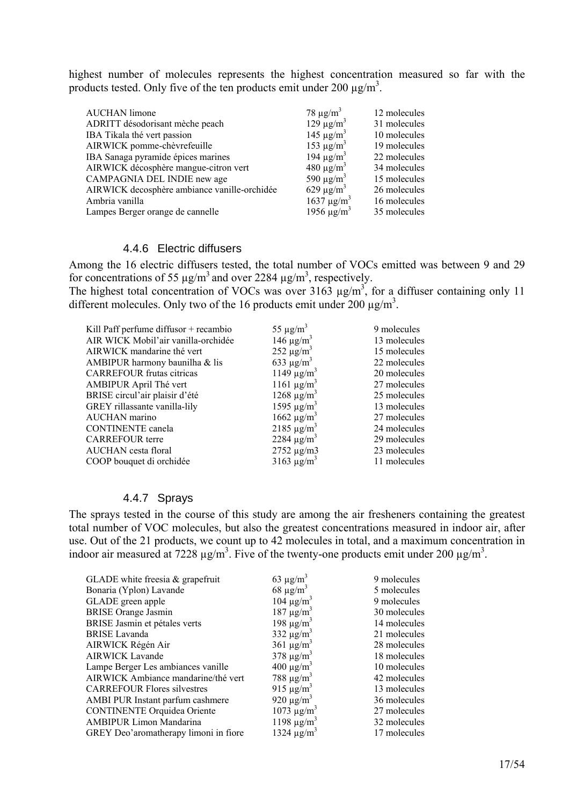highest number of molecules represents the highest concentration measured so far with the products tested. Only five of the ten products emit under 200  $\mu$ g/m<sup>3</sup>.

| <b>AUCHAN</b> limone                         | $78 \mu g/m^3$              | 12 molecules |
|----------------------------------------------|-----------------------------|--------------|
| ADRITT désodorisant mèche peach              | $129 \mu g/m^3$             | 31 molecules |
| IBA Tikala thé vert passion                  | 145 $\mu$ g/m <sup>3</sup>  | 10 molecules |
| AIRWICK pomme-chèvrefeuille                  | $153 \mu g/m^3$             | 19 molecules |
| IBA Sanaga pyramide épices marines           | 194 $\mu$ g/m <sup>3</sup>  | 22 molecules |
| AIRWICK décosphère mangue-citron vert        | $480 \text{ µg/m}^3$        | 34 molecules |
| CAMPAGNIA DEL INDIE new age                  | 590 $\mu$ g/m <sup>3</sup>  | 15 molecules |
| AIRWICK decosphère ambiance vanille-orchidée | 629 $\mu$ g/m <sup>3</sup>  | 26 molecules |
| Ambria vanilla                               | $1637 \mu g/m^3$            | 16 molecules |
| Lampes Berger orange de cannelle             | 1956 $\mu$ g/m <sup>3</sup> | 35 molecules |

## 4.4.6 Electric diffusers

Among the 16 electric diffusers tested, the total number of VOCs emitted was between 9 and 29 for concentrations of 55  $\mu$ g/m<sup>3</sup> and over 2284  $\mu$ g/m<sup>3</sup>, respectively.

The highest total concentration of VOCs was over  $3163 \mu g/m^3$ , for a diffuser containing only 11 different molecules. Only two of the 16 products emit under 200  $\mu$ g/m<sup>3</sup>.

| Kill Paff perfume diffusor + recambio | 55 $\mu$ g/m <sup>3</sup>   | 9 molecules  |
|---------------------------------------|-----------------------------|--------------|
| AIR WICK Mobil'air vanilla-orchidée   | 146 $\mu$ g/m <sup>3</sup>  | 13 molecules |
| AIRWICK mandarine thé vert            | 252 $\mu$ g/m <sup>3</sup>  | 15 molecules |
| AMBIPUR harmony baunilha & lis        | 633 $\mu$ g/m <sup>3</sup>  | 22 molecules |
| <b>CARREFOUR frutas citricas</b>      | $1149 \mu g/m^3$            | 20 molecules |
| AMBIPUR April Thé vert                | 1161 $\mu$ g/m <sup>3</sup> | 27 molecules |
| BRISE circul'air plaisir d'été        | $1268 \mu g/m^3$            | 25 molecules |
| GREY rillassante vanilla-lily         | 1595 $\mu$ g/m <sup>3</sup> | 13 molecules |
| AUCHAN marino                         | 1662 $\mu$ g/m <sup>3</sup> | 27 molecules |
| CONTINENTE canela                     | $2185 \mu g/m^3$            | 24 molecules |
| <b>CARREFOUR</b> terre                | 2284 $\mu$ g/m <sup>3</sup> | 29 molecules |
| AUCHAN cesta floral                   | $2752 \mu g/m3$             | 23 molecules |
| COOP bouquet di orchidée              | 3163 $\mu$ g/m <sup>3</sup> | 11 molecules |

#### 4.4.7 Sprays

The sprays tested in the course of this study are among the air fresheners containing the greatest total number of VOC molecules, but also the greatest concentrations measured in indoor air, after use. Out of the 21 products, we count up to 42 molecules in total, and a maximum concentration in indoor air measured at 7228  $\mu$ g/m<sup>3</sup>. Five of the twenty-one products emit under 200  $\mu$ g/m<sup>3</sup>.

| 63 $\mu$ g/m <sup>3</sup>   | 9 molecules                 |
|-----------------------------|-----------------------------|
| 68 $\mu$ g/m <sup>3</sup>   | 5 molecules                 |
| $104 \mu g/m^3$             | 9 molecules                 |
| $187 \mu g/m^3$             | 30 molecules                |
| 198 $\mu$ g/m <sup>3</sup>  | 14 molecules                |
| 332 $\mu$ g/m <sup>3</sup>  | 21 molecules                |
| $361 \text{ µg/m}^3$        | 28 molecules                |
| 378 $\mu$ g/m <sup>3</sup>  | 18 molecules                |
| $400 \mu g/m^3$             | 10 molecules                |
| 788 $\mu$ g/m <sup>3</sup>  | 42 molecules                |
| 915 $\mu$ g/m <sup>3</sup>  | 13 molecules                |
| 920 $\mu$ g/m <sup>3</sup>  | 36 molecules                |
| $1073 \mu g/m^3$            | 27 molecules                |
| 1198 $\mu$ g/m <sup>3</sup> | 32 molecules                |
|                             | 17 molecules                |
|                             | 1324 $\mu$ g/m <sup>3</sup> |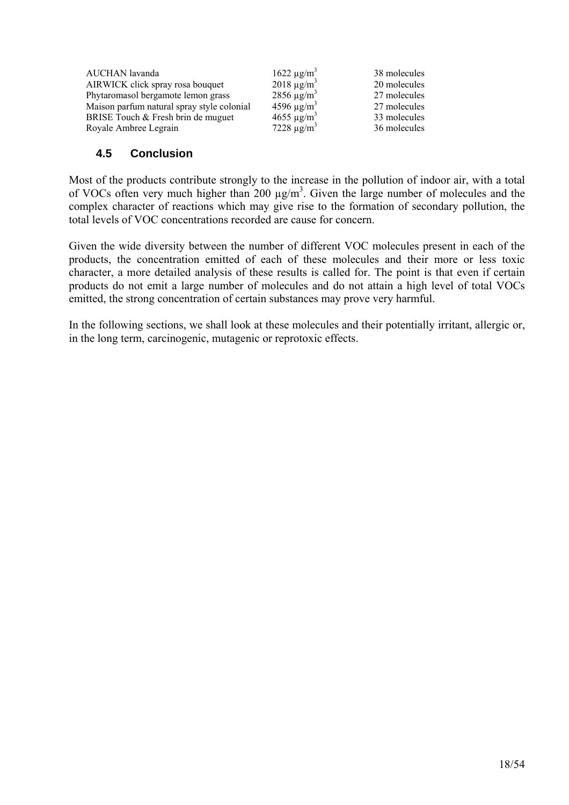| AUCHAN lavanda                             | $1622 \mu g/m^3$            | 38 molecules |
|--------------------------------------------|-----------------------------|--------------|
| AIRWICK click spray rosa bouquet           | $2018 \mu g/m^3$            | 20 molecules |
| Phytaromasol bergamote lemon grass         | $2856 \mu g/m^3$            | 27 molecules |
| Maison parfum natural spray style colonial | 4596 $\mu$ g/m <sup>3</sup> | 27 molecules |
| BRISE Touch & Fresh brin de muguet         | 4655 $\mu$ g/m <sup>3</sup> | 33 molecules |
| Royale Ambree Legrain                      | 7228 $\mu$ g/m <sup>3</sup> | 36 molecules |

## **4.5 Conclusion**

Most of the products contribute strongly to the increase in the pollution of indoor air, with a total of VOCs often very much higher than  $200 \mu g/m<sup>3</sup>$ . Given the large number of molecules and the complex character of reactions which may give rise to the formation of secondary pollution, the total levels of VOC concentrations recorded are cause for concern.

Given the wide diversity between the number of different VOC molecules present in each of the products, the concentration emitted of each of these molecules and their more or less toxic character, a more detailed analysis of these results is called for. The point is that even if certain products do not emit a large number of molecules and do not attain a high level of total VOCs emitted, the strong concentration of certain substances may prove very harmful.

In the following sections, we shall look at these molecules and their potentially irritant, allergic or, in the long term, carcinogenic, mutagenic or reprotoxic effects.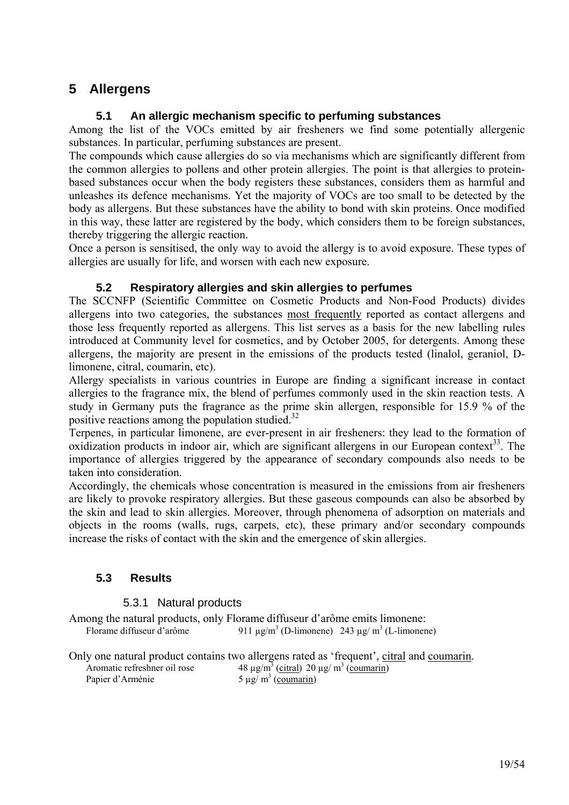## **5 Allergens**

## **5.1 An allergic mechanism specific to perfuming substances**

Among the list of the VOCs emitted by air fresheners we find some potentially allergenic substances. In particular, perfuming substances are present.

The compounds which cause allergies do so via mechanisms which are significantly different from the common allergies to pollens and other protein allergies. The point is that allergies to proteinbased substances occur when the body registers these substances, considers them as harmful and unleashes its defence mechanisms. Yet the majority of VOCs are too small to be detected by the body as allergens. But these substances have the ability to bond with skin proteins. Once modified in this way, these latter are registered by the body, which considers them to be foreign substances, thereby triggering the allergic reaction.

Once a person is sensitised, the only way to avoid the allergy is to avoid exposure. These types of allergies are usually for life, and worsen with each new exposure.

## **5.2 Respiratory allergies and skin allergies to perfumes**

The SCCNFP (Scientific Committee on Cosmetic Products and Non-Food Products) divides allergens into two categories, the substances most frequently reported as contact allergens and those less frequently reported as allergens. This list serves as a basis for the new labelling rules introduced at Community level for cosmetics, and by October 2005, for detergents. Among these allergens, the majority are present in the emissions of the products tested (linalol, geraniol, Dlimonene, citral, coumarin, etc).

Allergy specialists in various countries in Europe are finding a significant increase in contact allergies to the fragrance mix, the blend of perfumes commonly used in the skin reaction tests. A study in Germany puts the fragrance as the prime skin allergen, responsible for 15.9 % of the positive reactions among the population studied. $32$ 

Terpenes, in particular limonene, are ever-present in air fresheners: they lead to the formation of oxidization products in indoor air, which are significant allergens in our European context<sup>33</sup>. The importance of allergies triggered by the appearance of secondary compounds also needs to be taken into consideration.

Accordingly, the chemicals whose concentration is measured in the emissions from air fresheners are likely to provoke respiratory allergies. But these gaseous compounds can also be absorbed by the skin and lead to skin allergies. Moreover, through phenomena of adsorption on materials and objects in the rooms (walls, rugs, carpets, etc), these primary and/or secondary compounds increase the risks of contact with the skin and the emergence of skin allergies.

## **5.3 Results**

## 5.3.1 Natural products

- Among the natural products, only Florame diffuseur d'arôme emits limonene: Florame diffuseur d'arôme (D-limonene)  $243 \mu g/m^3$  (L-limonene)
- Only one natural product contains two allergens rated as 'frequent', citral and coumarin.

Aromatic refreshner oil rose Papier d'Arménie

 $(citral)$  20 µg/ m<sup>3</sup>  $(coumarin)$  $5 \mu g/m^3$  (coumarin)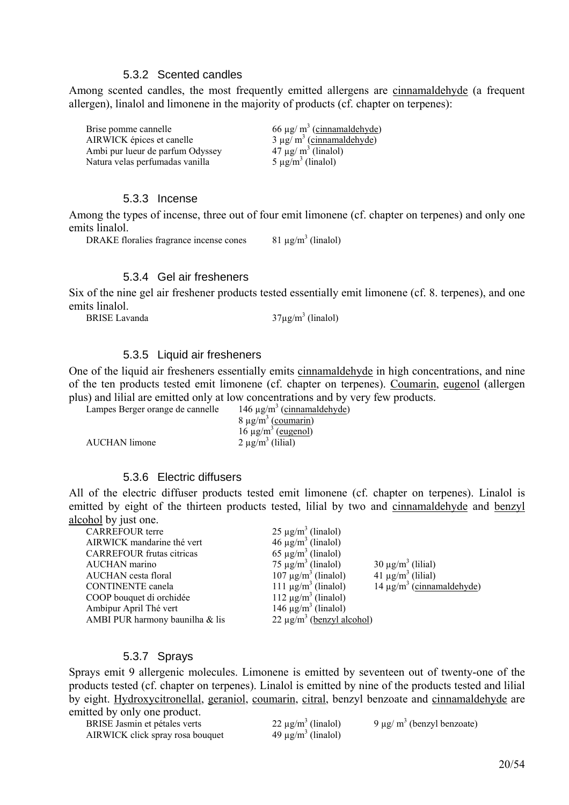#### 5.3.2 Scented candles

Among scented candles, the most frequently emitted allergens are cinnamaldehyde (a frequent allergen), linalol and limonene in the majority of products (cf. chapter on terpenes):

Brise pomme cannelle AIRWICK épices et canelle Ambi pur lueur de parfum Odyssey Natura velas perfumadas vanilla

66  $\mu$ g/m<sup>3</sup> (cinnamaldehyde)  $3 \mu g/m^3$  (cinnamaldehyde)  $47 \mu g/m^3$  (linalol)  $5 \mu g/m^3$  (linalol)

#### 5.3.3 Incense

Among the types of incense, three out of four emit limonene (cf. chapter on terpenes) and only one emits linalol.

DRAKE floralies fragrance incense cones  $81 \text{ µg/m}^3$  (linalol)

#### 5.3.4 Gel air fresheners

Six of the nine gel air freshener products tested essentially emit limonene (cf. 8. terpenes), and one emits linalol.

BRISE Lavanda

 $37\mu$ g/m<sup>3</sup> (linalol)

#### 5.3.5 Liquid air fresheners

One of the liquid air fresheners essentially emits cinnamaldehyde in high concentrations, and nine of the ten products tested emit limonene (cf. chapter on terpenes). Coumarin, eugenol (allergen plus) and lilial are emitted only at low concentrations and by very few products.  $146 \mu g/m^3$  (cinnamaldehyde)

Lampes Berger orange de cannelle

|               | $8 \mu g/m^3$ (coumarin) |
|---------------|--------------------------|
|               | $16 \mu g/m^3$ (eugenol) |
| AUCHAN limone | $2 \mu g/m^3$ (lilial)   |

#### 5.3.6 Electric diffusers

All of the electric diffuser products tested emit limonene (cf. chapter on terpenes). Linalol is emitted by eight of the thirteen products tested, lilial by two and cinnamaldehyde and benzyl alcohol by just one.

| <b>CARREFOUR</b> terre           | $25 \mu g/m^3$ (linalol)             |                                    |
|----------------------------------|--------------------------------------|------------------------------------|
| AIRWICK mandarine thé vert       | $46 \mu g/m^3$ (linalol)             |                                    |
| <b>CARREFOUR frutas citricas</b> | 65 $\mu$ g/m <sup>3</sup> (linalol)  |                                    |
| AUCHAN marino                    | $75 \mu g/m^3$ (linalol)             | $30 \mu g/m^3$ (lilial)            |
| AUCHAN cesta floral              | 107 $\mu$ g/m <sup>3</sup> (linalol) | 41 $\mu$ g/m <sup>3</sup> (lilial) |
| <b>CONTINENTE</b> canela         | 111 $\mu$ g/m <sup>3</sup> (linalol) | $14 \mu g/m^3$ (cinnamaldehyde)    |
| COOP bouquet di orchidée         | 112 $\mu$ g/m <sup>3</sup> (linalol) |                                    |
| Ambipur April Thé vert           | 146 $\mu$ g/m <sup>3</sup> (linalol) |                                    |
| AMBI PUR harmony baunilha & lis  | $22 \mu g/m^3$ (benzyl alcohol)      |                                    |

#### 5.3.7 Sprays

Sprays emit 9 allergenic molecules. Limonene is emitted by seventeen out of twenty-one of the products tested (cf. chapter on terpenes). Linalol is emitted by nine of the products tested and lilial by eight. Hydroxycitronellal, geraniol, coumarin, citral, benzyl benzoate and cinnamaldehyde are emitted by only one product.

| BRISE Jasmin et pétales verts    | $22 \mu g/m^3$ (linalol) | 9 µg/ $m^3$ (benzyl benzoate) |
|----------------------------------|--------------------------|-------------------------------|
| AIRWICK click spray rosa bouquet | $49 \mu g/m3$ (linalol)  |                               |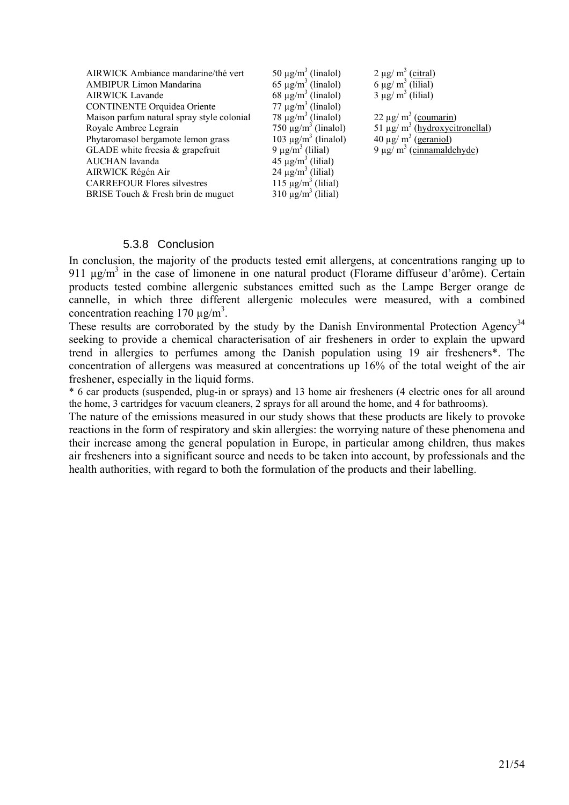| AIRWICK Ambiance mandarine/thé vert        | 50 $\mu$ g/m <sup>3</sup> (linalol) | $2 \mu g/m^3$ (citral)             |
|--------------------------------------------|-------------------------------------|------------------------------------|
| <b>AMBIPUR Limon Mandarina</b>             | 65 $\mu$ g/m <sup>3</sup> (linalol) | 6 $\mu$ g/ m <sup>3</sup> (lilial) |
| <b>AIRWICK Lavande</b>                     | 68 $\mu$ g/m <sup>3</sup> (linalol) | $3 \mu g/m^3$ (lilial)             |
| <b>CONTINENTE Orquidea Oriente</b>         | $77 \mu g/m^3$ (linalol)            |                                    |
| Maison parfum natural spray style colonial | $78 \mu g/m^3$ (linalol)            | $22 \mu g/m^3$ (coumarin)          |
| Royale Ambree Legrain                      | $750 \mu g/m^3$ (linalol)           | 51 µg/ $m^3$ (hydroxycitronellal)  |
| Phytaromasol bergamote lemon grass         | 103 μg/m <sup>3</sup> (linalol)     | $40 \mu g/m^3$ (geraniol)          |
| GLADE white freesia $&$ grapefruit         | 9 $\mu$ g/m <sup>3</sup> (lilial)   | 9 µg/ $m^3$ (cinnamaldehyde)       |
| AUCHAN lavanda                             | $45 \mu g/m^3$ (lilial)             |                                    |
| AIRWICK Régén Air                          | $24 \mu g/m^3$ (lilial)             |                                    |
| <b>CARREFOUR Flores silvestres</b>         | $115 \mu g/m3$ (lilial)             |                                    |
| BRISE Touch & Fresh brin de muguet         | $310 \mu g/m^3$ (lilial)            |                                    |

#### 5.3.8 Conclusion

In conclusion, the majority of the products tested emit allergens, at concentrations ranging up to 911 µg/m<sup>3</sup> in the case of limonene in one natural product (Florame diffuseur d'arôme). Certain products tested combine allergenic substances emitted such as the Lampe Berger orange de cannelle, in which three different allergenic molecules were measured, with a combined concentration reaching 170  $\mu$ g/m<sup>3</sup>.

These results are corroborated by the study by the Danish Environmental Protection Agency<sup>34</sup> seeking to provide a chemical characterisation of air fresheners in order to explain the upward trend in allergies to perfumes among the Danish population using 19 air fresheners\*. The concentration of allergens was measured at concentrations up 16% of the total weight of the air freshener, especially in the liquid forms.

\* 6 car products (suspended, plug-in or sprays) and 13 home air fresheners (4 electric ones for all around the home, 3 cartridges for vacuum cleaners, 2 sprays for all around the home, and 4 for bathrooms).

The nature of the emissions measured in our study shows that these products are likely to provoke reactions in the form of respiratory and skin allergies: the worrying nature of these phenomena and their increase among the general population in Europe, in particular among children, thus makes air fresheners into a significant source and needs to be taken into account, by professionals and the health authorities, with regard to both the formulation of the products and their labelling.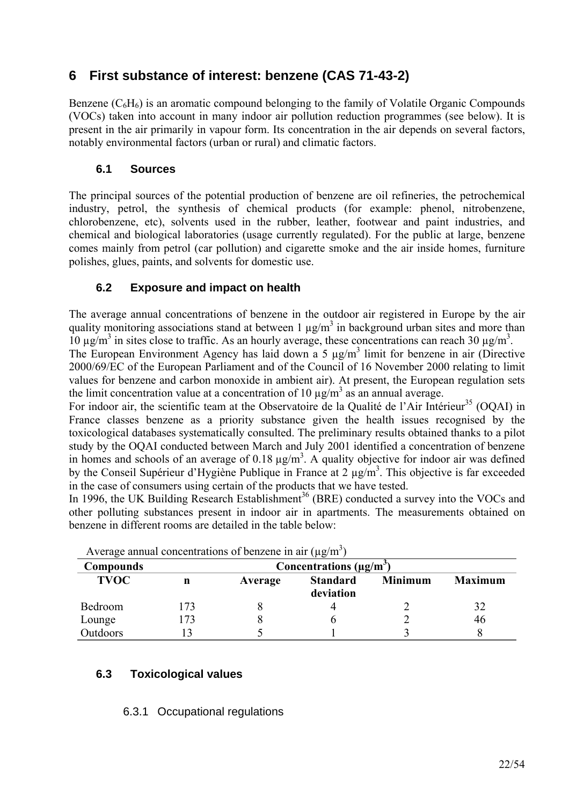## **6 First substance of interest: benzene (CAS 71-43-2)**

Benzene  $(C_6H_6)$  is an aromatic compound belonging to the family of Volatile Organic Compounds (VOCs) taken into account in many indoor air pollution reduction programmes (see below). It is present in the air primarily in vapour form. Its concentration in the air depends on several factors, notably environmental factors (urban or rural) and climatic factors.

## **6.1 Sources**

The principal sources of the potential production of benzene are oil refineries, the petrochemical industry, petrol, the synthesis of chemical products (for example: phenol, nitrobenzene, chlorobenzene, etc), solvents used in the rubber, leather, footwear and paint industries, and chemical and biological laboratories (usage currently regulated). For the public at large, benzene comes mainly from petrol (car pollution) and cigarette smoke and the air inside homes, furniture polishes, glues, paints, and solvents for domestic use.

## **6.2 Exposure and impact on health**

The average annual concentrations of benzene in the outdoor air registered in Europe by the air quality monitoring associations stand at between  $1 \mu g/m^3$  in background urban sites and more than 10 μg/m<sup>3</sup> in sites close to traffic. As an hourly average, these concentrations can reach 30 μg/m<sup>3</sup>.

The European Environment Agency has laid down a 5  $\mu$ g/m<sup>3</sup> limit for benzene in air (Directive 2000/69/EC of the European Parliament and of the Council of 16 November 2000 relating to limit values for benzene and carbon monoxide in ambient air). At present, the European regulation sets the limit concentration value at a concentration of 10  $\mu$ g/m<sup>3</sup> as an annual average.

For indoor air, the scientific team at the Observatoire de la Qualité de l'Air Intérieur<sup>35</sup> (OOAI) in France classes benzene as a priority substance given the health issues recognised by the toxicological databases systematically consulted. The preliminary results obtained thanks to a pilot study by the OQAI conducted between March and July 2001 identified a concentration of benzene in homes and schools of an average of 0.18  $\mu$ g/m<sup>3</sup>. A quality objective for indoor air was defined by the Conseil Supérieur d'Hygiène Publique in France at  $2 \mu g/m^3$ . This objective is far exceeded in the case of consumers using certain of the products that we have tested.

In 1996, the UK Building Research Establishment<sup>36</sup> (BRE) conducted a survey into the VOCs and other polluting substances present in indoor air in apartments. The measurements obtained on benzene in different rooms are detailed in the table below:

| Average annual concentrations of ocuzene in an (ug/m |                                           |         |                              |         |                |
|------------------------------------------------------|-------------------------------------------|---------|------------------------------|---------|----------------|
| <b>Compounds</b>                                     | Concentrations ( $\mu$ g/m <sup>3</sup> ) |         |                              |         |                |
| <b>TVOC</b>                                          | n                                         | Average | <b>Standard</b><br>deviation | Minimum | <b>Maximum</b> |
| Bedroom                                              | 173                                       |         |                              |         | 32             |
| Lounge                                               | 173                                       |         |                              |         | 46             |
| Outdoors                                             |                                           |         |                              |         |                |

Average annual concentrations of benzene in air  $(\mu g/m^3)$ 

## **6.3 Toxicological values**

## 6.3.1 Occupational regulations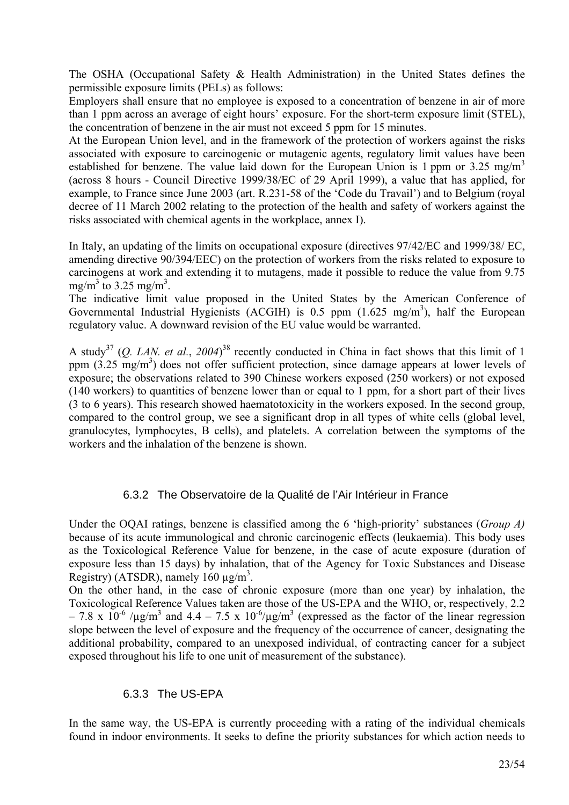The OSHA (Occupational Safety & Health Administration) in the United States defines the permissible exposure limits (PELs) as follows:

Employers shall ensure that no employee is exposed to a concentration of benzene in air of more than 1 ppm across an average of eight hours' exposure. For the short-term exposure limit (STEL), the concentration of benzene in the air must not exceed 5 ppm for 15 minutes.

At the European Union level, and in the framework of the protection of workers against the risks associated with exposure to carcinogenic or mutagenic agents, regulatory limit values have been established for benzene. The value laid down for the European Union is 1 ppm or 3.25 mg/m<sup>3</sup> (across 8 hours - Council Directive 1999/38/EC of 29 April 1999), a value that has applied, for example, to France since June 2003 (art. R.231-58 of the 'Code du Travail') and to Belgium (royal decree of 11 March 2002 relating to the protection of the health and safety of workers against the risks associated with chemical agents in the workplace, annex I).

In Italy, an updating of the limits on occupational exposure (directives 97/42/EC and 1999/38/ EC, amending directive 90/394/EEC) on the protection of workers from the risks related to exposure to carcinogens at work and extending it to mutagens, made it possible to reduce the value from 9.75 mg/m<sup>3</sup> to 3.25 mg/m<sup>3</sup>.

The indicative limit value proposed in the United States by the American Conference of Governmental Industrial Hygienists (ACGIH) is 0.5 ppm  $(1.625 \text{ mg/m}^3)$ , half the European regulatory value. A downward revision of the EU value would be warranted.

A study<sup>37</sup> (*Q. LAN. et al., 2004*)<sup>38</sup> recently conducted in China in fact shows that this limit of 1 ppm  $(3.25 \text{ mg/m}^3)$  does not offer sufficient protection, since damage appears at lower levels of exposure; the observations related to 390 Chinese workers exposed (250 workers) or not exposed (140 workers) to quantities of benzene lower than or equal to 1 ppm, for a short part of their lives (3 to 6 years). This research showed haematotoxicity in the workers exposed. In the second group, compared to the control group, we see a significant drop in all types of white cells (global level, granulocytes, lymphocytes, B cells), and platelets. A correlation between the symptoms of the workers and the inhalation of the benzene is shown.

## 6.3.2 The Observatoire de la Qualité de l'Air Intérieur in France

Under the OQAI ratings, benzene is classified among the 6 'high-priority' substances (*Group A*) because of its acute immunological and chronic carcinogenic effects (leukaemia). This body uses as the Toxicological Reference Value for benzene, in the case of acute exposure (duration of exposure less than 15 days) by inhalation, that of the Agency for Toxic Substances and Disease Registry) (ATSDR), namely  $160 \mu g/m^3$ .

On the other hand, in the case of chronic exposure (more than one year) by inhalation, the Toxicological Reference Values taken are those of the US-EPA and the WHO, or, respectively, 2.2  $-7.8 \times 10^{-6}$  /µg/m<sup>3</sup> and  $4.4 - 7.5 \times 10^{-6}$ /µg/m<sup>3</sup> (expressed as the factor of the linear regression slope between the level of exposure and the frequency of the occurrence of cancer, designating the additional probability, compared to an unexposed individual, of contracting cancer for a subject exposed throughout his life to one unit of measurement of the substance).

#### 6.3.3 The US-EPA

In the same way, the US-EPA is currently proceeding with a rating of the individual chemicals found in indoor environments. It seeks to define the priority substances for which action needs to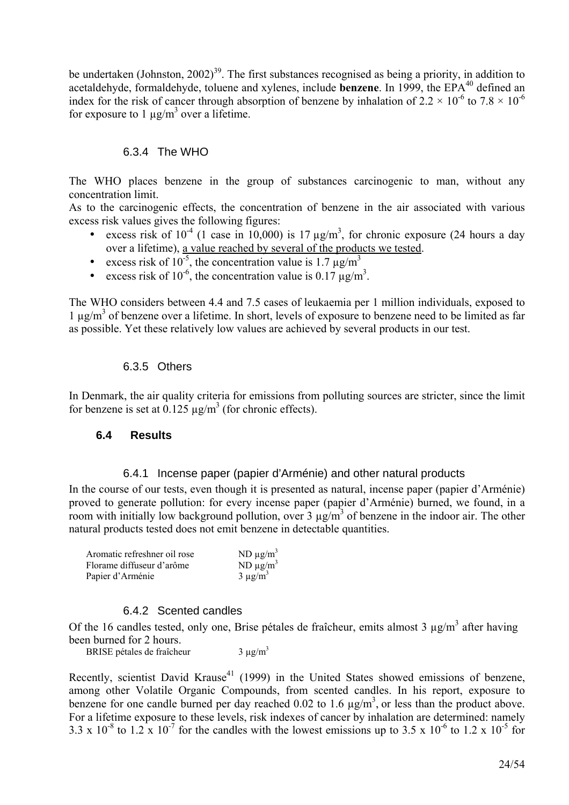be undertaken (Johnston,  $2002$ )<sup>39</sup>. The first substances recognised as being a priority, in addition to acetaldehyde, formaldehyde, toluene and xylenes, include **benzene**. In 1999, the  $EPA^{40}$  defined an index for the risk of cancer through absorption of benzene by inhalation of 2.2  $\times$  10<sup>-6</sup> to 7.8  $\times$  10<sup>-6</sup> for exposure to 1  $\mu$ g/m<sup>3</sup> over a lifetime.

## 6.3.4 The WHO

The WHO places benzene in the group of substances carcinogenic to man, without any concentration limit.

As to the carcinogenic effects, the concentration of benzene in the air associated with various excess risk values gives the following figures:

- excess risk of  $10^{-4}$  (1 case in 10,000) is 17  $\mu$ g/m<sup>3</sup>, for chronic exposure (24 hours a day over a lifetime), a value reached by several of the products we tested.
- excess risk of 10<sup>-5</sup>, the concentration value is 1.7  $\mu$ g/m<sup>3</sup>
- excess risk of 10<sup>-6</sup>, the concentration value is 0.17  $\mu$ g/m<sup>3</sup>.

The WHO considers between 4.4 and 7.5 cases of leukaemia per 1 million individuals, exposed to  $1 \mu g/m<sup>3</sup>$  of benzene over a lifetime. In short, levels of exposure to benzene need to be limited as far as possible. Yet these relatively low values are achieved by several products in our test.

#### 6.3.5 Others

In Denmark, the air quality criteria for emissions from polluting sources are stricter, since the limit for benzene is set at  $0.125 \mu g/m^3$  (for chronic effects).

#### **6.4 Results**

## 6.4.1 Incense paper (papier d'Arménie) and other natural products

In the course of our tests, even though it is presented as natural, incense paper (papier d'Arménie) proved to generate pollution: for every incense paper (papier d'Arménie) burned, we found, in a room with initially low background pollution, over  $3 \mu g/m^3$  of benzene in the indoor air. The other natural products tested does not emit benzene in detectable quantities.

| Aromatic refreshner oil rose | $ND \mu g/m^3$ |
|------------------------------|----------------|
| Florame diffuseur d'arôme    | $ND \mu g/m^3$ |
| Papier d'Arménie             | $3 \mu g/m^3$  |

## 6.4.2 Scented candles

Of the 16 candles tested, only one, Brise pétales de fraîcheur, emits almost 3  $\mu$ g/m<sup>3</sup> after having been burned for 2 hours.

BRISE pétales de fraîcheur  $3 \mu g/m^3$ 

Recently, scientist David Krause<sup>41</sup> (1999) in the United States showed emissions of benzene, among other Volatile Organic Compounds, from scented candles. In his report, exposure to benzene for one candle burned per day reached 0.02 to 1.6  $\mu$ g/m<sup>3</sup>, or less than the product above. For a lifetime exposure to these levels, risk indexes of cancer by inhalation are determined: namely  $3.3 \times 10^{-8}$  to  $1.2 \times 10^{-7}$  for the candles with the lowest emissions up to  $3.5 \times 10^{-6}$  to  $1.2 \times 10^{-5}$  for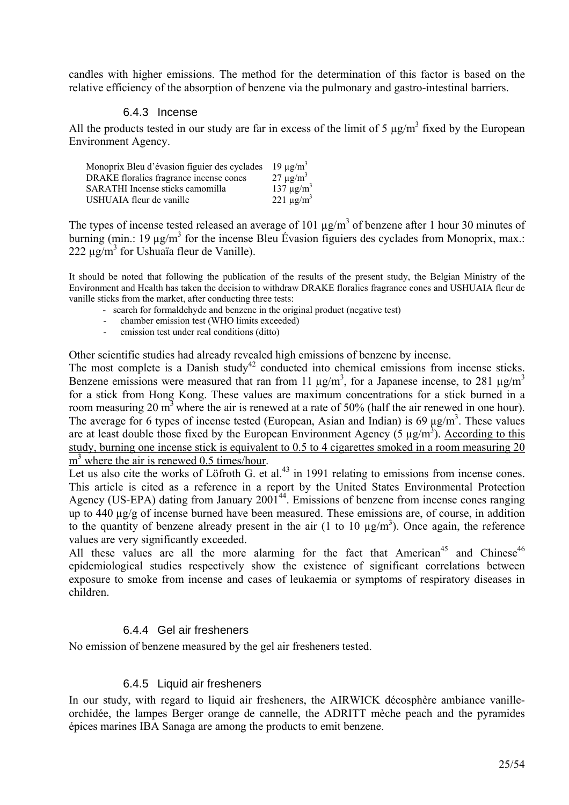candles with higher emissions. The method for the determination of this factor is based on the relative efficiency of the absorption of benzene via the pulmonary and gastro-intestinal barriers.

### 6.4.3 Incense

All the products tested in our study are far in excess of the limit of 5  $\mu$ g/m<sup>3</sup> fixed by the European Environment Agency.

| Monoprix Bleu d'évasion figuier des cyclades | $19 \mu g/m3$        |
|----------------------------------------------|----------------------|
| DRAKE floralies fragrance incense cones      | $27 \mu g/m^3$       |
| SARATHI Incense sticks camomilla             | $137 \mu g/m^3$      |
| USHUAIA fleur de vanille                     | $221 \text{ µg/m}^3$ |

The types of incense tested released an average of 101  $\mu$ g/m<sup>3</sup> of benzene after 1 hour 30 minutes of burning (min.: 19  $\mu$ g/m<sup>3</sup> for the incense Bleu Évasion figuiers des cyclades from Monoprix, max.:  $222 \mu g/m^3$  for Ushuaïa fleur de Vanille).

It should be noted that following the publication of the results of the present study, the Belgian Ministry of the Environment and Health has taken the decision to withdraw DRAKE floralies fragrance cones and USHUAIA fleur de vanille sticks from the market, after conducting three tests:

- search for formaldehyde and benzene in the original product (negative test)
- chamber emission test (WHO limits exceeded)
- emission test under real conditions (ditto)

Other scientific studies had already revealed high emissions of benzene by incense.

The most complete is a Danish study<sup>42</sup> conducted into chemical emissions from incense sticks. Benzene emissions were measured that ran from 11  $\mu$ g/m<sup>3</sup>, for a Japanese incense, to 281  $\mu$ g/m<sup>3</sup> for a stick from Hong Kong. These values are maximum concentrations for a stick burned in a room measuring 20 m<sup>3</sup> where the air is renewed at a rate of 50% (half the air renewed in one hour). The average for 6 types of incense tested (European, Asian and Indian) is 69  $\mu$ g/m<sup>3</sup>. These values are at least double those fixed by the European Environment Agency  $(5 \mu g/m^3)$ . According to this study, burning one incense stick is equivalent to 0.5 to 4 cigarettes smoked in a room measuring 20  $m<sup>3</sup>$  where the air is renewed 0.5 times/hour.

Let us also cite the works of Löfroth G. et al. $^{43}$  in 1991 relating to emissions from incense cones. This article is cited as a reference in a report by the United States Environmental Protection Agency (US-EPA) dating from January 2001<sup>44</sup>. Emissions of benzene from incense cones ranging up to 440 µg/g of incense burned have been measured. These emissions are, of course, in addition to the quantity of benzene already present in the air (1 to 10  $\mu$ g/m<sup>3</sup>). Once again, the reference values are very significantly exceeded.

All these values are all the more alarming for the fact that American<sup>45</sup> and Chinese<sup>46</sup> epidemiological studies respectively show the existence of significant correlations between exposure to smoke from incense and cases of leukaemia or symptoms of respiratory diseases in children.

#### 6.4.4 Gel air fresheners

No emission of benzene measured by the gel air fresheners tested.

#### 6.4.5 Liquid air fresheners

In our study, with regard to liquid air fresheners, the AIRWICK décosphère ambiance vanilleorchidée, the lampes Berger orange de cannelle, the ADRITT mèche peach and the pyramides épices marines IBA Sanaga are among the products to emit benzene.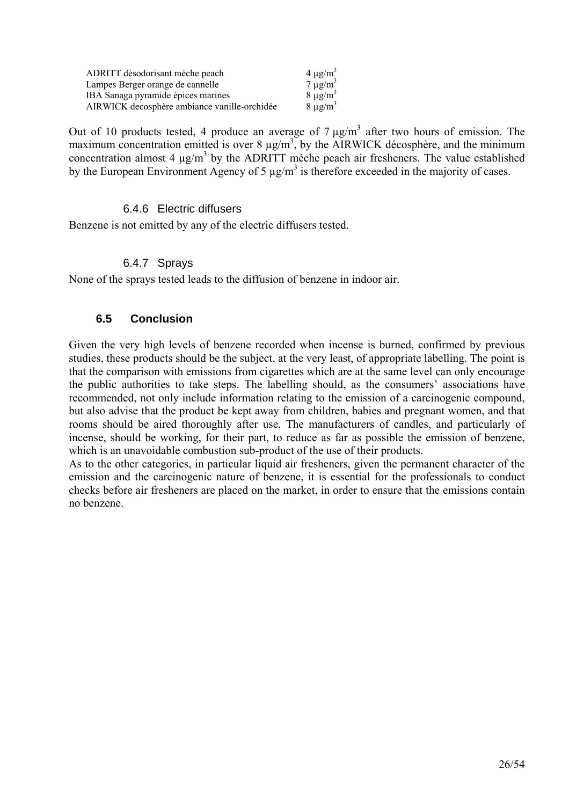| ADRITT désodorisant mèche peach              | $4 \mu g/m^3$ |
|----------------------------------------------|---------------|
| Lampes Berger orange de cannelle             | $7 \mu g/m^3$ |
| IBA Sanaga pyramide épices marines           | $8 \mu g/m^3$ |
| AIRWICK decosphère ambiance vanille-orchidée | $8 \mu g/m^3$ |

Out of 10 products tested, 4 produce an average of 7  $\mu$ g/m<sup>3</sup> after two hours of emission. The maximum concentration emitted is over  $8 \mu g/m^3$ , by the AIRWICK décosphère, and the minimum concentration almost 4  $\mu$ g/m<sup>3</sup> by the ADRITT mèche peach air fresheners. The value established by the European Environment Agency of 5  $\mu$ g/m<sup>3</sup> is therefore exceeded in the majority of cases.

## 6.4.6 Electric diffusers

Benzene is not emitted by any of the electric diffusers tested.

## 6.4.7 Sprays

None of the sprays tested leads to the diffusion of benzene in indoor air.

## **6.5 Conclusion**

Given the very high levels of benzene recorded when incense is burned, confirmed by previous studies, these products should be the subject, at the very least, of appropriate labelling. The point is that the comparison with emissions from cigarettes which are at the same level can only encourage the public authorities to take steps. The labelling should, as the consumers' associations have recommended, not only include information relating to the emission of a carcinogenic compound, but also advise that the product be kept away from children, babies and pregnant women, and that rooms should be aired thoroughly after use. The manufacturers of candles, and particularly of incense, should be working, for their part, to reduce as far as possible the emission of benzene, which is an unavoidable combustion sub-product of the use of their products.

As to the other categories, in particular liquid air fresheners, given the permanent character of the emission and the carcinogenic nature of benzene, it is essential for the professionals to conduct checks before air fresheners are placed on the market, in order to ensure that the emissions contain no benzene.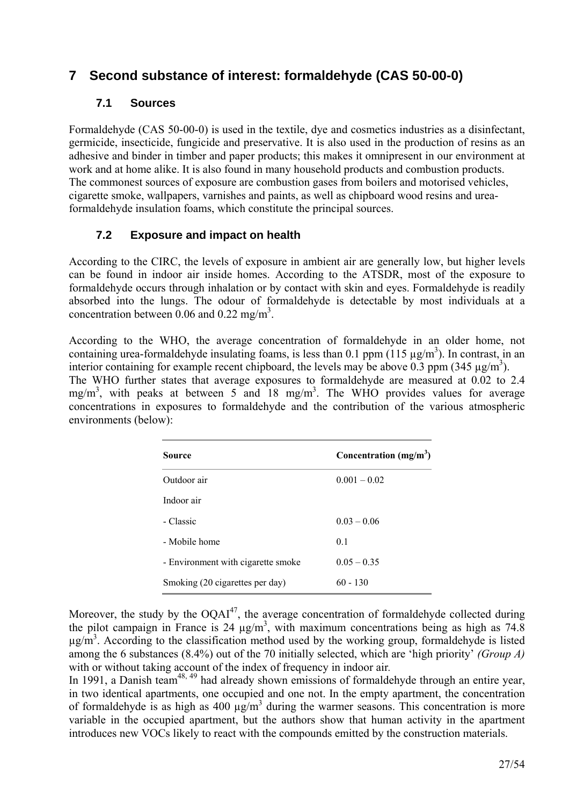## **7 Second substance of interest: formaldehyde (CAS 50-00-0)**

## **7.1 Sources**

Formaldehyde (CAS 50-00-0) is used in the textile, dye and cosmetics industries as a disinfectant, germicide, insecticide, fungicide and preservative. It is also used in the production of resins as an adhesive and binder in timber and paper products; this makes it omnipresent in our environment at work and at home alike. It is also found in many household products and combustion products. The commonest sources of exposure are combustion gases from boilers and motorised vehicles, cigarette smoke, wallpapers, varnishes and paints, as well as chipboard wood resins and ureaformaldehyde insulation foams, which constitute the principal sources.

## **7.2 Exposure and impact on health**

According to the CIRC, the levels of exposure in ambient air are generally low, but higher levels can be found in indoor air inside homes. According to the ATSDR, most of the exposure to formaldehyde occurs through inhalation or by contact with skin and eyes. Formaldehyde is readily absorbed into the lungs. The odour of formaldehyde is detectable by most individuals at a concentration between 0.06 and 0.22 mg/m<sup>3</sup>.

According to the WHO, the average concentration of formaldehyde in an older home, not containing urea-formaldehyde insulating foams, is less than 0.1 ppm  $(115 \mu g/m<sup>3</sup>)$ . In contrast, in an interior containing for example recent chipboard, the levels may be above 0.3 ppm (345  $\mu$ g/m<sup>3</sup>). The WHO further states that average exposures to formaldehyde are measured at 0.02 to 2.4 mg/m<sup>3</sup>, with peaks at between 5 and 18 mg/m<sup>3</sup>. The WHO provides values for average concentrations in exposures to formaldehyde and the contribution of the various atmospheric environments (below):

| Source                             | Concentration $(mg/m3)$ |
|------------------------------------|-------------------------|
| Outdoor air                        | $0.001 - 0.02$          |
| Indoor air                         |                         |
| - Classic                          | $0.03 - 0.06$           |
| - Mobile home                      | 0.1                     |
| - Environment with cigarette smoke | $0.05 - 0.35$           |
| Smoking (20 cigarettes per day)    | $60 - 130$              |

Moreover, the study by the  $OOA<sup>47</sup>$ , the average concentration of formaldehyde collected during the pilot campaign in France is 24  $\mu$ g/m<sup>3</sup>, with maximum concentrations being as high as 74.8  $\mu$ g/m<sup>3</sup>. According to the classification method used by the working group, formaldehyde is listed among the 6 substances (8.4%) out of the 70 initially selected, which are 'high priority' (Group A) with or without taking account of the index of frequency in indoor air.

In 1991, a Danish team<sup>48, 49</sup> had already shown emissions of formaldehyde through an entire year, in two identical apartments, one occupied and one not. In the empty apartment, the concentration of formaldehyde is as high as 400  $\mu$ g/m<sup>3</sup> during the warmer seasons. This concentration is more variable in the occupied apartment, but the authors show that human activity in the apartment introduces new VOCs likely to react with the compounds emitted by the construction materials.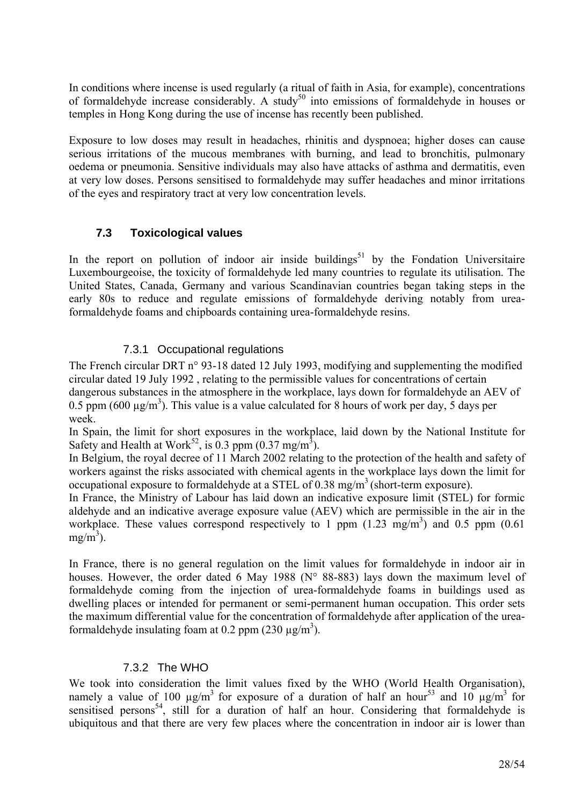In conditions where incense is used regularly (a ritual of faith in Asia, for example), concentrations of formaldehyde increase considerably. A study<sup>50</sup> into emissions of formaldehyde in houses or temples in Hong Kong during the use of incense has recently been published.

Exposure to low doses may result in headaches, rhinitis and dyspnoea; higher doses can cause serious irritations of the mucous membranes with burning, and lead to bronchitis, pulmonary oedema or pneumonia. Sensitive individuals may also have attacks of asthma and dermatitis, even at very low doses. Persons sensitised to formaldehyde may suffer headaches and minor irritations of the eyes and respiratory tract at very low concentration levels.

## **7.3 Toxicological values**

In the report on pollution of indoor air inside buildings<sup>51</sup> by the Fondation Universitaire Luxembourgeoise, the toxicity of formaldehyde led many countries to regulate its utilisation. The United States, Canada, Germany and various Scandinavian countries began taking steps in the early 80s to reduce and regulate emissions of formaldehyde deriving notably from ureaformaldehyde foams and chipboards containing urea-formaldehyde resins.

## 7.3.1 Occupational regulations

The French circular DRT n° 93-18 dated 12 July 1993, modifying and supplementing the modified circular dated 19 July 1992 , relating to the permissible values for concentrations of certain dangerous substances in the atmosphere in the workplace, lays down for formaldehyde an AEV of 0.5 ppm (600  $\mu$ g/m<sup>3</sup>). This value is a value calculated for 8 hours of work per day, 5 days per week.

In Spain, the limit for short exposures in the workplace, laid down by the National Institute for Safety and Health at Work<sup>52</sup>, is 0.3 ppm  $(0.37 \text{ mg/m}^3)$ .

In Belgium, the royal decree of 11 March 2002 relating to the protection of the health and safety of workers against the risks associated with chemical agents in the workplace lays down the limit for occupational exposure to formaldehyde at a STEL of  $0.38 \text{ mg/m}^3$  (short-term exposure).

In France, the Ministry of Labour has laid down an indicative exposure limit (STEL) for formic aldehyde and an indicative average exposure value (AEV) which are permissible in the air in the workplace. These values correspond respectively to 1 ppm  $(1.23 \text{ mg/m}^3)$  and 0.5 ppm  $(0.61 \text{ m})$  $mg/m<sup>3</sup>$ ).

In France, there is no general regulation on the limit values for formaldehyde in indoor air in houses. However, the order dated 6 May 1988 (N° 88-883) lays down the maximum level of formaldehyde coming from the injection of urea-formaldehyde foams in buildings used as dwelling places or intended for permanent or semi-permanent human occupation. This order sets the maximum differential value for the concentration of formaldehyde after application of the ureaformaldehyde insulating foam at 0.2 ppm (230  $\mu$ g/m<sup>3</sup>).

#### 7.3.2 The WHO

We took into consideration the limit values fixed by the WHO (World Health Organisation), namely a value of 100  $\mu$ g/m<sup>3</sup> for exposure of a duration of half an hour<sup>53</sup> and 10  $\mu$ g/m<sup>3</sup> for sensitised persons<sup>54</sup>, still for a duration of half an hour. Considering that formaldehyde is ubiquitous and that there are very few places where the concentration in indoor air is lower than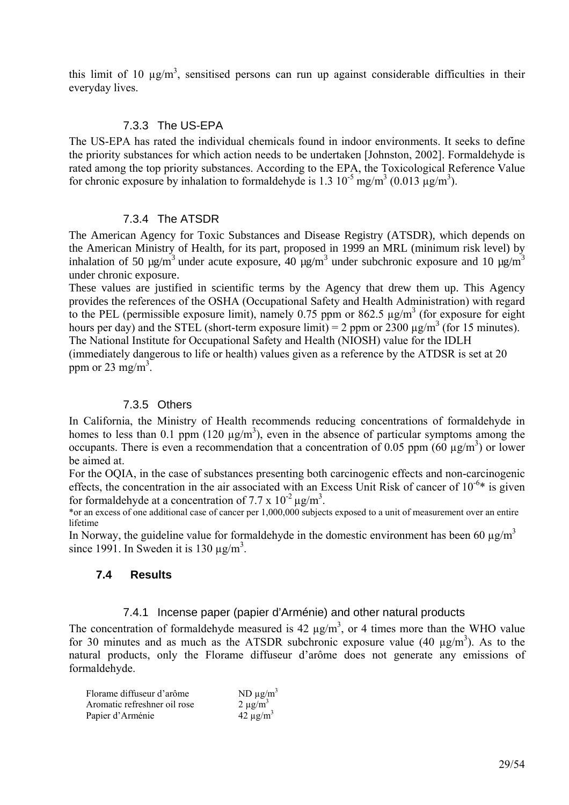this limit of 10  $\mu$ g/m<sup>3</sup>, sensitised persons can run up against considerable difficulties in their everyday lives.

### 7.3.3 The US-EPA

The US-EPA has rated the individual chemicals found in indoor environments. It seeks to define the priority substances for which action needs to be undertaken [Johnston, 2002]. Formaldehyde is rated among the top priority substances. According to the EPA, the Toxicological Reference Value for chronic exposure by inhalation to formaldehyde is 1.3  $10^{-5}$  mg/m<sup>3</sup> (0.013  $\mu$ g/m<sup>3</sup>).

#### 7.3.4 The ATSDR

The American Agency for Toxic Substances and Disease Registry (ATSDR), which depends on the American Ministry of Health, for its part, proposed in 1999 an MRL (minimum risk level) by inhalation of 50  $\mu$ g/m<sup>3</sup> under acute exposure, 40  $\mu$ g/m<sup>3</sup> under subchronic exposure and 10  $\mu$ g/m<sup>3</sup> under chronic exposure.

These values are justified in scientific terms by the Agency that drew them up. This Agency provides the references of the OSHA (Occupational Safety and Health Administration) with regard to the PEL (permissible exposure limit), namely 0.75 ppm or 862.5  $\mu$ g/m<sup>3</sup> (for exposure for eight hours per day) and the STEL (short-term exposure limit) = 2 ppm or 2300  $\mu$ g/m<sup>3</sup> (for 15 minutes). The National Institute for Occupational Safety and Health (NIOSH) value for the IDLH (immediately dangerous to life or health) values given as a reference by the ATDSR is set at 20 ppm or 23 mg/m<sup>3</sup>.

### 7.3.5 Others

In California, the Ministry of Health recommends reducing concentrations of formaldehyde in homes to less than 0.1 ppm (120  $\mu$ g/m<sup>3</sup>), even in the absence of particular symptoms among the occupants. There is even a recommendation that a concentration of 0.05 ppm  $(60 \mu g/m^3)$  or lower be aimed at.

For the OQIA, in the case of substances presenting both carcinogenic effects and non-carcinogenic effects, the concentration in the air associated with an Excess Unit Risk of cancer of  $10^{-6}$ \* is given for formaldehyde at a concentration of 7.7 x  $10^{-2} \mu g/m^3$ .

\*or an excess of one additional case of cancer per 1,000,000 subjects exposed to a unit of measurement over an entire lifetime

In Norway, the guideline value for formaldehyde in the domestic environment has been 60  $\mu$ g/m<sup>3</sup> since 1991. In Sweden it is 130  $\mu$ g/m<sup>3</sup>.

## **7.4 Results**

#### 7.4.1 Incense paper (papier d'Arménie) and other natural products

The concentration of formaldehyde measured is 42  $\mu$ g/m<sup>3</sup>, or 4 times more than the WHO value for 30 minutes and as much as the ATSDR subchronic exposure value (40  $\mu$ g/m<sup>3</sup>). As to the natural products, only the Florame diffuseur d'arôme does not generate any emissions of formaldehyde.

| Florame diffuseur d'arôme    | $ND \mu g/m^3$ |
|------------------------------|----------------|
| Aromatic refreshner oil rose | $2 \mu g/m^3$  |
| Papier d'Arménie             | $42 \mu g/m^3$ |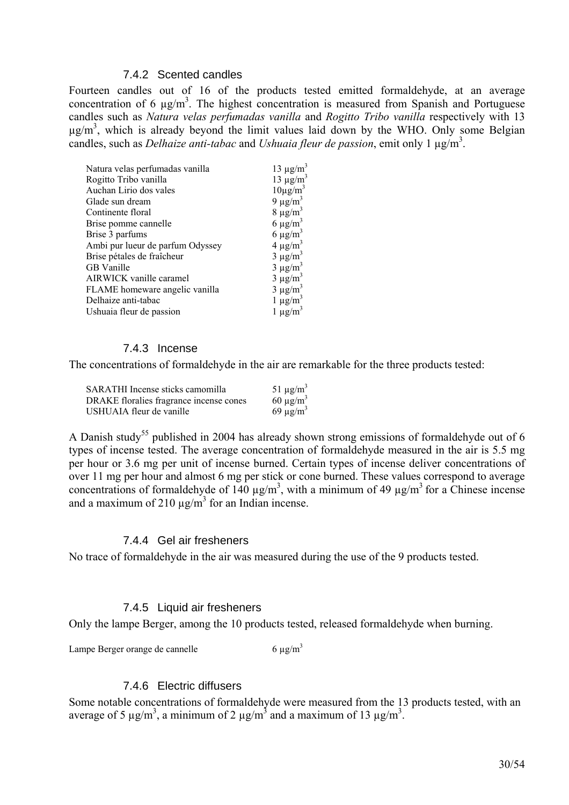#### 7.4.2 Scented candles

Fourteen candles out of 16 of the products tested emitted formaldehyde, at an average concentration of 6  $\mu$ g/m<sup>3</sup>. The highest concentration is measured from Spanish and Portuguese candles such as Natura velas perfumadas vanilla and Rogitto Tribo vanilla respectively with 13  $\mu$ g/m<sup>3</sup>, which is already beyond the limit values laid down by the WHO. Only some Belgian candles, such as *Delhaize anti-tabac* and *Ushuaia fleur de passion*, emit only 1  $\mu$ g/m<sup>3</sup>.

| Natura velas perfumadas vanilla  | $13 \mu g/m^3$           |
|----------------------------------|--------------------------|
| Rogitto Tribo vanilla            | $13 \mu g/m^3$           |
| Auchan Lirio dos vales           | $10\mu\text{g/m}^3$      |
| Glade sun dream                  | 9 $\mu$ g/m <sup>3</sup> |
| Continente floral                | $8 \mu g/m^3$            |
| Brise pomme cannelle             | 6 $\mu$ g/m <sup>3</sup> |
| Brise 3 parfums                  | 6 $\mu$ g/m <sup>3</sup> |
| Ambi pur lueur de parfum Odyssey | $4 \mu g/m^3$            |
| Brise pétales de fraîcheur       | $3 \mu g/m^3$            |
| <b>GB</b> Vanille                | $3 \mu g/m^3$            |
| AIRWICK vanille caramel          | $3 \mu g/m^3$            |
| FLAME homeware angelic vanilla   | $3 \mu g/m^3$            |
| Delhaize anti-tabac              | $1 \mu g/m^3$            |
| Ushuaia fleur de passion         | $1 \mu g/m^3$            |

#### 7.4.3 Incense

The concentrations of formaldehyde in the air are remarkable for the three products tested:

| SARATHI Incense sticks camomilla        | $51 \mu g/m^3$ |
|-----------------------------------------|----------------|
| DRAKE floralies fragrance incense cones | $60 \mu g/m^3$ |
| USHUAIA fleur de vanille                | $69 \mu g/m^3$ |

A Danish study<sup>55</sup> published in 2004 has already shown strong emissions of formaldehyde out of 6 types of incense tested. The average concentration of formaldehyde measured in the air is 5.5 mg per hour or 3.6 mg per unit of incense burned. Certain types of incense deliver concentrations of over 11 mg per hour and almost 6 mg per stick or cone burned. These values correspond to average concentrations of formaldehyde of 140  $\mu$ g/m<sup>3</sup>, with a minimum of 49  $\mu$ g/m<sup>3</sup> for a Chinese incense and a maximum of 210  $\mu$ g/m<sup>3</sup> for an Indian incense.

#### 7.4.4 Gel air fresheners

No trace of formaldehyde in the air was measured during the use of the 9 products tested.

#### 7.4.5 Liquid air fresheners

Only the lampe Berger, among the 10 products tested, released formaldehyde when burning.

Lampe Berger orange de cannelle  $6 \mu g/m^3$ 

#### 7.4.6 Electric diffusers

Some notable concentrations of formaldehyde were measured from the 13 products tested, with an average of 5  $\mu$ g/m<sup>3</sup>, a minimum of 2  $\mu$ g/m<sup>3</sup> and a maximum of 13  $\mu$ g/m<sup>3</sup>.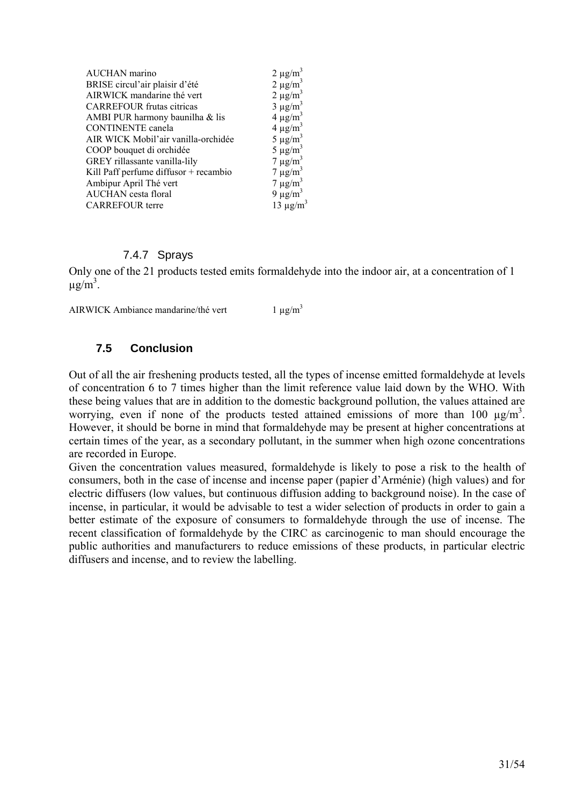| <b>AUCHAN</b> marino                  | $2 \mu g/m^3$             |
|---------------------------------------|---------------------------|
| BRISE circul'air plaisir d'été        | $2 \mu g/m^3$             |
| AIRWICK mandarine thé vert            | $2 \mu g/m^3$             |
| <b>CARREFOUR frutas citricas</b>      | $3 \mu g/m^3$             |
| AMBI PUR harmony baunilha & lis       | $4 \mu g/m^3$             |
| <b>CONTINENTE</b> canela              | $4 \mu g/m^3$             |
| AIR WICK Mobil'air vanilla-orchidée   | $5 \mu g/m^3$             |
| COOP bouquet di orchidée              | $5 \mu g/m^3$             |
| GREY rillassante vanilla-lily         | $7 \mu g/m^3$             |
| Kill Paff perfume diffusor + recambio | $7 \mu g/m^3$             |
| Ambipur April Thé vert                | $7 \mu g/m^3$             |
| AUCHAN cesta floral                   | 9 $\mu$ g/m <sup>3</sup>  |
| <b>CARREFOUR</b> terre                | 13 $\mu$ g/m <sup>3</sup> |
|                                       |                           |

## 7.4.7 Sprays

Only one of the 21 products tested emits formaldehyde into the indoor air, at a concentration of 1  $\mu$ g/m<sup>3</sup>.

AIRWICK Ambiance mandarine/thé vert  $1 \mu g/m^3$ 

## **7.5 Conclusion**

Out of all the air freshening products tested, all the types of incense emitted formaldehyde at levels of concentration 6 to 7 times higher than the limit reference value laid down by the WHO. With these being values that are in addition to the domestic background pollution, the values attained are worrying, even if none of the products tested attained emissions of more than 100  $\mu$ g/m<sup>3</sup>. However, it should be borne in mind that formaldehyde may be present at higher concentrations at certain times of the year, as a secondary pollutant, in the summer when high ozone concentrations are recorded in Europe.

Given the concentration values measured, formaldehyde is likely to pose a risk to the health of consumers, both in the case of incense and incense paper (papier d'Arménie) (high values) and for electric diffusers (low values, but continuous diffusion adding to background noise). In the case of incense, in particular, it would be advisable to test a wider selection of products in order to gain a better estimate of the exposure of consumers to formaldehyde through the use of incense. The recent classification of formaldehyde by the CIRC as carcinogenic to man should encourage the public authorities and manufacturers to reduce emissions of these products, in particular electric diffusers and incense, and to review the labelling.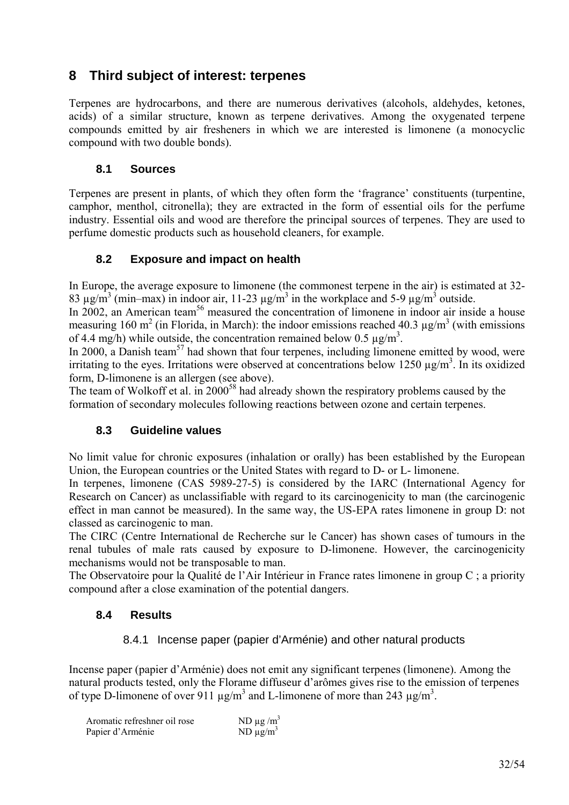## **8 Third subject of interest: terpenes**

Terpenes are hydrocarbons, and there are numerous derivatives (alcohols, aldehydes, ketones, acids) of a similar structure, known as terpene derivatives. Among the oxygenated terpene compounds emitted by air fresheners in which we are interested is limonene (a monocyclic compound with two double bonds).

## **8.1 Sources**

Terpenes are present in plants, of which they often form the 'fragrance' constituents (turpentine, camphor, menthol, citronella); they are extracted in the form of essential oils for the perfume industry. Essential oils and wood are therefore the principal sources of terpenes. They are used to perfume domestic products such as household cleaners, for example.

## **8.2 Exposure and impact on health**

In Europe, the average exposure to limonene (the commonest terpene in the air) is estimated at 32- 83  $\mu$ g/m<sup>3</sup> (min–max) in indoor air, 11-23  $\mu$ g/m<sup>3</sup> in the workplace and 5-9  $\mu$ g/m<sup>3</sup> outside.

In 2002, an American team<sup>56</sup> measured the concentration of limonene in indoor air inside a house measuring 160 m<sup>2</sup> (in Florida, in March): the indoor emissions reached 40.3  $\mu$ g/m<sup>3</sup> (with emissions of 4.4 mg/h) while outside, the concentration remained below 0.5  $\mu$ g/m<sup>3</sup>.

In 2000, a Danish team<sup>57</sup> had shown that four terpenes, including limonene emitted by wood, were irritating to the eyes. Irritations were observed at concentrations below 1250  $\mu$ g/m<sup>3</sup>. In its oxidized form, D-limonene is an allergen (see above).

The team of Wolkoff et al. in 2000<sup>58</sup> had already shown the respiratory problems caused by the formation of secondary molecules following reactions between ozone and certain terpenes.

## **8.3 Guideline values**

No limit value for chronic exposures (inhalation or orally) has been established by the European Union, the European countries or the United States with regard to D- or L- limonene.

In terpenes, limonene (CAS 5989-27-5) is considered by the IARC (International Agency for Research on Cancer) as unclassifiable with regard to its carcinogenicity to man (the carcinogenic effect in man cannot be measured). In the same way, the US-EPA rates limonene in group D: not classed as carcinogenic to man.

The CIRC (Centre International de Recherche sur le Cancer) has shown cases of tumours in the renal tubules of male rats caused by exposure to D-limonene. However, the carcinogenicity mechanisms would not be transposable to man.

The Observatoire pour la Qualité de l'Air Intérieur in France rates limonene in group C ; a priority compound after a close examination of the potential dangers.

## **8.4 Results**

## 8.4.1 Incense paper (papier d'Arménie) and other natural products

Incense paper (papier d'Arménie) does not emit any significant terpenes (limonene). Among the natural products tested, only the Florame diffuseur d'arômes gives rise to the emission of terpenes of type D-limonene of over 911  $\mu$ g/m<sup>3</sup> and L-limonene of more than 243  $\mu$ g/m<sup>3</sup>.

| Aromatic refreshner oil rose | ND $\mu$ g/m <sup>3</sup> |
|------------------------------|---------------------------|
| Papier d'Arménie             | ND $\mu$ g/m <sup>3</sup> |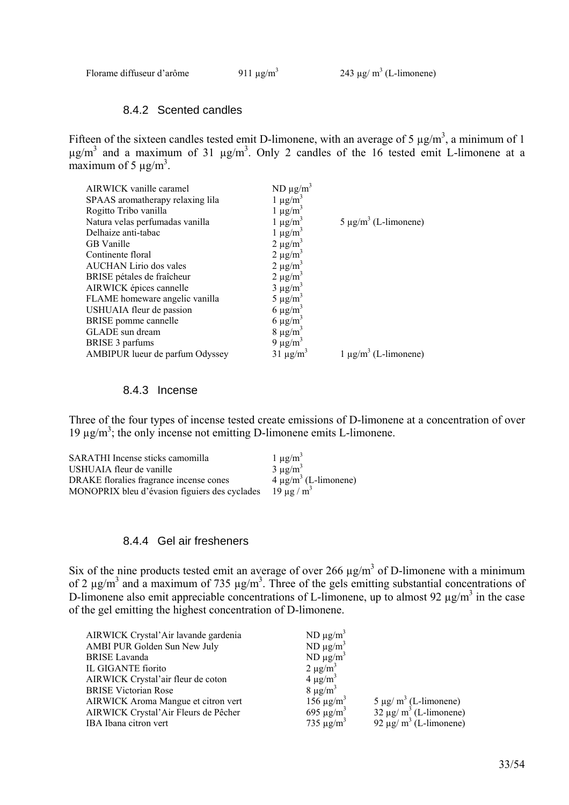Florame diffuseur d'arôme 911 µg/m<sup>3</sup>

#### 8.4.2 Scented candles

Fifteen of the sixteen candles tested emit D-limonene, with an average of 5  $\mu$ g/m<sup>3</sup>, a minimum of 1  $\mu$ g/m<sup>3</sup> and a maximum of 31  $\mu$ g/m<sup>3</sup>. Only 2 candles of the 16 tested emit L-limonene at a maximum of 5  $\mu$ g/m<sup>3</sup>.

| AIRWICK vanille caramel          | $ND \mu g/m^3$           |                            |
|----------------------------------|--------------------------|----------------------------|
| SPAAS aromatherapy relaxing lila | $1 \mu g/m^3$            |                            |
| Rogitto Tribo vanilla            | $1 \mu g/m^3$            |                            |
| Natura velas perfumadas vanilla  | $1 \mu g/m^3$            | $5 \mu g/m^3$ (L-limonene) |
| Delhaize anti-tabac              | $1 \mu g/m^3$            |                            |
| <b>GB</b> Vanille                | $2 \mu g/m^3$            |                            |
| Continente floral                | $2 \mu g/m^3$            |                            |
| <b>AUCHAN Lirio dos vales</b>    | $2 \mu g/m^3$            |                            |
| BRISE pétales de fraîcheur       | $2 \mu g/m^3$            |                            |
| AIRWICK épices cannelle          | $3 \mu g/m^3$            |                            |
| FLAME homeware angelic vanilla   | $5 \mu g/m^3$            |                            |
| USHUAIA fleur de passion         | 6 $\mu$ g/m <sup>3</sup> |                            |
| <b>BRISE</b> pomme cannelle      | 6 $\mu$ g/m <sup>3</sup> |                            |
| GLADE sun dream                  | $8 \mu g/m^3$            |                            |
| <b>BRISE 3 parfums</b>           | 9 $\mu$ g/m <sup>3</sup> |                            |
| AMBIPUR lueur de parfum Odyssey  | $31 \mu g/m^3$           | $1 \mu g/m^3$ (L-limonene) |

#### 8.4.3 Incense

Three of the four types of incense tested create emissions of D-limonene at a concentration of over 19  $\mu$ g/m<sup>3</sup>; the only incense not emitting D-limonene emits L-limonene.

| SARATHI Incense sticks camomilla              | $1 \mu g/m^3$              |
|-----------------------------------------------|----------------------------|
| USHUAIA fleur de vanille                      | $3 \mu g/m^3$              |
| DRAKE floralies fragrance incense cones       | $4 \mu g/m^3$ (L-limonene) |
| MONOPRIX bleu d'évasion figuiers des cyclades | $19 \mu g/m^3$             |

#### 8.4.4 Gel air fresheners

Six of the nine products tested emit an average of over 266  $\mu$ g/m<sup>3</sup> of D-limonene with a minimum of 2  $\mu$ g/m<sup>3</sup> and a maximum of 735  $\mu$ g/m<sup>3</sup>. Three of the gels emitting substantial concentrations of D-limonene also emit appreciable concentrations of L-limonene, up to almost 92  $\mu$ g/m<sup>3</sup> in the case of the gel emitting the highest concentration of D-limonene.

| AIRWICK Crystal'Air lavande gardenia | $ND \mu g/m^3$             |                             |
|--------------------------------------|----------------------------|-----------------------------|
| AMBI PUR Golden Sun New July         | ND $\mu$ g/m <sup>3</sup>  |                             |
| <b>BRISE</b> Lavanda                 | ND $\mu$ g/m <sup>3</sup>  |                             |
| IL GIGANTE fiorito                   | $2 \mu g/m^3$              |                             |
| AIRWICK Crystal'air fleur de coton   | $4 \mu g/m^3$              |                             |
| <b>BRISE Victorian Rose</b>          | $8 \mu g/m^3$              |                             |
| AIRWICK Aroma Mangue et citron vert  | $156 \mu g/m^3$            | $5 \mu g/m^3$ (L-limonene)  |
| AIRWICK Crystal'Air Fleurs de Pêcher | 695 $\mu$ g/m <sup>3</sup> | $32 \mu g/m^3$ (L-limonene) |
| IBA Ibana citron vert                | $735 \mu g/m^3$            | 92 µg/ $m^3$ (L-limonene)   |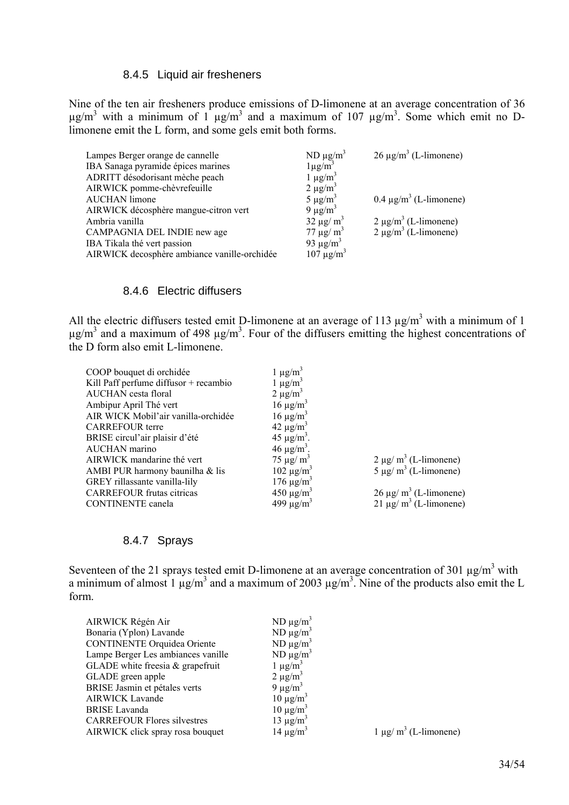#### 8.4.5 Liquid air fresheners

Nine of the ten air fresheners produce emissions of D-limonene at an average concentration of 36  $\mu$ g/m<sup>3</sup> with a minimum of 1  $\mu$ g/m<sup>3</sup> and a maximum of 107  $\mu$ g/m<sup>3</sup>. Some which emit no Dlimonene emit the L form, and some gels emit both forms.

| Lampes Berger orange de cannelle             | ND $\mu$ g/m <sup>3</sup> | $26 \mu g/m^3$ (L-limonene)  |
|----------------------------------------------|---------------------------|------------------------------|
| IBA Sanaga pyramide épices marines           | $1 \mu g/m^3$             |                              |
| ADRITT désodorisant mèche peach              | $1 \mu g/m^3$             |                              |
| AIRWICK pomme-chèvrefeuille                  | $2 \mu g/m^3$             |                              |
| <b>AUCHAN</b> limone                         | $5 \mu g/m^3$             | $0.4 \mu g/m^3$ (L-limonene) |
| AIRWICK décosphère mangue-citron vert        | 9 $\mu$ g/m <sup>3</sup>  |                              |
| Ambria vanilla                               | $32 \mu g/m^3$            | $2 \mu g/m^3$ (L-limonene)   |
| CAMPAGNIA DEL INDIE new age                  | $77 \mu g/m^3$            | $2 \mu g/m^3$ (L-limonene)   |
| IBA Tikala thé vert passion                  | 93 $\mu$ g/m <sup>3</sup> |                              |
| AIRWICK decosphère ambiance vanille-orchidée | $107 \mu g/m^3$           |                              |

#### 8.4.6 Electric diffusers

All the electric diffusers tested emit D-limonene at an average of 113  $\mu$ g/m<sup>3</sup> with a minimum of 1  $\mu$ g/m<sup>3</sup> and a maximum of 498  $\mu$ g/m<sup>3</sup>. Four of the diffusers emitting the highest concentrations of the D form also emit L-limonene.

| COOP bouquet di orchidée              | $1 \mu g/m^3$               |                             |
|---------------------------------------|-----------------------------|-----------------------------|
| Kill Paff perfume diffusor + recambio | $1 \mu g/m^3$               |                             |
| <b>AUCHAN</b> cesta floral            | $2 \mu g/m^3$               |                             |
| Ambipur April Thé vert                | $16 \mu g/m^3$              |                             |
| AIR WICK Mobil'air vanilla-orchidée   | $16 \mu g/m^3$              |                             |
| <b>CARREFOUR</b> terre                | $42 \mu g/m^3$              |                             |
| BRISE circul'air plaisir d'été        | 45 $\mu$ g/m <sup>3</sup> . |                             |
| AUCHAN marino                         | 46 $\mu$ g/m <sup>3</sup> . |                             |
| AIRWICK mandarine thé vert            | $75 \mu g/m^3$              | $2 \mu g/m^3$ (L-limonene)  |
| AMBI PUR harmony baunilha & lis       | $102 \mu g/m^3$             | $5 \mu g/m^3$ (L-limonene)  |
| GREY rillassante vanilla-lily         | $176 \mu g/m^3$             |                             |
| <b>CARREFOUR frutas citricas</b>      | $450 \mu g/m^3$             | $26 \mu g/m^3$ (L-limonene) |
| <b>CONTINENTE</b> canela              | 499 $\mu$ g/m <sup>3</sup>  | $21 \mu g/m^3$ (L-limonene) |
|                                       |                             |                             |

#### 8.4.7 Sprays

Seventeen of the 21 sprays tested emit D-limonene at an average concentration of 301  $\mu$ g/m<sup>3</sup> with a minimum of almost 1  $\mu$ g/m<sup>3</sup> and a maximum of 2003  $\mu$ g/m<sup>3</sup>. Nine of the products also emit the L form.

| AIRWICK Régén Air                  | ND $\mu$ g/m <sup>3</sup> |                            |
|------------------------------------|---------------------------|----------------------------|
| Bonaria (Yplon) Lavande            | ND $\mu$ g/m <sup>3</sup> |                            |
| <b>CONTINENTE Orquidea Oriente</b> | ND $\mu$ g/m <sup>3</sup> |                            |
| Lampe Berger Les ambiances vanille | ND $\mu$ g/m <sup>3</sup> |                            |
| GLADE white freesia & grapefruit   | $1 \mu g/m^3$             |                            |
| GLADE green apple                  | $2 \mu g/m^3$             |                            |
| BRISE Jasmin et pétales verts      | 9 $\mu$ g/m <sup>3</sup>  |                            |
| <b>AIRWICK Lavande</b>             | $10 \mu g/m^3$            |                            |
| <b>BRISE</b> Lavanda               | $10 \mu g/m^3$            |                            |
| <b>CARREFOUR Flores silvestres</b> | $13 \mu g/m^3$            |                            |
| AIRWICK click spray rosa bouquet   | $14 \mu g/m^3$            | $1 \mu g/m^3$ (L-limonene) |
|                                    |                           |                            |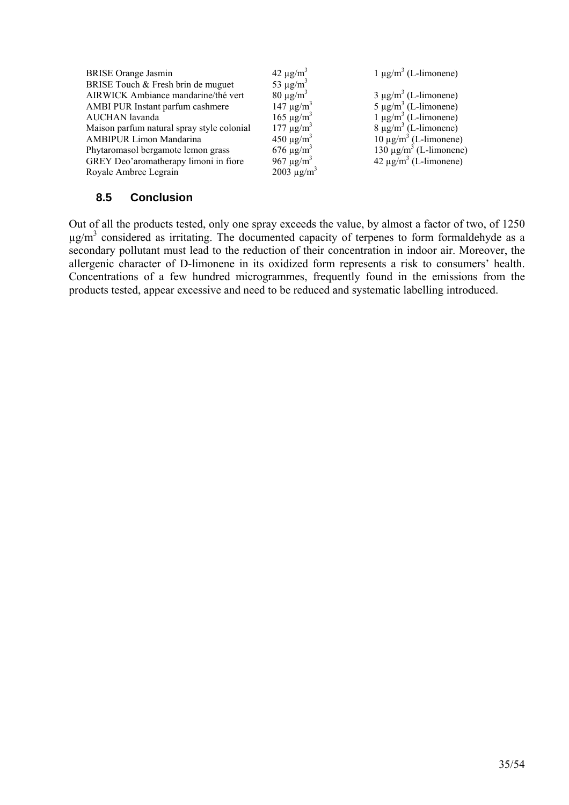| <b>BRISE</b> Orange Jasmin                 | $42 \mu g/m^3$              | $1 \mu g/m^3$ (L-limonene)         |
|--------------------------------------------|-----------------------------|------------------------------------|
| BRISE Touch & Fresh brin de muguet         | 53 $\mu$ g/m <sup>3</sup>   |                                    |
| AIRWICK Ambiance mandarine/thé vert        | $80 \mu g/m^3$              | $3 \mu g/m^3$ (L-limonene)         |
| AMBI PUR Instant parfum cashmere           | $147 \mu g/m^3$             | $5 \mu g/m^3$ (L-limonene)         |
| AUCHAN lavanda                             | $165 \mu g/m^3$             | $1 \mu g/m^3$ (L-limonene)         |
| Maison parfum natural spray style colonial | $177 \mu g/m^3$             | $8 \mu g/m^3$ (L-limonene)         |
| <b>AMBIPUR Limon Mandarina</b>             | $450 \mu g/m^3$             | $10 \mu g/m^3$ (L-limonene)        |
| Phytaromasol bergamote lemon grass         | $676 \mu g/m^3$             | 130 μg/m <sup>3</sup> (L-limonene) |
| GREY Deo'aromatherapy limoni in fiore      | 967 $\mu$ g/m <sup>3</sup>  | $42 \mu g/m^3$ (L-limonene)        |
| Royale Ambree Legrain                      | 2003 $\mu$ g/m <sup>3</sup> |                                    |

## **8.5 Conclusion**

Out of all the products tested, only one spray exceeds the value, by almost a factor of two, of 1250  $\mu$ g/m<sup>3</sup> considered as irritating. The documented capacity of terpenes to form formaldehyde as a secondary pollutant must lead to the reduction of their concentration in indoor air. Moreover, the allergenic character of D-limonene in its oxidized form represents a risk to consumers' health. Concentrations of a few hundred microgrammes, frequently found in the emissions from the products tested, appear excessive and need to be reduced and systematic labelling introduced.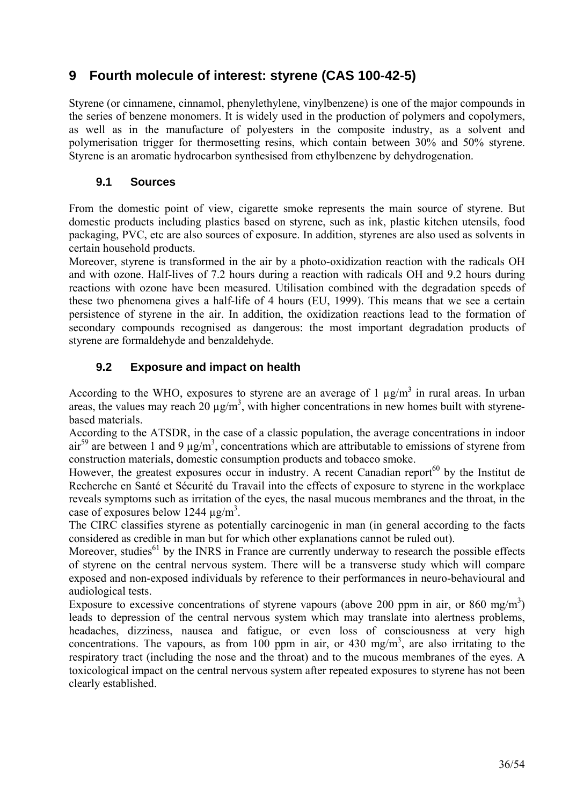## **9 Fourth molecule of interest: styrene (CAS 100-42-5)**

Styrene (or cinnamene, cinnamol, phenylethylene, vinylbenzene) is one of the major compounds in the series of benzene monomers. It is widely used in the production of polymers and copolymers, as well as in the manufacture of polyesters in the composite industry, as a solvent and polymerisation trigger for thermosetting resins, which contain between 30% and 50% styrene. Styrene is an aromatic hydrocarbon synthesised from ethylbenzene by dehydrogenation.

## **9.1 Sources**

From the domestic point of view, cigarette smoke represents the main source of styrene. But domestic products including plastics based on styrene, such as ink, plastic kitchen utensils, food packaging, PVC, etc are also sources of exposure. In addition, styrenes are also used as solvents in certain household products.

Moreover, styrene is transformed in the air by a photo-oxidization reaction with the radicals OH and with ozone. Half-lives of 7.2 hours during a reaction with radicals OH and 9.2 hours during reactions with ozone have been measured. Utilisation combined with the degradation speeds of these two phenomena gives a half-life of 4 hours (EU, 1999). This means that we see a certain persistence of styrene in the air. In addition, the oxidization reactions lead to the formation of secondary compounds recognised as dangerous: the most important degradation products of styrene are formaldehyde and benzaldehyde.

## **9.2 Exposure and impact on health**

According to the WHO, exposures to styrene are an average of 1  $\mu$ g/m<sup>3</sup> in rural areas. In urban areas, the values may reach 20  $\mu$ g/m<sup>3</sup>, with higher concentrations in new homes built with styrenebased materials.

According to the ATSDR, in the case of a classic population, the average concentrations in indoor air<sup>59</sup> are between 1 and 9  $\mu$ g/m<sup>3</sup>, concentrations which are attributable to emissions of styrene from construction materials, domestic consumption products and tobacco smoke.

However, the greatest exposures occur in industry. A recent Canadian report<sup>60</sup> by the Institut de Recherche en Santé et Sécurité du Travail into the effects of exposure to styrene in the workplace reveals symptoms such as irritation of the eyes, the nasal mucous membranes and the throat, in the case of exposures below 1244  $\mu$ g/m<sup>3</sup>.

The CIRC classifies styrene as potentially carcinogenic in man (in general according to the facts considered as credible in man but for which other explanations cannot be ruled out).

Moreover, studies<sup> $61$ </sup> by the INRS in France are currently underway to research the possible effects of styrene on the central nervous system. There will be a transverse study which will compare exposed and non-exposed individuals by reference to their performances in neuro-behavioural and audiological tests.

Exposure to excessive concentrations of styrene vapours (above 200 ppm in air, or 860 mg/m<sup>3</sup>) leads to depression of the central nervous system which may translate into alertness problems, headaches, dizziness, nausea and fatigue, or even loss of consciousness at very high concentrations. The vapours, as from 100 ppm in air, or 430 mg/m<sup>3</sup>, are also irritating to the respiratory tract (including the nose and the throat) and to the mucous membranes of the eyes. A toxicological impact on the central nervous system after repeated exposures to styrene has not been clearly established.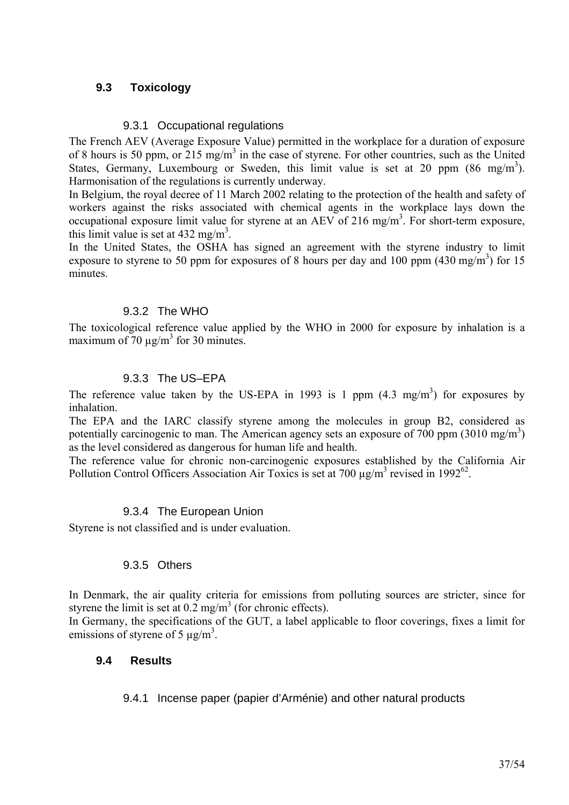## **9.3 Toxicology**

## 9.3.1 Occupational regulations

The French AEV (Average Exposure Value) permitted in the workplace for a duration of exposure of 8 hours is 50 ppm, or 215 mg/m<sup>3</sup> in the case of styrene. For other countries, such as the United States, Germany, Luxembourg or Sweden, this limit value is set at 20 ppm  $(86 \text{ mg/m}^3)$ . Harmonisation of the regulations is currently underway.

In Belgium, the royal decree of 11 March 2002 relating to the protection of the health and safety of workers against the risks associated with chemical agents in the workplace lays down the occupational exposure limit value for styrene at an AEV of 216 mg/m<sup>3</sup>. For short-term exposure, this limit value is set at 432 mg/m<sup>3</sup>.

In the United States, the OSHA has signed an agreement with the styrene industry to limit exposure to styrene to 50 ppm for exposures of 8 hours per day and 100 ppm  $(430 \text{ mg/m}^3)$  for 15 minutes.

## 9.3.2 The WHO

The toxicological reference value applied by the WHO in 2000 for exposure by inhalation is a maximum of 70  $\mu$ g/m<sup>3</sup> for 30 minutes.

## 9.3.3 The US–EPA

The reference value taken by the US-EPA in 1993 is 1 ppm  $(4.3 \text{ mg/m}^3)$  for exposures by inhalation.

The EPA and the IARC classify styrene among the molecules in group B2, considered as potentially carcinogenic to man. The American agency sets an exposure of 700 ppm  $(3010 \text{ mg/m}^3)$ as the level considered as dangerous for human life and health.

The reference value for chronic non-carcinogenic exposures established by the California Air Pollution Control Officers Association Air Toxics is set at 700  $\mu$ g/m<sup>3</sup> revised in 1992<sup>62</sup>.

## 9.3.4 The European Union

Styrene is not classified and is under evaluation.

## 9.3.5 Others

In Denmark, the air quality criteria for emissions from polluting sources are stricter, since for styrene the limit is set at  $0.2 \text{ mg/m}^3$  (for chronic effects).

In Germany, the specifications of the GUT, a label applicable to floor coverings, fixes a limit for emissions of styrene of 5  $\mu$ g/m<sup>3</sup>.

## **9.4 Results**

9.4.1 Incense paper (papier d'Arménie) and other natural products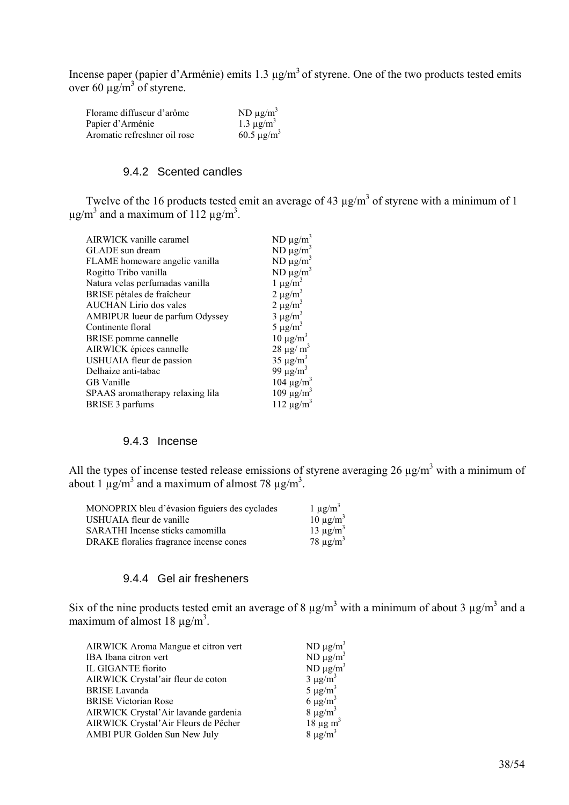Incense paper (papier d'Arménie) emits  $1.3 \mu g/m^3$  of styrene. One of the two products tested emits over 60  $\mu$ g/m<sup>3</sup> of styrene.

| Florame diffuseur d'arôme    | ND $\mu$ g/m <sup>3</sup>   |
|------------------------------|-----------------------------|
| Papier d'Arménie             | 1.3 $\mu$ g/m <sup>3</sup>  |
| Aromatic refreshner oil rose | $60.5 \,\mathrm{\mu g/m^3}$ |

#### 9.4.2 Scented candles

Twelve of the 16 products tested emit an average of 43  $\mu$ g/m<sup>3</sup> of styrene with a minimum of 1  $\mu$ g/m<sup>3</sup> and a maximum of 112  $\mu$ g/m<sup>3</sup>.

| AIRWICK vanille caramel          | ND $\mu$ g/m <sup>3</sup> |
|----------------------------------|---------------------------|
| GLADE sun dream                  | ND $\mu$ g/m <sup>3</sup> |
| FLAME homeware angelic vanilla   | ND $\mu$ g/m <sup>3</sup> |
| Rogitto Tribo vanilla            | ND $\mu$ g/m <sup>3</sup> |
| Natura velas perfumadas vanilla  | $1 \mu g/m^3$             |
| BRISE pétales de fraîcheur       | $2 \mu g/m^3$             |
| <b>AUCHAN Lirio dos vales</b>    | $2 \mu g/m^3$             |
| AMBIPUR lueur de parfum Odyssey  | $3 \mu g/m^3$             |
| Continente floral                | $5 \mu g/m^3$             |
| <b>BRISE</b> pomme cannelle      | $10 \mu g/m^3$            |
| AIRWICK épices cannelle          | $28 \mu g/m^3$            |
| USHUAIA fleur de passion         | $35 \mu g/m^3$            |
| Delhaize anti-tabac              | 99 $\mu$ g/m <sup>3</sup> |
| <b>GB</b> Vanille                | $104 \mu g/m^3$           |
| SPAAS aromatherapy relaxing lila | 109 μg/m <sup>3</sup>     |
| BRISE 3 parfums                  | 112 μg/m <sup>3</sup>     |

#### 9.4.3 Incense

All the types of incense tested release emissions of styrene averaging 26  $\mu$ g/m<sup>3</sup> with a minimum of about 1  $\mu$ g/m<sup>3</sup> and a maximum of almost 78  $\mu$ g/m<sup>3</sup>.

| MONOPRIX bleu d'évasion figuiers des cyclades | $1 \mu g/m^3$  |
|-----------------------------------------------|----------------|
| USHUAIA fleur de vanille                      | $10 \mu g/m^3$ |
| SARATHI Incense sticks camomilla              | $13 \mu g/m^3$ |
| DRAKE floralies fragrance incense cones       | $78 \mu g/m^3$ |

### 9.4.4 Gel air fresheners

Six of the nine products tested emit an average of 8  $\mu$ g/m<sup>3</sup> with a minimum of about 3  $\mu$ g/m<sup>3</sup> and a maximum of almost 18  $\mu$ g/m<sup>3</sup>.

| <b>AIRWICK Aroma Mangue et citron vert</b> | ND $\mu$ g/m <sup>3</sup> |
|--------------------------------------------|---------------------------|
| IBA Ibana citron vert                      | ND $\mu$ g/m <sup>3</sup> |
| IL GIGANTE fiorito                         | ND $\mu$ g/m <sup>3</sup> |
| AIRWICK Crystal'air fleur de coton         | $3 \mu g/m^3$             |
| <b>BRISE</b> Lavanda                       | $5 \mu g/m^3$             |
| <b>BRISE Victorian Rose</b>                | 6 $\mu$ g/m <sup>3</sup>  |
| AIRWICK Crystal'Air lavande gardenia       | $8 \mu g/m^3$             |
| AIRWICK Crystal'Air Fleurs de Pêcher       | $18 \mu g m3$             |
| AMBI PUR Golden Sun New July               | $8 \mu g/m^3$             |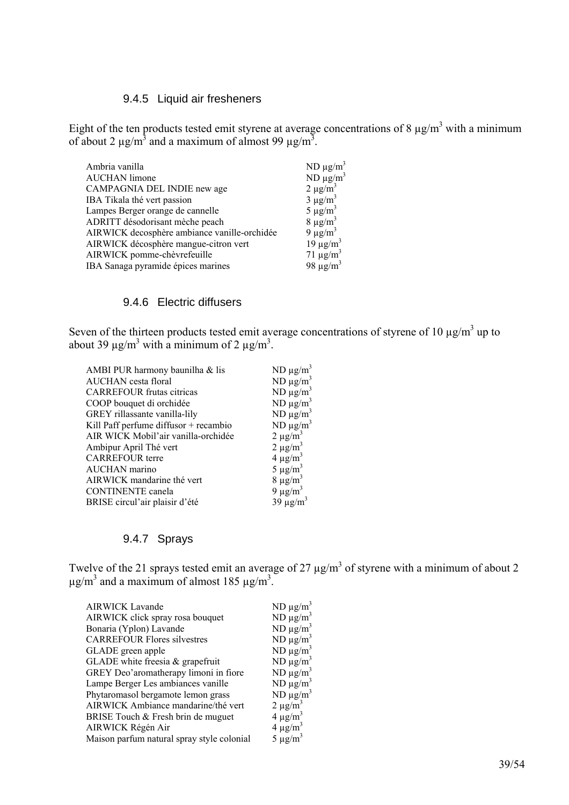#### 9.4.5 Liquid air fresheners

Eight of the ten products tested emit styrene at average concentrations of 8  $\mu$ g/m<sup>3</sup> with a minimum of about 2  $\mu$ g/m<sup>3</sup> and a maximum of almost 99  $\mu$ g/m<sup>3</sup>.

| Ambria vanilla                               | $ND \mu g/m^3$            |
|----------------------------------------------|---------------------------|
| <b>AUCHAN</b> limone                         | $ND \mu g/m^3$            |
| CAMPAGNIA DEL INDIE new age                  | $2 \mu g/m^3$             |
| IBA Tikala thé vert passion                  | $3 \mu g/m^3$             |
| Lampes Berger orange de cannelle             | $5 \mu g/m^3$             |
| ADRITT désodorisant mèche peach              | $8 \mu g/m^3$             |
| AIRWICK decosphère ambiance vanille-orchidée | 9 $\mu$ g/m <sup>3</sup>  |
| AIRWICK décosphère mangue-citron vert        | $19 \mu g/m^3$            |
| AIRWICK pomme-chèvrefeuille                  | $71 \mu g/m^3$            |
| IBA Sanaga pyramide épices marines           | 98 $\mu$ g/m <sup>3</sup> |
|                                              |                           |

#### 9.4.6 Electric diffusers

Seven of the thirteen products tested emit average concentrations of styrene of 10  $\mu$ g/m<sup>3</sup> up to about 39  $\mu$ g/m<sup>3</sup> with a minimum of 2  $\mu$ g/m<sup>3</sup>.

| AMBI PUR harmony baunilha & lis       | $ND \mu g/m^3$           |
|---------------------------------------|--------------------------|
| AUCHAN cesta floral                   | $ND \mu g/m^3$           |
| <b>CARREFOUR frutas citricas</b>      | $ND \mu g/m^3$           |
| COOP bouquet di orchidée              | $ND \mu g/m^3$           |
| GREY rillassante vanilla-lily         | $ND \mu g/m^3$           |
| Kill Paff perfume diffusor + recambio | $ND \mu g/m^3$           |
| AIR WICK Mobil'air vanilla-orchidée   | $2 \mu g/m^3$            |
| Ambipur April Thé vert                | $2 \mu g/m^3$            |
| <b>CARREFOUR</b> terre                | $4 \mu g/m^3$            |
| AUCHAN marino                         | $5 \mu g/m^3$            |
| AIRWICK mandarine thé vert            | $8 \mu g/m^3$            |
| <b>CONTINENTE</b> canela              | 9 $\mu$ g/m <sup>3</sup> |
| BRISE circul'air plaisir d'été        | $39 \mu g/m^3$           |
|                                       |                          |

## 9.4.7 Sprays

Twelve of the 21 sprays tested emit an average of 27  $\mu$ g/m<sup>3</sup> of styrene with a minimum of about 2  $\mu$ g/m<sup>3</sup> and a maximum of almost 185  $\mu$ g/m<sup>3</sup>.

| <b>AIRWICK Lavande</b>                     | $ND \mu g/m^3$            |
|--------------------------------------------|---------------------------|
| AIRWICK click spray rosa bouquet           | $ND \mu g/m^3$            |
| Bonaria (Yplon) Lavande                    | ND $\mu$ g/m <sup>3</sup> |
| <b>CARREFOUR Flores silvestres</b>         | $ND \mu g/m^3$            |
| GLADE green apple                          | $ND \mu g/m^3$            |
| GLADE white freesia $&$ grapefruit         | ND $\mu$ g/m <sup>3</sup> |
| GREY Deo'aromatherapy limoni in fiore      | ND $\mu$ g/m <sup>3</sup> |
| Lampe Berger Les ambiances vanille         | $ND \mu g/m^3$            |
| Phytaromasol bergamote lemon grass         | $ND \mu g/m^3$            |
| AIRWICK Ambiance mandarine/thé vert        | $2 \mu g/m^3$             |
| BRISE Touch & Fresh brin de muguet         | $4 \mu g/m^3$             |
| AIRWICK Régén Air                          | $4 \mu g/m^3$             |
| Maison parfum natural spray style colonial | $5 \mu g/m^3$             |
|                                            |                           |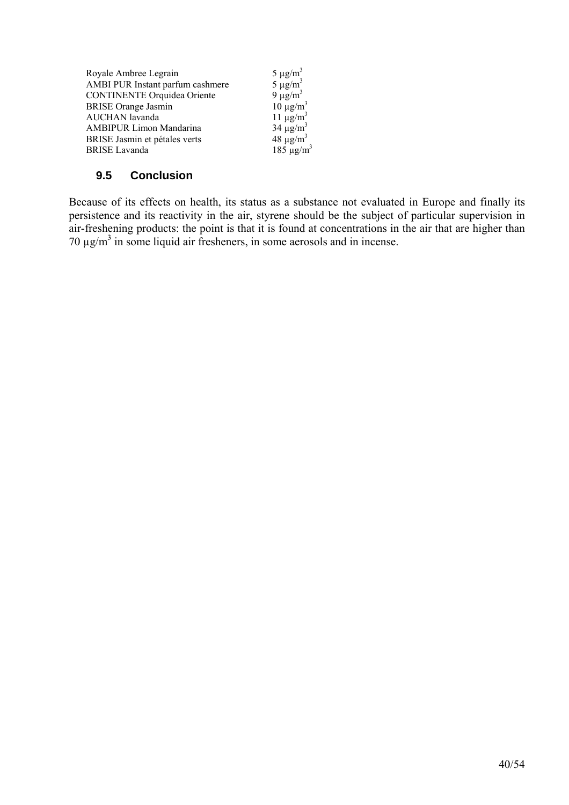| $5 \mu g/m^3$             |
|---------------------------|
| $5 \mu g/m^3$             |
| 9 $\mu$ g/m <sup>3</sup>  |
| $10 \mu g/m^3$            |
| $11 \mu g/m^3$            |
| $34 \mu g/m^3$            |
| 48 $\mu$ g/m <sup>3</sup> |
| $185 \mu g/m^3$           |
|                           |

## **9.5 Conclusion**

Because of its effects on health, its status as a substance not evaluated in Europe and finally its persistence and its reactivity in the air, styrene should be the subject of particular supervision in air-freshening products: the point is that it is found at concentrations in the air that are higher than 70  $\mu$ g/m<sup>3</sup> in some liquid air fresheners, in some aerosols and in incense.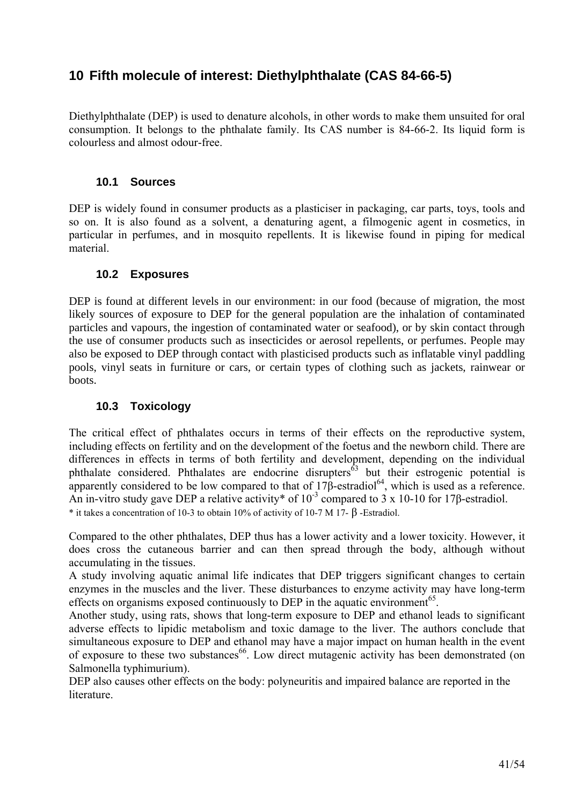## **10 Fifth molecule of interest: Diethylphthalate (CAS 84-66-5)**

Diethylphthalate (DEP) is used to denature alcohols, in other words to make them unsuited for oral consumption. It belongs to the phthalate family. Its CAS number is 84-66-2. Its liquid form is colourless and almost odour-free.

## **10.1 Sources**

DEP is widely found in consumer products as a plasticiser in packaging, car parts, toys, tools and so on. It is also found as a solvent, a denaturing agent, a filmogenic agent in cosmetics, in particular in perfumes, and in mosquito repellents. It is likewise found in piping for medical material.

## **10.2 Exposures**

DEP is found at different levels in our environment: in our food (because of migration, the most likely sources of exposure to DEP for the general population are the inhalation of contaminated particles and vapours, the ingestion of contaminated water or seafood), or by skin contact through the use of consumer products such as insecticides or aerosol repellents, or perfumes. People may also be exposed to DEP through contact with plasticised products such as inflatable vinyl paddling pools, vinyl seats in furniture or cars, or certain types of clothing such as jackets, rainwear or boots.

## **10.3 Toxicology**

The critical effect of phthalates occurs in terms of their effects on the reproductive system, including effects on fertility and on the development of the foetus and the newborn child. There are differences in effects in terms of both fertility and development, depending on the individual phthalate considered. Phthalates are endocrine disrupters<sup>63</sup> but their estrogenic potential is apparently considered to be low compared to that of  $17\beta$ -estradiol<sup>64</sup>, which is used as a reference. An in-vitro study gave DEP a relative activity\* of  $10^{-3}$  compared to 3 x 10-10 for 17 $\beta$ -estradiol. \* it takes a concentration of 10-3 to obtain 10% of activity of 10-7 M 17-  $\beta$  -Estradiol.

Compared to the other phthalates, DEP thus has a lower activity and a lower toxicity. However, it does cross the cutaneous barrier and can then spread through the body, although without accumulating in the tissues.

A study involving aquatic animal life indicates that DEP triggers significant changes to certain enzymes in the muscles and the liver. These disturbances to enzyme activity may have long-term effects on organisms exposed continuously to DEP in the aquatic environment<sup>65</sup>.

Another study, using rats, shows that long-term exposure to DEP and ethanol leads to significant adverse effects to lipidic metabolism and toxic damage to the liver. The authors conclude that simultaneous exposure to DEP and ethanol may have a major impact on human health in the event of exposure to these two substances<sup>66</sup>. Low direct mutagenic activity has been demonstrated (on Salmonella typhimurium).

DEP also causes other effects on the body: polyneuritis and impaired balance are reported in the literature.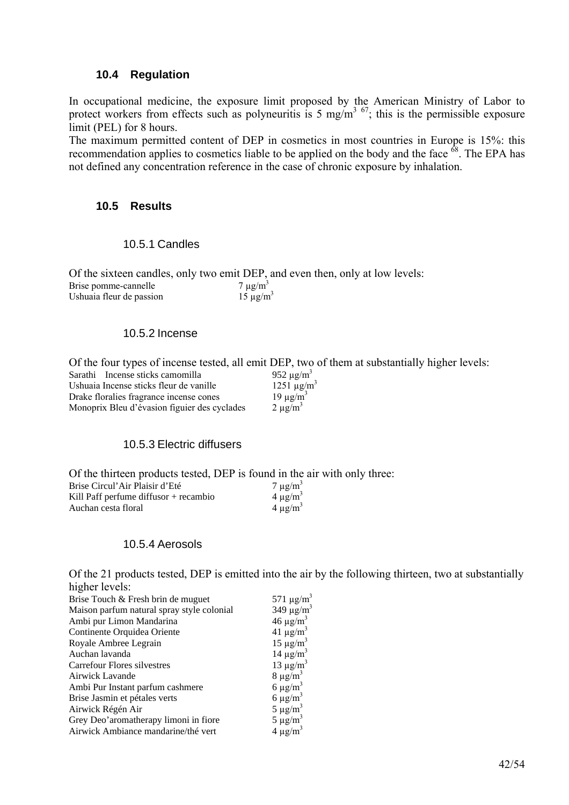### **10.4 Regulation**

In occupational medicine, the exposure limit proposed by the American Ministry of Labor to protect workers from effects such as polyneuritis is 5 mg/m<sup>3 67</sup>; this is the permissible exposure limit (PEL) for 8 hours.

The maximum permitted content of DEP in cosmetics in most countries in Europe is 15%: this recommendation applies to cosmetics liable to be applied on the body and the face  $^{68}$ . The EPA has not defined any concentration reference in the case of chronic exposure by inhalation.

### **10.5 Results**

#### 10.5.1 Candles

Of the sixteen candles, only two emit DEP, and even then, only at low levels:<br>Brise pomme-cannelle  $7 \mu g/m^3$ Brise pomme-cannelle  $7 \mu g/m^3$ <br>Ushuaia fleur de passion  $15 \mu g/m^3$ Ushuaia fleur de passion

#### 10.5.2 Incense

Of the four types of incense tested, all emit DEP, two of them at substantially higher levels:

| Sarathi Incense sticks camomilla             | 952 $\mu$ g/m <sup>3</sup> |
|----------------------------------------------|----------------------------|
| Ushuaia Incense sticks fleur de vanille      | $1251 \mu g/m^3$           |
| Drake floralies fragrance incense cones      | $19 \mu g/m^3$             |
| Monoprix Bleu d'évasion figuier des cyclades | $2 \mu g/m^3$              |

### 10.5.3 Electric diffusers

Of the thirteen products tested, DEP is found in the air with only three: Brise Circul'Air Plaisir d'Eté  $7 \mu g/m^3$ <br>Kill Paff perfume diffusor + recambio  $4 \mu g/m^3$ Kill Paff perfume diffusor + recambio  $4 \mu g/m^3$ <br>Auchan cesta floral  $4 \mu g/m^3$ Auchan cesta floral

#### 10.5.4 Aerosols

Of the 21 products tested, DEP is emitted into the air by the following thirteen, two at substantially higher levels:

| Brise Touch & Fresh brin de muguet         | 571 $\mu$ g/m <sup>3</sup> |
|--------------------------------------------|----------------------------|
| Maison parfum natural spray style colonial | 349 $\mu$ g/m <sup>3</sup> |
| Ambi pur Limon Mandarina                   | $46 \mu g/m^3$             |
| Continente Orquidea Oriente                | 41 $\mu$ g/m <sup>3</sup>  |
| Royale Ambree Legrain                      | $15 \mu g/m^3$             |
| Auchan lavanda                             | $14 \mu g/m^3$             |
| Carrefour Flores silvestres                | $13 \mu g/m^3$             |
| Airwick Lavande                            | $8 \mu g/m^3$              |
| Ambi Pur Instant parfum cashmere           | 6 $\mu$ g/m <sup>3</sup>   |
| Brise Jasmin et pétales verts              | 6 $\mu$ g/m <sup>3</sup>   |
| Airwick Régén Air                          | $5 \mu g/m^3$              |
| Grey Deo'aromatherapy limoni in fiore      | $5 \mu g/m^3$              |
| Airwick Ambiance mandarine/the vert        | $4 \mu g/m^3$              |
|                                            |                            |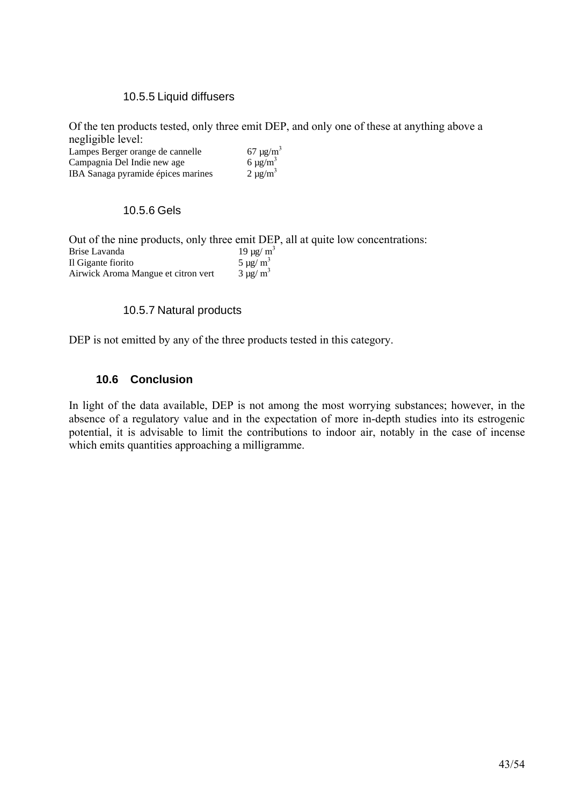#### 10.5.5 Liquid diffusers

Of the ten products tested, only three emit DEP, and only one of these at anything above a negligible level: 3

| Lampes Berger orange de cannelle   | $67 \mu g/m$             |
|------------------------------------|--------------------------|
| Campagnia Del Indie new age        | 6 $\mu$ g/m <sup>3</sup> |
| IBA Sanaga pyramide épices marines | $2 \mu g/m^3$            |

#### 10.5.6 Gels

Out of the nine products, only three emit DEP, all at quite low concentrations:<br>Brise Lavanda  $19 \mu g/m^3$ Brise Lavanda<br>
Il Gigante fiorito<br>
5 µg/ m<sup>3</sup> Il Gigante fiorito 5  $\mu$ g/ m<sup>3</sup><br>Airwick Aroma Mangue et citron vert 3  $\mu$ g/ m<sup>3</sup> Airwick Aroma Mangue et citron vert

#### 10.5.7 Natural products

DEP is not emitted by any of the three products tested in this category.

## **10.6 Conclusion**

In light of the data available, DEP is not among the most worrying substances; however, in the absence of a regulatory value and in the expectation of more in-depth studies into its estrogenic potential, it is advisable to limit the contributions to indoor air, notably in the case of incense which emits quantities approaching a milligramme.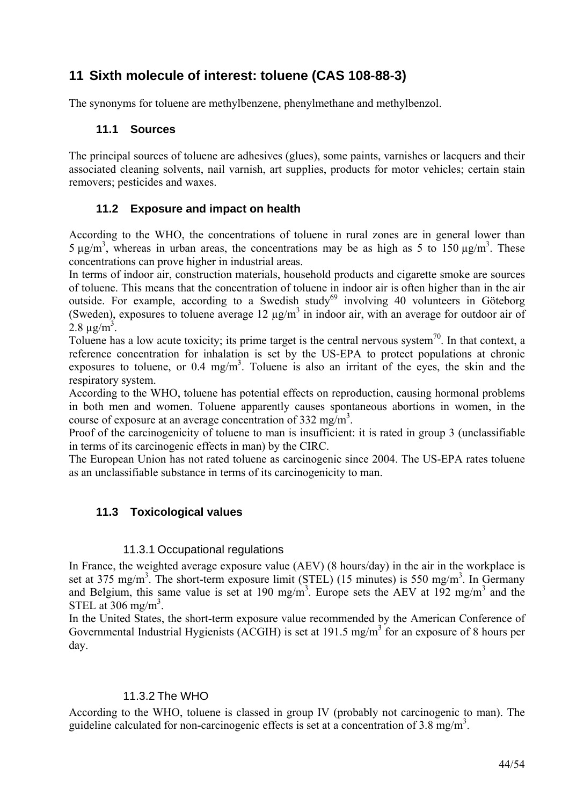## **11 Sixth molecule of interest: toluene (CAS 108-88-3)**

The synonyms for toluene are methylbenzene, phenylmethane and methylbenzol.

## **11.1 Sources**

The principal sources of toluene are adhesives (glues), some paints, varnishes or lacquers and their associated cleaning solvents, nail varnish, art supplies, products for motor vehicles; certain stain removers; pesticides and waxes.

## **11.2 Exposure and impact on health**

According to the WHO, the concentrations of toluene in rural zones are in general lower than 5  $\mu$ g/m<sup>3</sup>, whereas in urban areas, the concentrations may be as high as 5 to 150  $\mu$ g/m<sup>3</sup>. These concentrations can prove higher in industrial areas.

In terms of indoor air, construction materials, household products and cigarette smoke are sources of toluene. This means that the concentration of toluene in indoor air is often higher than in the air outside. For example, according to a Swedish study<sup>69</sup> involving 40 volunteers in Göteborg (Sweden), exposures to toluene average  $12 \mu g/m^3$  in indoor air, with an average for outdoor air of 2.8  $\mu$ g/m<sup>3</sup>.

Toluene has a low acute toxicity; its prime target is the central nervous system<sup>70</sup>. In that context, a reference concentration for inhalation is set by the US-EPA to protect populations at chronic exposures to toluene, or  $0.4 \text{ mg/m}^3$ . Toluene is also an irritant of the eyes, the skin and the respiratory system.

According to the WHO, toluene has potential effects on reproduction, causing hormonal problems in both men and women. Toluene apparently causes spontaneous abortions in women, in the course of exposure at an average concentration of 332 mg/m<sup>3</sup>.

Proof of the carcinogenicity of toluene to man is insufficient: it is rated in group 3 (unclassifiable in terms of its carcinogenic effects in man) by the CIRC.

The European Union has not rated toluene as carcinogenic since 2004. The US-EPA rates toluene as an unclassifiable substance in terms of its carcinogenicity to man.

## **11.3 Toxicological values**

## 11.3.1 Occupational regulations

In France, the weighted average exposure value (AEV) (8 hours/day) in the air in the workplace is set at 375 mg/m<sup>3</sup>. The short-term exposure limit (STEL) (15 minutes) is 550 mg/m<sup>3</sup>. In Germany and Belgium, this same value is set at 190 mg/m<sup>3</sup>. Europe sets the AEV at 192 mg/m<sup>3</sup> and the STEL at  $306 \text{ mg/m}^3$ .

In the United States, the short-term exposure value recommended by the American Conference of Governmental Industrial Hygienists (ACGIH) is set at 191.5 mg/m<sup>3</sup> for an exposure of 8 hours per day.

## 11.3.2 The WHO

According to the WHO, toluene is classed in group IV (probably not carcinogenic to man). The guideline calculated for non-carcinogenic effects is set at a concentration of 3.8 mg/m<sup>3</sup>.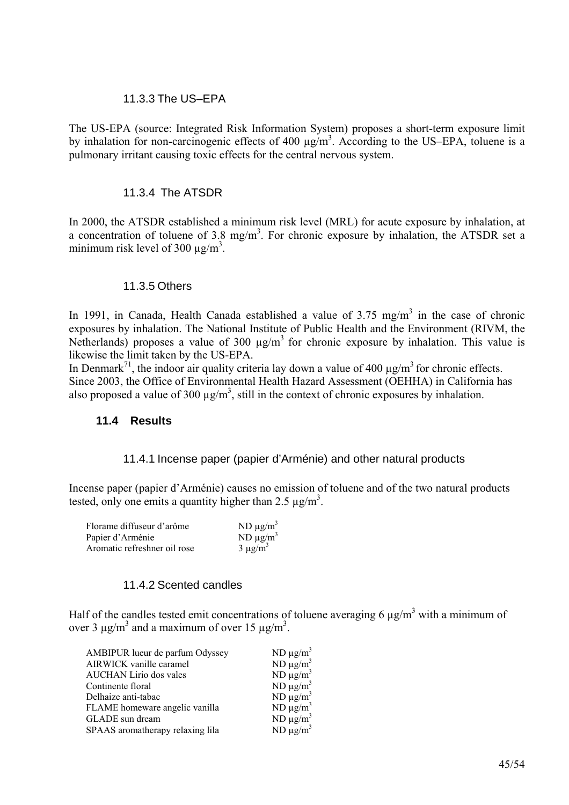#### 11.3.3 The US–EPA

The US-EPA (source: Integrated Risk Information System) proposes a short-term exposure limit by inhalation for non-carcinogenic effects of 400  $\mu$ g/m<sup>3</sup>. According to the US–EPA, toluene is a pulmonary irritant causing toxic effects for the central nervous system.

### 11.3.4 The ATSDR

In 2000, the ATSDR established a minimum risk level (MRL) for acute exposure by inhalation, at a concentration of toluene of 3.8 mg/m<sup>3</sup>. For chronic exposure by inhalation, the ATSDR set a minimum risk level of 300  $\mu$ g/m<sup>3</sup>.

#### 11.3.5 Others

In 1991, in Canada, Health Canada established a value of 3.75 mg/m<sup>3</sup> in the case of chronic exposures by inhalation. The National Institute of Public Health and the Environment (RIVM, the Netherlands) proposes a value of 300  $\mu$ g/m<sup>3</sup> for chronic exposure by inhalation. This value is likewise the limit taken by the US-EPA.

In Denmark<sup>71</sup>, the indoor air quality criteria lay down a value of 400  $\mu$ g/m<sup>3</sup> for chronic effects. Since 2003, the Office of Environmental Health Hazard Assessment (OEHHA) in California has also proposed a value of 300  $\mu$ g/m<sup>3</sup>, still in the context of chronic exposures by inhalation.

## **11.4 Results**

#### 11.4.1 Incense paper (papier d'Arménie) and other natural products

Incense paper (papier d'Arménie) causes no emission of toluene and of the two natural products tested, only one emits a quantity higher than 2.5  $\mu$ g/m<sup>3</sup>.

| Florame diffuseur d'arôme    | ND $\mu$ g/m <sup>3</sup> |
|------------------------------|---------------------------|
| Papier d'Arménie             | ND $\mu$ g/m <sup>3</sup> |
| Aromatic refreshner oil rose | $3 \mu g/m^3$             |

#### 11.4.2 Scented candles

Half of the candles tested emit concentrations of toluene averaging 6  $\mu$ g/m<sup>3</sup> with a minimum of over 3  $\mu$ g/m<sup>3</sup> and a maximum of over 15  $\mu$ g/m<sup>3</sup>.

| ND $\mu$ g/m <sup>3</sup> |
|---------------------------|
| $ND \mu g/m^3$            |
| $ND \mu g/m^3$            |
| ND $\mu$ g/m <sup>3</sup> |
| $ND \mu g/m^3$            |
| $ND \mu g/m^3$            |
| ND $\mu$ g/m <sup>3</sup> |
| $ND \mu g/m^3$            |
|                           |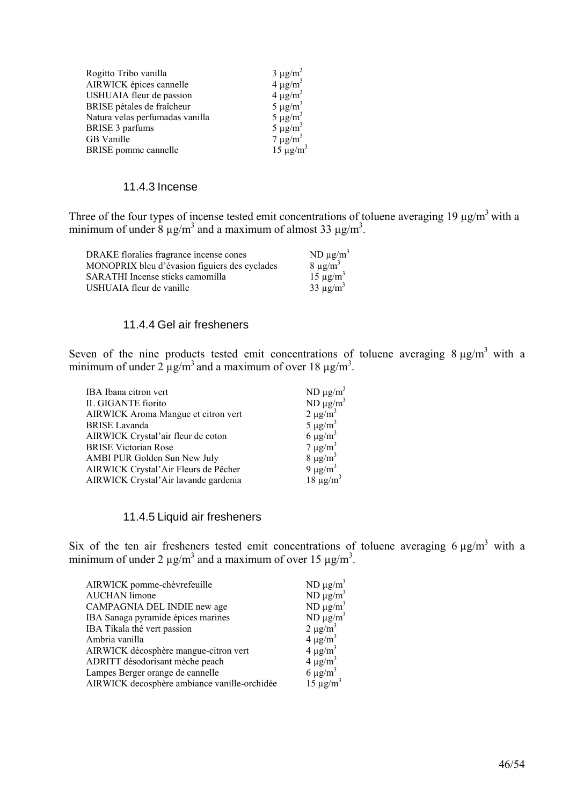| AIRWICK épices cannelle<br>USHUAIA fleur de passion<br>BRISE pétales de fraîcheur<br>Natura velas perfumadas vanilla<br><b>BRISE 3 parfums</b><br><b>GB</b> Vanille<br><b>BRISE</b> pomme cannelle | Rogitto Tribo vanilla | $3 \mu g/m^3$  |
|----------------------------------------------------------------------------------------------------------------------------------------------------------------------------------------------------|-----------------------|----------------|
|                                                                                                                                                                                                    |                       | $4 \mu g/m^3$  |
|                                                                                                                                                                                                    |                       | $4 \mu g/m^3$  |
|                                                                                                                                                                                                    |                       | $5 \mu g/m^3$  |
|                                                                                                                                                                                                    |                       | $5 \mu g/m^3$  |
|                                                                                                                                                                                                    |                       | $5 \mu g/m^3$  |
|                                                                                                                                                                                                    |                       | $7 \mu g/m^3$  |
|                                                                                                                                                                                                    |                       | $15 \mu g/m^3$ |

#### 11.4.3 Incense

Three of the four types of incense tested emit concentrations of toluene averaging 19  $\mu$ g/m<sup>3</sup> with a minimum of under  $8 \mu g/m^3$  and a maximum of almost 33  $\mu g/m^3$ .

| DRAKE floralies fragrance incense cones       | ND $\mu$ g/m <sup>3</sup> |
|-----------------------------------------------|---------------------------|
| MONOPRIX bleu d'évasion figuiers des cyclades | $8 \mu g/m^3$             |
| SARATHI Incense sticks camomilla              | $15 \mu g/m^3$            |
| USHUAIA fleur de vanille                      | 33 $\mu$ g/m <sup>3</sup> |

### 11.4.4 Gel air fresheners

Seven of the nine products tested emit concentrations of toluene averaging  $8 \mu g/m^3$  with a minimum of under 2  $\mu$ g/m<sup>3</sup> and a maximum of over 18  $\mu$ g/m<sup>3</sup>.

| <b>IBA</b> Ibana citron vert               | $ND \mu g/m^3$           |
|--------------------------------------------|--------------------------|
| IL GIGANTE fiorito                         | $ND \mu g/m^3$           |
| <b>AIRWICK Aroma Mangue et citron vert</b> | $2 \mu g/m^3$            |
| BRISE Lavanda                              | $5 \mu g/m^3$            |
| AIRWICK Crystal'air fleur de coton         | 6 $\mu$ g/m <sup>3</sup> |
| <b>BRISE Victorian Rose</b>                | $7 \mu g/m^3$            |
| AMBI PUR Golden Sun New July               | $8 \mu g/m^3$            |
| AIRWICK Crystal'Air Fleurs de Pêcher       | 9 $\mu$ g/m <sup>3</sup> |
| AIRWICK Crystal'Air lavande gardenia       | $18 \mu g/m^3$           |

#### 11.4.5 Liquid air fresheners

Six of the ten air fresheners tested emit concentrations of toluene averaging  $6 \mu g/m^3$  with a minimum of under 2  $\mu$ g/m<sup>3</sup> and a maximum of over 15  $\mu$ g/m<sup>3</sup>.

| AIRWICK pomme-chèvrefeuille                  | $ND \mu g/m^3$            |
|----------------------------------------------|---------------------------|
| <b>AUCHAN</b> limone                         | ND $\mu$ g/m <sup>3</sup> |
| CAMPAGNIA DEL INDIE new age                  | ND $\mu$ g/m <sup>3</sup> |
| IBA Sanaga pyramide épices marines           | $ND \mu g/m^3$            |
| IBA Tikala thé vert passion                  | $2 \mu g/m^3$             |
| Ambria vanilla                               | $4 \mu g/m^3$             |
| AIRWICK décosphère mangue-citron vert        | $4 \mu g/m^3$             |
| ADRITT désodorisant mèche peach              | $4 \mu g/m^3$             |
| Lampes Berger orange de cannelle             | 6 $\mu$ g/m <sup>3</sup>  |
| AIRWICK decosphère ambiance vanille-orchidée | $15 \mu g/m^3$            |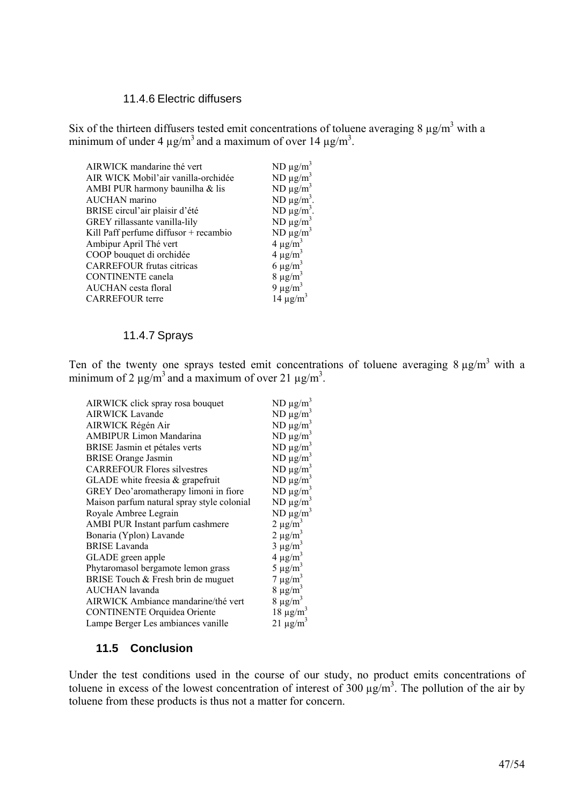#### 11.4.6 Electric diffusers

Six of the thirteen diffusers tested emit concentrations of toluene averaging 8  $\mu$ g/m<sup>3</sup> with a minimum of under 4  $\mu$ g/m<sup>3</sup> and a maximum of over 14  $\mu$ g/m<sup>3</sup>.

.

.

| AIRWICK mandarine thé vert            | $ND \mu g/m^3$            |
|---------------------------------------|---------------------------|
| AIR WICK Mobil'air vanilla-orchidée   | $ND \mu g/m^3$            |
| AMBI PUR harmony baunilha & lis       | $ND \mu g/m^3$            |
| AUCHAN marino                         | $ND \mu g/m^3$            |
| BRISE circul'air plaisir d'été        | $ND \mu g/m^3$            |
| GREY rillassante vanilla-lily         | $ND \mu g/m^3$            |
| Kill Paff perfume diffusor + recambio | $ND \mu g/m^3$            |
| Ambipur April Thé vert                | $4 \mu g/m^3$             |
| COOP bouquet di orchidée              | $4 \mu g/m^3$             |
| <b>CARREFOUR frutas citricas</b>      | 6 $\mu$ g/m <sup>3</sup>  |
| <b>CONTINENTE</b> canela              | $8 \mu g/m^3$             |
| AUCHAN cesta floral                   | 9 $\mu$ g/m <sup>3</sup>  |
| <b>CARREFOUR</b> terre                | 14 $\mu$ g/m <sup>3</sup> |
|                                       |                           |

#### 11.4.7 Sprays

Ten of the twenty one sprays tested emit concentrations of toluene averaging  $8 \mu g/m^3$  with a minimum of 2  $\mu$ g/m<sup>3</sup> and a maximum of over 21  $\mu$ g/m<sup>3</sup>.

| AIRWICK click spray rosa bouquet           | $ND \mu g/m^3$            |
|--------------------------------------------|---------------------------|
| <b>AIRWICK Lavande</b>                     | $ND \mu g/m^3$            |
| AIRWICK Régén Air                          | $ND \mu g/m^3$            |
| <b>AMBIPUR Limon Mandarina</b>             | $ND \mu g/m^3$            |
| BRISE Jasmin et pétales verts              | $ND \mu g/m^3$            |
| <b>BRISE</b> Orange Jasmin                 | $ND \mu g/m^3$            |
| <b>CARREFOUR Flores silvestres</b>         | ND $\mu$ g/m <sup>3</sup> |
| GLADE white freesia $&$ grapefruit         | ND $\mu$ g/m <sup>3</sup> |
| GREY Deo'aromatherapy limoni in fiore      | $ND \mu g/m^3$            |
| Maison parfum natural spray style colonial | ND $\mu$ g/m <sup>3</sup> |
| Royale Ambree Legrain                      | $ND \mu g/m^3$            |
| AMBI PUR Instant parfum cashmere           | $2 \mu g/m^3$             |
| Bonaria (Yplon) Lavande                    | $2 \mu g/m^3$             |
| <b>BRISE</b> Lavanda                       | $3 \mu g/m^3$             |
| GLADE green apple                          | $4 \mu g/m^3$             |
| Phytaromasol bergamote lemon grass         | $5 \mu g/m^3$             |
| BRISE Touch & Fresh brin de muguet         | $7 \mu g/m^3$             |
| <b>AUCHAN</b> lavanda                      | $8 \mu g/m^3$             |
| AIRWICK Ambiance mandarine/thé vert        | $8 \mu g/m^3$             |
| <b>CONTINENTE Orquidea Oriente</b>         | $18 \mu g/m^3$            |
| Lampe Berger Les ambiances vanille         | $21 \mu g/m^3$            |
|                                            |                           |

## **11.5 Conclusion**

Under the test conditions used in the course of our study, no product emits concentrations of toluene in excess of the lowest concentration of interest of  $300 \mu g/m<sup>3</sup>$ . The pollution of the air by toluene from these products is thus not a matter for concern.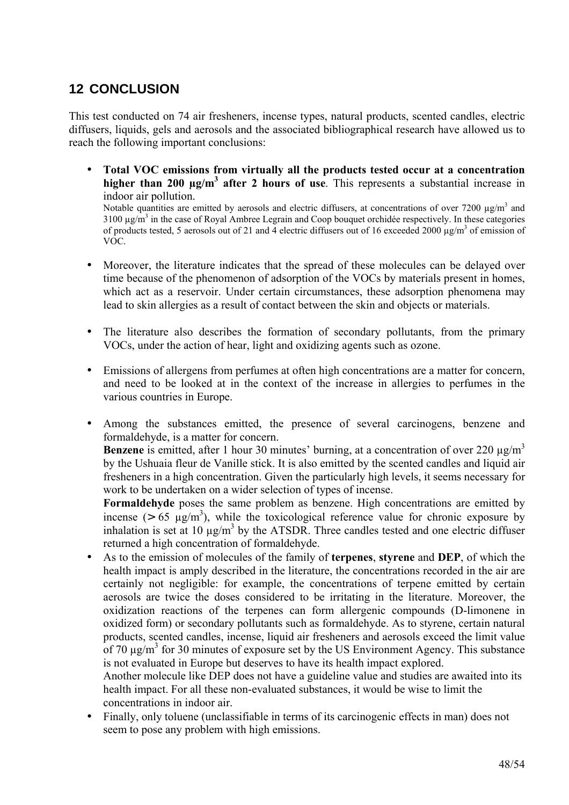## **12 CONCLUSION**

This test conducted on 74 air fresheners, incense types, natural products, scented candles, electric diffusers, liquids, gels and aerosols and the associated bibliographical research have allowed us to reach the following important conclusions:

- Total VOC emissions from virtually all the products tested occur at a concentration higher than 200  $\mu$ g/m<sup>3</sup> after 2 hours of use. This represents a substantial increase in indoor air pollution. Notable quantities are emitted by aerosols and electric diffusers, at concentrations of over 7200  $\mu$ g/m<sup>3</sup> and  $3100 \mu g/m<sup>3</sup>$  in the case of Royal Ambree Legrain and Coop bouquet orchidée respectively. In these categories of products tested, 5 aerosols out of 21 and 4 electric diffusers out of 16 exceeded 2000  $\mu$ g/m<sup>3</sup> of emission of VOC.
- Moreover, the literature indicates that the spread of these molecules can be delayed over time because of the phenomenon of adsorption of the VOCs by materials present in homes, which act as a reservoir. Under certain circumstances, these adsorption phenomena may lead to skin allergies as a result of contact between the skin and objects or materials.
- The literature also describes the formation of secondary pollutants, from the primary VOCs, under the action of hear, light and oxidizing agents such as ozone.
- Emissions of allergens from perfumes at often high concentrations are a matter for concern, and need to be looked at in the context of the increase in allergies to perfumes in the various countries in Europe.
- Among the substances emitted, the presence of several carcinogens, benzene and formaldehyde, is a matter for concern.

**Benzene** is emitted, after 1 hour 30 minutes' burning, at a concentration of over 220  $\mu$ g/m<sup>3</sup> by the Ushuaia fleur de Vanille stick. It is also emitted by the scented candles and liquid air fresheners in a high concentration. Given the particularly high levels, it seems necessary for work to be undertaken on a wider selection of types of incense.

Formaldehyde poses the same problem as benzene. High concentrations are emitted by incense ( $> 65 \text{ }\mu\text{g/m}^3$ ), while the toxicological reference value for chronic exposure by inhalation is set at 10  $\mu$ g/m<sup>3</sup> by the ATSDR. Three candles tested and one electric diffuser returned a high concentration of formaldehyde.

• As to the emission of molecules of the family of **terpenes**, **styrene** and **DEP**, of which the health impact is amply described in the literature, the concentrations recorded in the air are certainly not negligible: for example, the concentrations of terpene emitted by certain aerosols are twice the doses considered to be irritating in the literature. Moreover, the oxidization reactions of the terpenes can form allergenic compounds (D-limonene in oxidized form) or secondary pollutants such as formaldehyde. As to styrene, certain natural products, scented candles, incense, liquid air fresheners and aerosols exceed the limit value of 70  $\mu$ g/m<sup>3</sup> for 30 minutes of exposure set by the US Environment Agency. This substance is not evaluated in Europe but deserves to have its health impact explored. Another molecule like DEP does not have a guideline value and studies are awaited into its

health impact. For all these non-evaluated substances, it would be wise to limit the concentrations in indoor air.

• Finally, only toluene (unclassifiable in terms of its carcinogenic effects in man) does not seem to pose any problem with high emissions.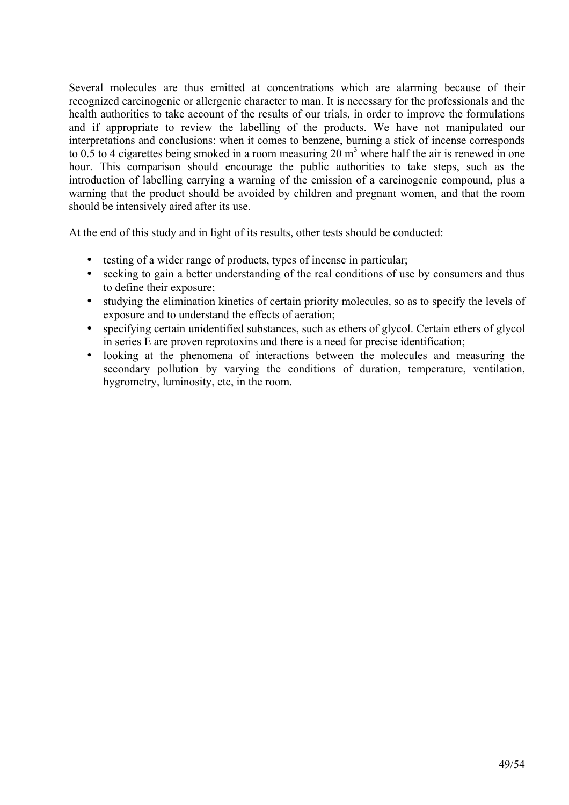Several molecules are thus emitted at concentrations which are alarming because of their recognized carcinogenic or allergenic character to man. It is necessary for the professionals and the health authorities to take account of the results of our trials, in order to improve the formulations and if appropriate to review the labelling of the products. We have not manipulated our interpretations and conclusions: when it comes to benzene, burning a stick of incense corresponds to 0.5 to 4 cigarettes being smoked in a room measuring 20  $m<sup>3</sup>$  where half the air is renewed in one hour. This comparison should encourage the public authorities to take steps, such as the introduction of labelling carrying a warning of the emission of a carcinogenic compound, plus a warning that the product should be avoided by children and pregnant women, and that the room should be intensively aired after its use.

At the end of this study and in light of its results, other tests should be conducted:

- testing of a wider range of products, types of incense in particular;
- seeking to gain a better understanding of the real conditions of use by consumers and thus to define their exposure;
- studying the elimination kinetics of certain priority molecules, so as to specify the levels of exposure and to understand the effects of aeration;
- specifying certain unidentified substances, such as ethers of glycol. Certain ethers of glycol in series E are proven reprotoxins and there is a need for precise identification;
- looking at the phenomena of interactions between the molecules and measuring the secondary pollution by varying the conditions of duration, temperature, ventilation, hygrometry, luminosity, etc, in the room.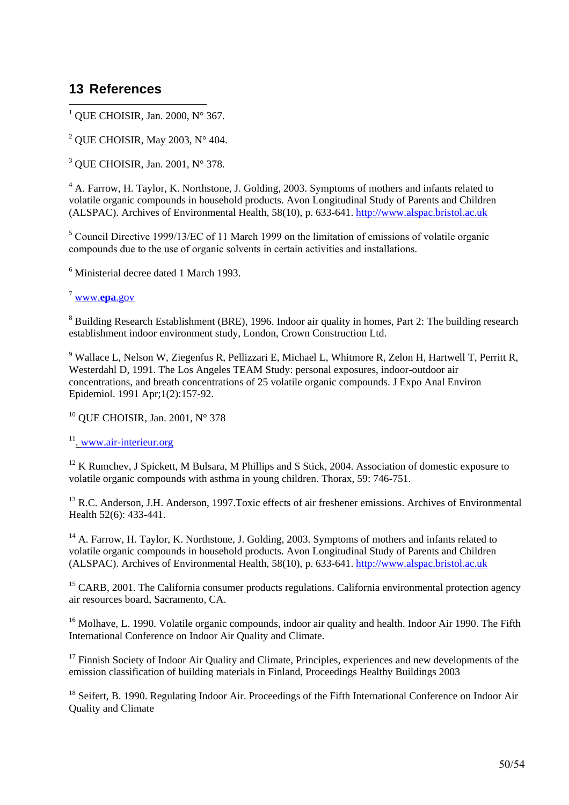## **13 References**

<sup>1</sup> QUE CHOISIR, Jan. 2000, N° 367.

<sup>2</sup> QUE CHOISIR, May 2003, N° 404.

3 QUE CHOISIR, Jan. 2001, N° 378.

<sup>4</sup> A. Farrow, H. Taylor, K. Northstone, J. Golding, 2003. Symptoms of mothers and infants related to volatile organic compounds in household products. Avon Longitudinal Study of Parents and Children (ALSPAC). Archives of Environmental Health, 58(10), p. 633-641. http://www.alspac.bristol.ac.uk

<sup>5</sup> Council Directive 1999/13/EC of 11 March 1999 on the limitation of emissions of volatile organic compounds due to the use of organic solvents in certain activities and installations.

6 Ministerial decree dated 1 March 1993.

<sup>7</sup> www.**epa**.gov

 $8$  Building Research Establishment (BRE), 1996. Indoor air quality in homes, Part 2: The building research establishment indoor environment study, London, Crown Construction Ltd.

<sup>9</sup> Wallace L, Nelson W, Ziegenfus R, Pellizzari E, Michael L, Whitmore R, Zelon H, Hartwell T, Perritt R, Westerdahl D, 1991. The Los Angeles TEAM Study: personal exposures, indoor-outdoor air concentrations, and breath concentrations of 25 volatile organic compounds. J Expo Anal Environ Epidemiol. 1991 Apr;1(2):157-92.

<sup>10</sup> QUE CHOISIR, Jan. 2001, N° 378

<sup>11</sup>. www.air-interieur.org

<sup>12</sup> K Rumchev, J Spickett, M Bulsara, M Phillips and S Stick, 2004. Association of domestic exposure to volatile organic compounds with asthma in young children. Thorax, 59: 746-751.

<sup>13</sup> R.C. Anderson, J.H. Anderson, 1997. Toxic effects of air freshener emissions. Archives of Environmental Health 52(6): 433-441.

<sup>14</sup> A. Farrow, H. Taylor, K. Northstone, J. Golding, 2003. Symptoms of mothers and infants related to volatile organic compounds in household products. Avon Longitudinal Study of Parents and Children (ALSPAC). Archives of Environmental Health, 58(10), p. 633-641. http://www.alspac.bristol.ac.uk

 $15$  CARB, 2001. The California consumer products regulations. California environmental protection agency air resources board, Sacramento, CA.

<sup>16</sup> Molhave, L. 1990. Volatile organic compounds, indoor air quality and health. Indoor Air 1990. The Fifth International Conference on Indoor Air Quality and Climate.

<sup>17</sup> Finnish Society of Indoor Air Quality and Climate, Principles, experiences and new developments of the emission classification of building materials in Finland, Proceedings Healthy Buildings 2003

<sup>18</sup> Seifert, B. 1990. Regulating Indoor Air. Proceedings of the Fifth International Conference on Indoor Air Quality and Climate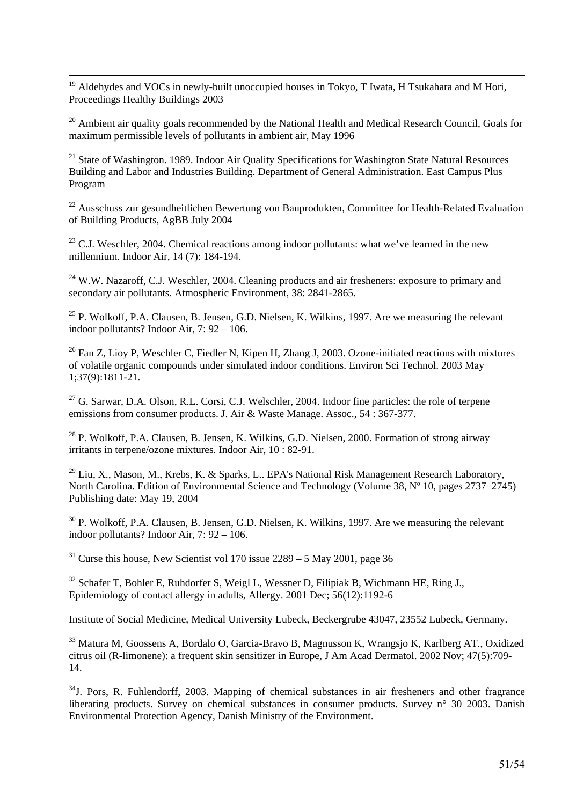<sup>19</sup> Aldehydes and VOCs in newly-built unoccupied houses in Tokyo, T Iwata, H Tsukahara and M Hori, Proceedings Healthy Buildings 2003

 $\overline{a}$ 

<sup>20</sup> Ambient air quality goals recommended by the National Health and Medical Research Council, Goals for maximum permissible levels of pollutants in ambient air, May 1996

<sup>21</sup> State of Washington. 1989. Indoor Air Quality Specifications for Washington State Natural Resources Building and Labor and Industries Building. Department of General Administration. East Campus Plus Program

<sup>22</sup> Ausschuss zur gesundheitlichen Bewertung von Bauprodukten, Committee for Health-Related Evaluation of Building Products, AgBB July 2004

<sup>23</sup> C.J. Weschler, 2004. Chemical reactions among indoor pollutants: what we've learned in the new millennium. Indoor Air, 14 (7): 184-194.

<sup>24</sup> W.W. Nazaroff, C.J. Weschler, 2004. Cleaning products and air fresheners: exposure to primary and secondary air pollutants. Atmospheric Environment, 38: 2841-2865.

 $25$  P. Wolkoff, P.A. Clausen, B. Jensen, G.D. Nielsen, K. Wilkins, 1997. Are we measuring the relevant indoor pollutants? Indoor Air, 7: 92 – 106.

<sup>26</sup> Fan Z, Lioy P, Weschler C, Fiedler N, Kipen H, Zhang J, 2003. Ozone-initiated reactions with mixtures of volatile organic compounds under simulated indoor conditions. Environ Sci Technol. 2003 May 1;37(9):1811-21.

 $27$  G. Sarwar, D.A. Olson, R.L. Corsi, C.J. Welschler, 2004. Indoor fine particles: the role of terpene emissions from consumer products. J. Air & Waste Manage. Assoc., 54 : 367-377.

<sup>28</sup> P. Wolkoff, P.A. Clausen, B. Jensen, K. Wilkins, G.D. Nielsen, 2000. Formation of strong airway irritants in terpene/ozone mixtures. Indoor Air, 10 : 82-91.

 $^{29}$  Liu, X., Mason, M., Krebs, K. & Sparks, L.. EPA's National Risk Management Research Laboratory, North Carolina. Edition of Environmental Science and Technology (Volume 38, Nº 10, pages 2737–2745) Publishing date: May 19, 2004

<sup>30</sup> P. Wolkoff, P.A. Clausen, B. Jensen, G.D. Nielsen, K. Wilkins, 1997. Are we measuring the relevant indoor pollutants? Indoor Air, 7: 92 – 106.

 $31$  Curse this house, New Scientist vol 170 issue 2289 – 5 May 2001, page 36

<sup>32</sup> Schafer T, Bohler E, Ruhdorfer S, Weigl L, Wessner D, Filipiak B, Wichmann HE, Ring J., Epidemiology of contact allergy in adults, Allergy. 2001 Dec; 56(12):1192-6

Institute of Social Medicine, Medical University Lubeck, Beckergrube 43047, 23552 Lubeck, Germany.

<sup>33</sup> Matura M, Goossens A, Bordalo O, Garcia-Bravo B, Magnusson K, Wrangsjo K, Karlberg AT., Oxidized citrus oil (R-limonene): a frequent skin sensitizer in Europe, J Am Acad Dermatol. 2002 Nov; 47(5):709- 14.

<sup>34</sup>J. Pors, R. Fuhlendorff, 2003. Mapping of chemical substances in air fresheners and other fragrance liberating products. Survey on chemical substances in consumer products. Survey n° 30 2003. Danish Environmental Protection Agency, Danish Ministry of the Environment.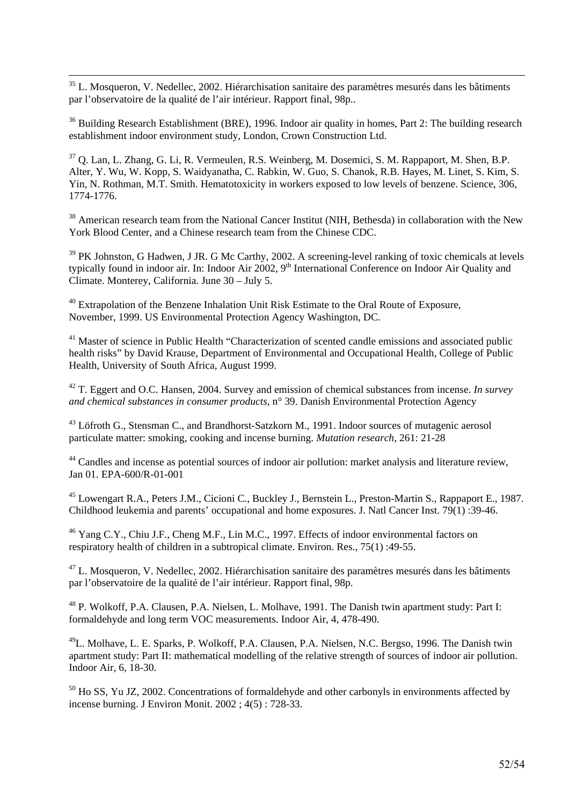<sup>35</sup> L. Mosqueron, V. Nedellec, 2002. Hiérarchisation sanitaire des paramètres mesurés dans les bâtiments par l'observatoire de la qualité de l'air intérieur. Rapport final, 98p..

 $\overline{a}$ 

<sup>36</sup> Building Research Establishment (BRE), 1996. Indoor air quality in homes, Part 2: The building research establishment indoor environment study, London, Crown Construction Ltd.

<sup>37</sup> Q. Lan, L. Zhang, G. Li, R. Vermeulen, R.S. Weinberg, M. Dosemici, S. M. Rappaport, M. Shen, B.P. Alter, Y. Wu, W. Kopp, S. Waidyanatha, C. Rabkin, W. Guo, S. Chanok, R.B. Hayes, M. Linet, S. Kim, S. Yin, N. Rothman, M.T. Smith. Hematotoxicity in workers exposed to low levels of benzene. Science, 306, 1774-1776.

<sup>38</sup> American research team from the National Cancer Institut (NIH, Bethesda) in collaboration with the New York Blood Center, and a Chinese research team from the Chinese CDC.

<sup>39</sup> PK Johnston, G Hadwen, J JR. G Mc Carthy, 2002. A screening-level ranking of toxic chemicals at levels typically found in indoor air. In: Indoor Air 2002, 9<sup>th</sup> International Conference on Indoor Air Quality and Climate. Monterey, California. June 30 – July 5.

<sup>40</sup> Extrapolation of the Benzene Inhalation Unit Risk Estimate to the Oral Route of Exposure, November, 1999. US Environmental Protection Agency Washington, DC.

<sup>41</sup> Master of science in Public Health "Characterization of scented candle emissions and associated public health risks" by David Krause, Department of Environmental and Occupational Health, College of Public Health, University of South Africa, August 1999.

<sup>42</sup> T. Eggert and O.C. Hansen, 2004. Survey and emission of chemical substances from incense. *In survey and chemical substances in consumer products*, n° 39. Danish Environmental Protection Agency

<sup>43</sup> Löfroth G., Stensman C., and Brandhorst-Satzkorn M., 1991. Indoor sources of mutagenic aerosol particulate matter: smoking, cooking and incense burning. *Mutation research*, 261: 21-28

<sup>44</sup> Candles and incense as potential sources of indoor air pollution: market analysis and literature review, Jan 01. EPA-600/R-01-001

<sup>45</sup> Lowengart R.A., Peters J.M., Cicioni C., Buckley J., Bernstein L., Preston-Martin S., Rappaport E., 1987. Childhood leukemia and parents' occupational and home exposures. J. Natl Cancer Inst. 79(1) :39-46.

<sup>46</sup> Yang C.Y., Chiu J.F., Cheng M.F., Lin M.C., 1997. Effects of indoor environmental factors on respiratory health of children in a subtropical climate. Environ. Res., 75(1) :49-55.

 $^{47}$  L. Mosqueron, V. Nedellec, 2002. Hiérarchisation sanitaire des paramètres mesurés dans les bâtiments par l'observatoire de la qualité de l'air intérieur. Rapport final, 98p.

<sup>48</sup> P. Wolkoff, P.A. Clausen, P.A. Nielsen, L. Molhave, 1991. The Danish twin apartment study: Part I: formaldehyde and long term VOC measurements. Indoor Air, 4, 478-490.

<sup>49</sup>L. Molhave, L. E. Sparks, P. Wolkoff, P.A. Clausen, P.A. Nielsen, N.C. Bergso, 1996. The Danish twin apartment study: Part II: mathematical modelling of the relative strength of sources of indoor air pollution. Indoor Air, 6, 18-30.

<sup>50</sup> Ho SS, Yu JZ, 2002. Concentrations of formaldehyde and other carbonyls in environments affected by incense burning. J Environ Monit. 2002 ; 4(5) : 728-33.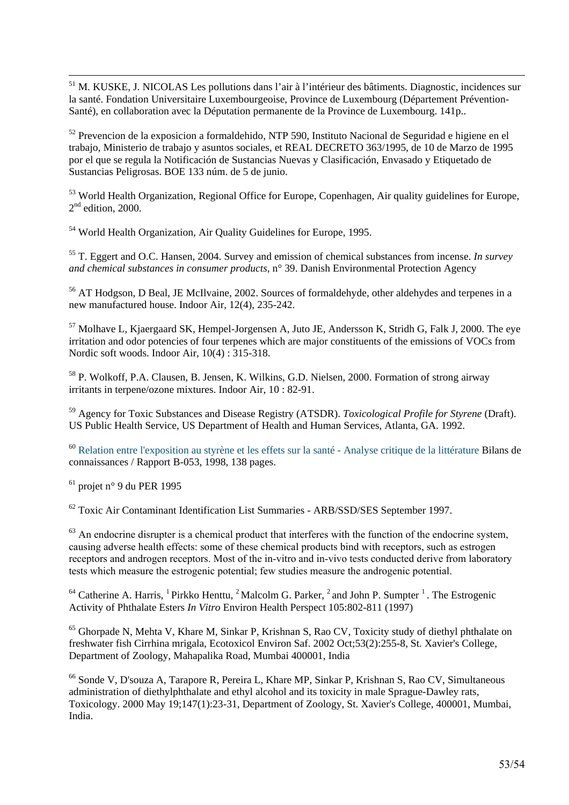$\overline{a}$ <sup>51</sup> M. KUSKE, J. NICOLAS Les pollutions dans l'air à l'intérieur des bâtiments. Diagnostic, incidences sur la santé. Fondation Universitaire Luxembourgeoise, Province de Luxembourg (Département Prévention-Santé), en collaboration avec la Députation permanente de la Province de Luxembourg. 141p..

<sup>52</sup> Prevencion de la exposicion a formaldehido, NTP 590, Instituto Nacional de Seguridad e higiene en el trabajo, Ministerio de trabajo y asuntos sociales, et REAL DECRETO 363/1995, de 10 de Marzo de 1995 por el que se regula la Notificación de Sustancias Nuevas y Clasificación, Envasado y Etiquetado de Sustancias Peligrosas. BOE 133 núm. de 5 de junio.

<sup>53</sup> World Health Organization, Regional Office for Europe, Copenhagen, Air quality guidelines for Europe,  $2<sup>nd</sup>$  edition, 2000.

<sup>54</sup> World Health Organization, Air Quality Guidelines for Europe, 1995.

<sup>55</sup> T. Eggert and O.C. Hansen, 2004. Survey and emission of chemical substances from incense. *In survey and chemical substances in consumer products*, n° 39. Danish Environmental Protection Agency

<sup>56</sup> AT Hodgson, D Beal, JE McIlvaine, 2002. Sources of formaldehyde, other aldehydes and terpenes in a new manufactured house. Indoor Air, 12(4), 235-242.

<sup>57</sup> Molhave L, Kjaergaard SK, Hempel-Jorgensen A, Juto JE, Andersson K, Stridh G, Falk J, 2000. The eye irritation and odor potencies of four terpenes which are major constituents of the emissions of VOCs from Nordic soft woods. Indoor Air, 10(4) : 315-318.

<sup>58</sup> P. Wolkoff, P.A. Clausen, B. Jensen, K. Wilkins, G.D. Nielsen, 2000. Formation of strong airway irritants in terpene/ozone mixtures. Indoor Air, 10 : 82-91.

<sup>59</sup> Agency for Toxic Substances and Disease Registry (ATSDR). *Toxicological Profile for Styrene* (Draft). US Public Health Service, US Department of Health and Human Services, Atlanta, GA. 1992.

<sup>60</sup> Relation entre l'exposition au styrène et les effets sur la santé - Analyse critique de la littérature Bilans de connaissances / Rapport B-053, 1998, 138 pages.

 $61$  projet n° 9 du PER 1995

 $62$  Toxic Air Contaminant Identification List Summaries - ARB/SSD/SES September 1997.

 $63$  An endocrine disrupter is a chemical product that interferes with the function of the endocrine system, causing adverse health effects: some of these chemical products bind with receptors, such as estrogen receptors and androgen receptors. Most of the in-vitro and in-vivo tests conducted derive from laboratory tests which measure the estrogenic potential; few studies measure the androgenic potential.

<sup>64</sup> Catherine A. Harris, <sup>1</sup>Pirkko Henttu, <sup>2</sup>Malcolm G. Parker, <sup>2</sup> and John P. Sumpter <sup>1</sup>. The Estrogenic Activity of Phthalate Esters *In Vitro* Environ Health Perspect 105:802-811 (1997)

<sup>65</sup> Ghorpade N, Mehta V, Khare M, Sinkar P, Krishnan S, Rao CV, Toxicity study of diethyl phthalate on freshwater fish Cirrhina mrigala, Ecotoxicol Environ Saf. 2002 Oct;53(2):255-8, St. Xavier's College, Department of Zoology, Mahapalika Road, Mumbai 400001, India

<sup>66</sup> Sonde V, D'souza A, Tarapore R, Pereira L, Khare MP, Sinkar P, Krishnan S, Rao CV, Simultaneous administration of diethylphthalate and ethyl alcohol and its toxicity in male Sprague-Dawley rats, Toxicology. 2000 May 19;147(1):23-31, Department of Zoology, St. Xavier's College, 400001, Mumbai, India.